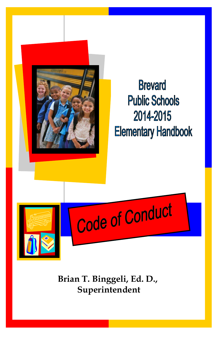

Ī

**Brevard Public Schools** 2014-2015 **Elementary Handbook** 

**Brian T. Binggeli, Ed. D., Superintendent**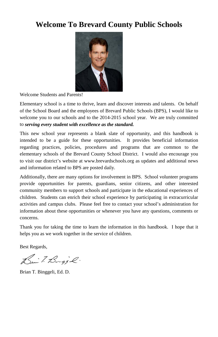# **Welcome To Brevard County Public Schools**



Welcome Students and Parents!

Elementary school is a time to thrive, learn and discover interests and talents. On behalf of the School Board and the employees of Brevard Public Schools (BPS), I would like to welcome you to our schools and to the 2014-2015 school year. We are truly committed to *serving every student with excellence as the standard.* 

This new school year represents a blank slate of opportunity, and this handbook is intended to be a guide for these opportunities. It provides beneficial information regarding practices, policies, procedures and programs that are common to the elementary schools of the Brevard County School District. I would also encourage you to visit our district's website at www.brevardschools.org as updates and additional news and information related to BPS are posted daily.

Additionally, there are many options for involvement in BPS. School volunteer programs provide opportunities for parents, guardians, senior citizens, and other interested community members to support schools and participate in the educational experiences of children. Students can enrich their school experience by participating in extracurricular activities and campus clubs. Please feel free to contact your school's administration for information about these opportunities or whenever you have any questions, comments or concerns.

Thank you for taking the time to learn the information in this handbook. I hope that it helps you as we work together in the service of children.

Best Regards,

Bri 7. Brigge.

Brian T. Binggeli, Ed. D.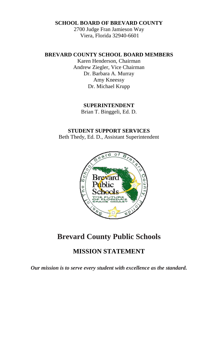#### <span id="page-2-0"></span>**SCHOOL BOARD OF BREVARD COUNTY**

2700 Judge Fran Jamieson Way Viera, Florida 32940-6601

#### **BREVARD COUNTY SCHOOL BOARD MEMBERS**

Karen Henderson, Chairman Andrew Ziegler, Vice Chairman Dr. Barbara A. Murray Amy Kneessy Dr. Michael Krupp

**SUPERINTENDENT**

Brian T. Binggeli, Ed. D.

#### **STUDENT SUPPORT SERVICES** Beth Thedy, Ed. D., Assistant Superintendent



# **Brevard County Public Schools**

## **MISSION STATEMENT**

<span id="page-2-1"></span>*Our mission is to serve every student with excellence as the standard.*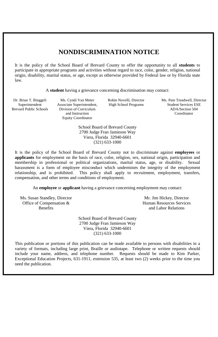## **NONDISCRIMINATION NOTICE**

<span id="page-3-0"></span>It is the policy of the School Board of Brevard County to offer the opportunity to all **students** to participate in appropriate programs and activities without regard to race, color, gender, religion, national origin, disability, marital status, or age, except as otherwise provided by Federal law or by Florida state law.

A **student** having a grievance concerning discrimination may contact:

Dr. Brian T. Binggeli Superintendent Brevard Public Schools

Ms. Cyndi Van Meter Associate Superintendent, Division of Curriculum and Instruction Equity Coordinator

 Robin Novelli, Director High School Programs

Ms. Pam Treadwell, Director Student Services ESE ADA/Section 504 Coordinator

School Board of Brevard County 2700 Judge Fran Jamieson Way Viera, Florida 32940-6601 (321) 633-1000

It is the policy of the School Board of Brevard County not to discriminate against **employees** or **applicants** for employment on the basis of race, color, religion, sex, national origin, participation and membership in professional or political organizations, marital status, age, or disability. Sexual harassment is a form of employee misconduct which undermines the integrity of the employment relationship, and is prohibited. This policy shall apply to recruitment, employment, transfers, compensation, and other terms and conditions of employment.

An **employee** or **applicant** having a grievance concerning employment may contact:

Ms. Susan Standley, Director Office of Compensation & Benefits

Mr. Jim Hickey, Director Human Resources Services and Labor Relations

School Board of Brevard County 2700 Judge Fran Jamieson Way Viera, Florida 32940-6601 (321) 633-1000

This publication or portions of this publication can be made available to persons with disabilities in a variety of formats, including large print, Braille or audiotape. Telephone or written requests should include your name, address, and telephone number. Requests should be made to Kim Parker, Exceptional Education Projects, 631-1911, extension 535, at least two (2) weeks prior to the time you need the publication.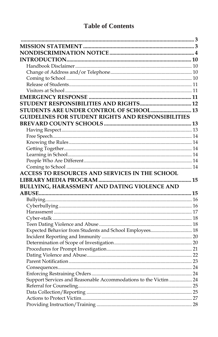# **Table of Contents**

| STUDENTS ARE UNDER CONTROL OF SCHOOL 13                          |  |
|------------------------------------------------------------------|--|
| <b>GUIDELINES FOR STUDENT RIGHTS AND RESPONSIBILITIES</b>        |  |
|                                                                  |  |
|                                                                  |  |
|                                                                  |  |
|                                                                  |  |
|                                                                  |  |
|                                                                  |  |
|                                                                  |  |
|                                                                  |  |
| ACCESS TO RESOURCES AND SERVICES IN THE SCHOOL                   |  |
|                                                                  |  |
|                                                                  |  |
|                                                                  |  |
| BULLYING, HARASSMENT AND DATING VIOLENCE AND                     |  |
|                                                                  |  |
|                                                                  |  |
|                                                                  |  |
|                                                                  |  |
|                                                                  |  |
|                                                                  |  |
| Expected Behavior from Students and School Employees 18          |  |
|                                                                  |  |
|                                                                  |  |
|                                                                  |  |
|                                                                  |  |
|                                                                  |  |
|                                                                  |  |
|                                                                  |  |
| Support Services and Reasonable Accommodations to the Victim  24 |  |
|                                                                  |  |
|                                                                  |  |
|                                                                  |  |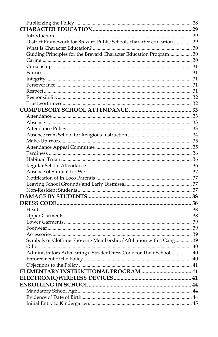| District Framework for Brevard Public Schools character education 29 |  |
|----------------------------------------------------------------------|--|
|                                                                      |  |
| Guiding Principles for the Brevard Character Education Program 30    |  |
|                                                                      |  |
|                                                                      |  |
|                                                                      |  |
|                                                                      |  |
|                                                                      |  |
|                                                                      |  |
|                                                                      |  |
|                                                                      |  |
|                                                                      |  |
|                                                                      |  |
|                                                                      |  |
|                                                                      |  |
|                                                                      |  |
|                                                                      |  |
|                                                                      |  |
|                                                                      |  |
|                                                                      |  |
|                                                                      |  |
|                                                                      |  |
|                                                                      |  |
|                                                                      |  |
|                                                                      |  |
|                                                                      |  |
|                                                                      |  |
|                                                                      |  |
|                                                                      |  |
|                                                                      |  |
|                                                                      |  |
|                                                                      |  |
| Symbols or Clothing Showing Membership/Affiliation with a Gang 39    |  |
|                                                                      |  |
| Administrators Advocating a Stricter Dress Code for Their School 40  |  |
|                                                                      |  |
| Objections to the Policy                                             |  |
|                                                                      |  |
|                                                                      |  |
|                                                                      |  |
|                                                                      |  |
|                                                                      |  |
|                                                                      |  |
|                                                                      |  |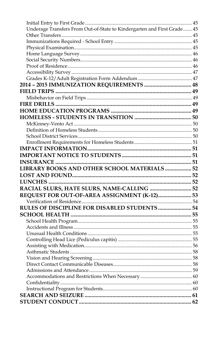| Underage Transfers From Out-of-State to Kindergarten and First Grade 45 |  |
|-------------------------------------------------------------------------|--|
|                                                                         |  |
|                                                                         |  |
|                                                                         |  |
|                                                                         |  |
|                                                                         |  |
|                                                                         |  |
|                                                                         |  |
|                                                                         |  |
| 2014 - 2015 IMMUNIZATION REQUIREMENTS  48                               |  |
|                                                                         |  |
|                                                                         |  |
|                                                                         |  |
|                                                                         |  |
|                                                                         |  |
|                                                                         |  |
|                                                                         |  |
|                                                                         |  |
|                                                                         |  |
|                                                                         |  |
|                                                                         |  |
|                                                                         |  |
| LIBRARY BOOKS AND OTHER SCHOOL MATERIALS 52                             |  |
|                                                                         |  |
|                                                                         |  |
| RACIAL SLURS, HATE SLURS, NAME-CALLING  52                              |  |
| REQUEST FOR OUT-OF-AREA ASSIGNMENT (K-12) 53                            |  |
|                                                                         |  |
| RULES OF DISCIPLINE FOR DISABLED STUDENTS 54                            |  |
|                                                                         |  |
|                                                                         |  |
|                                                                         |  |
|                                                                         |  |
|                                                                         |  |
|                                                                         |  |
|                                                                         |  |
|                                                                         |  |
|                                                                         |  |
|                                                                         |  |
|                                                                         |  |
|                                                                         |  |
|                                                                         |  |
|                                                                         |  |
|                                                                         |  |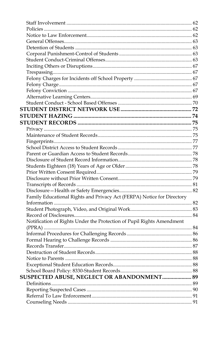| Family Educational Rights and Privacy Act (FERPA) Notice for Directory |  |
|------------------------------------------------------------------------|--|
|                                                                        |  |
|                                                                        |  |
|                                                                        |  |
| Notification of Rights Under the Protection of Pupil Rights Amendment  |  |
|                                                                        |  |
|                                                                        |  |
|                                                                        |  |
|                                                                        |  |
|                                                                        |  |
|                                                                        |  |
|                                                                        |  |
|                                                                        |  |
|                                                                        |  |
| SUSPECTED ABUSE, NEGLECT OR ABANDONMENT 89                             |  |
|                                                                        |  |
|                                                                        |  |
|                                                                        |  |
|                                                                        |  |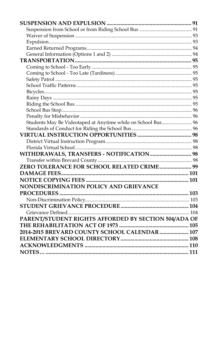| Students May Be Videotaped at Anytime while on School Bus 96 |  |
|--------------------------------------------------------------|--|
|                                                              |  |
|                                                              |  |
|                                                              |  |
|                                                              |  |
|                                                              |  |
|                                                              |  |
| ZERO TOLERANCE FOR SCHOOL RELATED CRIME 99                   |  |
|                                                              |  |
|                                                              |  |
| NONDISCRIMINATION POLICY AND GRIEVANCE                       |  |
|                                                              |  |
|                                                              |  |
|                                                              |  |
|                                                              |  |
| PARENT/STUDENT RIGHTS AFFORDED BY SECTION 504/ADA OF         |  |
|                                                              |  |
| 2014-2015 BREVARD COUNTY SCHOOL CALENDAR  107                |  |
|                                                              |  |
|                                                              |  |
|                                                              |  |
|                                                              |  |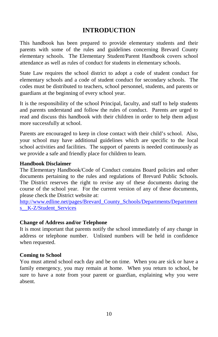## **INTRODUCTION**

<span id="page-9-0"></span>This handbook has been prepared to provide elementary students and their parents with some of the rules and guidelines concerning Brevard County elementary schools. The Elementary Student/Parent Handbook covers school attendance as well as rules of conduct for students in elementary schools.

State Law requires the school district to adopt a code of student conduct for elementary schools and a code of student conduct for secondary schools. The codes must be distributed to teachers, school personnel, students, and parents or guardians at the beginning of every school year.

It is the responsibility of the school Principal, faculty, and staff to help students and parents understand and follow the rules of conduct. Parents are urged to read and discuss this handbook with their children in order to help them adjust more successfully at school.

Parents are encouraged to keep in close contact with their child's school. Also, your school may have additional guidelines which are specific to the local school activities and facilities. The support of parents is needed continuously as we provide a safe and friendly place for children to learn.

#### <span id="page-9-1"></span>**Handbook Disclaimer**

The Elementary Handbook/Code of Conduct contains Board policies and other documents pertaining to the rules and regulations of Brevard Public Schools. The District reserves the right to revise any of these documents during the course of the school year. For the current version of any of these documents, please check the District website at:

[http://www.edline.net/pages/Brevard\\_County\\_Schools/Departments/Department](http://www.edline.net/pages/Brevard_County_Schools/Departments/Departments__K-Z/Student_Services) [s\\_\\_K-Z/Student\\_Services](http://www.edline.net/pages/Brevard_County_Schools/Departments/Departments__K-Z/Student_Services)

#### <span id="page-9-2"></span>**Change of Address and/or Telephone**

It is most important that parents notify the school immediately of any change in address or telephone number. Unlisted numbers will be held in confidence when requested.

#### <span id="page-9-3"></span>**Coming to School**

You must attend school each day and be on time. When you are sick or have a family emergency, you may remain at home. When you return to school, be sure to have a note from your parent or guardian, explaining why you were absent.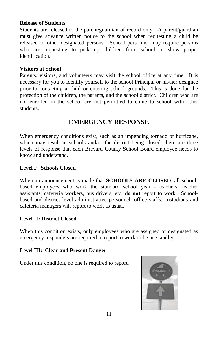### <span id="page-10-0"></span>**Release of Students**

Students are released to the parent/guardian of record only. A parent/guardian must give advance written notice to the school when requesting a child be released to other designated persons. School personnel may require persons who are requesting to pick up children from school to show proper identification.

### <span id="page-10-1"></span>**Visitors at School**

Parents, visitors, and volunteers may visit the school office at any time. It is necessary for you to identify yourself to the school Principal or his/her designee prior to contacting a child or entering school grounds. This is done for the protection of the children, the parents, and the school district. Children who are not enrolled in the school are not permitted to come to school with other students.

## **EMERGENCY RESPONSE**

<span id="page-10-2"></span>When emergency conditions exist, such as an impending tornado or hurricane, which may result in schools and/or the district being closed, there are three levels of response that each Brevard County School Board employee needs to know and understand.

## **Level I: Schools Closed**

When an announcement is made that **SCHOOLS ARE CLOSED**, all schoolbased employees who work the standard school year - teachers, teacher assistants, cafeteria workers, bus drivers, etc. **do not** report to work. Schoolbased and district level administrative personnel, office staffs, custodians and cafeteria managers will report to work as usual.

## **Level II: District Closed**

When this condition exists, only employees who are assigned or designated as emergency responders are required to report to work or be on standby.

## **Level III: Clear and Present Danger**

Under this condition, no one is required to report.

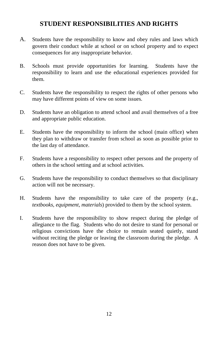## **STUDENT RESPONSIBILITIES AND RIGHTS**

- <span id="page-11-0"></span>A. Students have the responsibility to know and obey rules and laws which govern their conduct while at school or on school property and to expect consequences for any inappropriate behavior.
- B. Schools must provide opportunities for learning. Students have the responsibility to learn and use the educational experiences provided for them.
- C. Students have the responsibility to respect the rights of other persons who may have different points of view on some issues.
- D. Students have an obligation to attend school and avail themselves of a free and appropriate public education.
- E. Students have the responsibility to inform the school (main office) when they plan to withdraw or transfer from school as soon as possible prior to the last day of attendance.
- F. Students have a responsibility to respect other persons and the property of others in the school setting and at school activities.
- G. Students have the responsibility to conduct themselves so that disciplinary action will not be necessary.
- H. Students have the responsibility to take care of the property (e.g., *textbooks, equipment, materials*) provided to them by the school system.
- I. Students have the responsibility to show respect during the pledge of allegiance to the flag. Students who do not desire to stand for personal or religious convictions have the choice to remain seated quietly, stand without reciting the pledge or leaving the classroom during the pledge. A reason does not have to be given.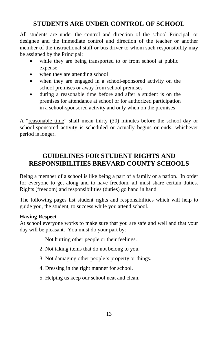## **STUDENTS ARE UNDER CONTROL OF SCHOOL**

<span id="page-12-0"></span>All students are under the control and direction of the school Principal, or designee and the immediate control and direction of the teacher or another member of the instructional staff or bus driver to whom such responsibility may be assigned by the Principal;

- while they are being transported to or from school at public expense
- when they are attending school
- when they are engaged in a school-sponsored activity on the school premises or away from school premises
- during a reasonable time before and after a student is on the premises for attendance at school or for authorized participation in a school-sponsored activity and only when on the premises

A "reasonable time" shall mean thirty (30) minutes before the school day or school-sponsored activity is scheduled or actually begins or ends; whichever period is longer.

## <span id="page-12-1"></span>**GUIDELINES FOR STUDENT RIGHTS AND RESPONSIBILITIES BREVARD COUNTY SCHOOLS**

Being a member of a school is like being a part of a family or a nation. In order for everyone to get along and to have freedom, all must share certain duties. Rights (freedom) and responsibilities (duties) go hand in hand.

The following pages list student rights and responsibilities which will help to guide you, the student, to success while you attend school.

## <span id="page-12-2"></span>**Having Respect**

At school everyone works to make sure that you are safe and well and that your day will be pleasant. You must do your part by:

- 1. Not hurting other people or their feelings.
- 2. Not taking items that do not belong to you.
- 3. Not damaging other people's property or things.
- 4. Dressing in the right manner for school.
- 5. Helping us keep our school neat and clean.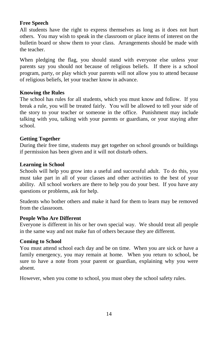## <span id="page-13-0"></span>**Free Speech**

All students have the right to express themselves as long as it does not hurt others. You may wish to speak in the classroom or place items of interest on the bulletin board or show them to your class. Arrangements should be made with the teacher.

When pledging the flag, you should stand with everyone else unless your parents say you should not because of religious beliefs. If there is a school program, party, or play which your parents will not allow you to attend because of religious beliefs, let your teacher know in advance.

#### <span id="page-13-1"></span>**Knowing the Rules**

The school has rules for all students, which you must know and follow. If you break a rule, you will be treated fairly. You will be allowed to tell your side of the story to your teacher or someone in the office. Punishment may include talking with you, talking with your parents or guardians, or your staying after school.

## <span id="page-13-2"></span>**Getting Together**

During their free time, students may get together on school grounds or buildings if permission has been given and it will not disturb others.

#### <span id="page-13-3"></span>**Learning in School**

Schools will help you grow into a useful and successful adult. To do this, you must take part in all of your classes and other activities to the best of your ability. All school workers are there to help you do your best. If you have any questions or problems, ask for help.

Students who bother others and make it hard for them to learn may be removed from the classroom.

#### <span id="page-13-4"></span>**People Who Are Different**

Everyone is different in his or her own special way. We should treat all people in the same way and not make fun of others because they are different.

#### <span id="page-13-5"></span>**Coming to School**

You must attend school each day and be on time. When you are sick or have a family emergency, you may remain at home. When you return to school, be sure to have a note from your parent or guardian, explaining why you were absent.

However, when you come to school, you must obey the school safety rules.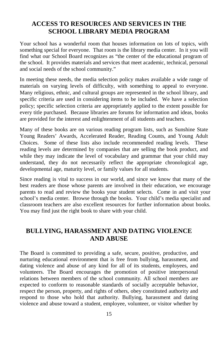## <span id="page-14-0"></span>**ACCESS TO RESOURCES AND SERVICES IN THE SCHOOL LIBRARY MEDIA PROGRAM**

Your school has a wonderful room that houses information on lots of topics, with something special for everyone. That room is the library media center. In it you will find what our School Board recognizes as "the center of the educational program of the school. It provides materials and services that meet academic, technical, personal and social needs of the school community."

In meeting these needs, the media selection policy makes available a wide range of materials on varying levels of difficulty, with something to appeal to everyone. Many religious, ethnic, and cultural groups are represented in the school library, and specific criteria are used in considering items to be included. We have a selection policy; specific selection criteria are appropriately applied to the extent possible for every title purchased. Because libraries are forums for information and ideas, books are provided for the interest and enlightenment of all students and teachers.

Many of these books are on various reading program lists, such as Sunshine State Young Readers' Awards, Accelerated Reader, Reading Counts, and Young Adult Choices. Some of these lists also include recommended reading levels. These reading levels are determined by companies that are selling the book product, and while they may indicate the level of vocabulary and grammar that your child may understand, they do not necessarily reflect the appropriate chronological age, developmental age, maturity level, or family values for all students.

Since reading is vital to success in our world, and since we know that many of the best readers are those whose parents are involved in their education, we encourage parents to read and review the books your student selects. Come in and visit your school's media center. Browse through the books. Your child's media specialist and classroom teachers are also excellent resources for further information about books. You may find just the right book to share with your child.

## <span id="page-14-1"></span>**BULLYING, HARASSMENT AND DATING VIOLENCE AND ABUSE**

The Board is committed to providing a safe, secure, positive, productive, and nurturing educational environment that is free from bullying, harassment, and dating violence and abuse of any kind for all of its students, employees, and volunteers. The Board encourages the promotion of positive interpersonal relations between members of the school community. All school members are expected to conform to reasonable standards of socially acceptable behavior, respect the person, property, and rights of others, obey constituted authority and respond to those who hold that authority. Bullying, harassment and dating violence and abuse toward a student, employee, volunteer, or visitor whether by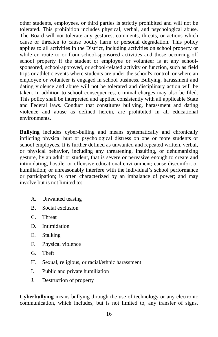other students, employees, or third parties is strictly prohibited and will not be tolerated. This prohibition includes physical, verbal, and psychological abuse. The Board will not tolerate any gestures, comments, threats, or actions which cause or threaten to cause bodily harm or personal degradation. This policy applies to all activities in the District, including activities on school property or while en route to or from school-sponsored activities and those occurring off school property if the student or employee or volunteer is at any schoolsponsored, school-approved, or school-related activity or function, such as field trips or athletic events where students are under the school's control, or where an employee or volunteer is engaged in school business. Bullying, harassment and dating violence and abuse will not be tolerated and disciplinary action will be taken. In addition to school consequences, criminal charges may also be filed. This policy shall be interpreted and applied consistently with all applicable State and Federal laws. Conduct that constitutes bullying, harassment and dating violence and abuse as defined herein, are prohibited in all educational environments.

<span id="page-15-0"></span>**Bullying** includes cyber-bulling and means systematically and chronically inflicting physical hurt or psychological distress on one or more students or school employees. It is further defined as unwanted and repeated written, verbal, or physical behavior, including any threatening, insulting, or dehumanizing gesture, by an adult or student, that is severe or pervasive enough to create and intimidating, hostile, or offensive educational environment; cause discomfort or humiliation; or unreasonably interfere with the individual's school performance or participation; is often characterized by an imbalance of power; and may involve but is not limited to:

- A. Unwanted teasing
- B. Social exclusion
- C. Threat
- D. Intimidation
- E. Stalking
- F. Physical violence
- G. Theft
- H. Sexual, religious, or racial/ethnic harassment
- I. Public and private humiliation
- J. Destruction of property

<span id="page-15-1"></span>**Cyberbullying** means bullying through the use of technology or any electronic communication, which includes, but is not limited to, any transfer of signs,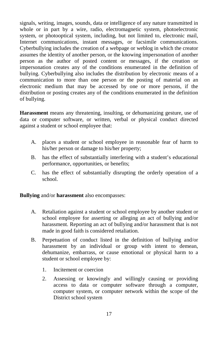signals, writing, images, sounds, data or intelligence of any nature transmitted in whole or in part by a wire, radio, electromagnetic system, photoelectronic system, or photooptical system, including, but not limited to, electronic mail, Internet communications, instant messages, or facsimile communications. Cyberbullying includes the creation of a webpage or weblog in which the creator assumes the identity of another person, or the knowing impersonation of another person as the author of posted content or messages, if the creation or impersonation creates any of the conditions enumerated in the definition of bullying. Cyberbullying also includes the distribution by electronic means of a communication to more than one person or the posting of material on an electronic medium that may be accessed by one or more persons, if the distribution or posting creates any of the conditions enumerated in the definition of bullying.

<span id="page-16-0"></span>**Harassment** means any threatening, insulting, or dehumanizing gesture, use of data or computer software, or written, verbal or physical conduct directed against a student or school employee that:

- A. places a student or school employee in reasonable fear of harm to his/her person or damage to his/her property;
- B. has the effect of substantially interfering with a student's educational performance, opportunities, or benefits;
- C. has the effect of substantially disrupting the orderly operation of a school.

#### **Bullying** and/or **harassment** also encompasses:

- A. Retaliation against a student or school employee by another student or school employee for asserting or alleging an act of bullying and/or harassment. Reporting an act of bullying and/or harassment that is not made in good faith is considered retaliation.
- B. Perpetuation of conduct listed in the definition of bullying and/or harassment by an individual or group with intent to demean, dehumanize, embarrass, or cause emotional or physical harm to a student or school employee by:
	- 1. Incitement or coercion
	- 2. Assessing or knowingly and willingly causing or providing access to data or computer software through a computer, computer system, or computer network within the scope of the District school system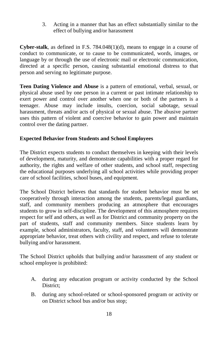3. Acting in a manner that has an effect substantially similar to the effect of bullying and/or harassment

<span id="page-17-0"></span>**Cyber-stalk**, as defined in F.S. 784.048(1)(d), means to engage in a course of conduct to communicate, or to cause to be communicated, words, images, or language by or through the use of electronic mail or electronic communication, directed at a specific person, causing substantial emotional distress to that person and serving no legitimate purpose.

<span id="page-17-1"></span>**Teen Dating Violence and Abuse** is a pattern of emotional, verbal, sexual, or physical abuse used by one person in a current or past intimate relationship to exert power and control over another when one or both of the partners is a teenager. Abuse may include insults, coercion, social sabotage, sexual harassment, threats and/or acts of physical or sexual abuse. The abusive partner uses this pattern of violent and coercive behavior to gain power and maintain control over the dating partner.

## <span id="page-17-2"></span>**Expected Behavior from Students and School Employees**

The District expects students to conduct themselves in keeping with their levels of development, maturity, and demonstrate capabilities with a proper regard for authority, the rights and welfare of other students, and school staff, respecting the educational purposes underlying all school activities while providing proper care of school facilities, school buses, and equipment.

The School District believes that standards for student behavior must be set cooperatively through interaction among the students, parents/legal guardians, staff, and community members producing an atmosphere that encourages students to grow in self-discipline. The development of this atmosphere requires respect for self and others, as well as for District and community property on the part of students, staff and community members. Since students learn by example, school administrators, faculty, staff, and volunteers will demonstrate appropriate behavior, treat others with civility and respect, and refuse to tolerate bullying and/or harassment.

The School District upholds that bullying and/or harassment of any student or school employee is prohibited:

- A. during any education program or activity conducted by the School District;
- B. during any school-related or school-sponsored program or activity or on District school bus and/or bus stop;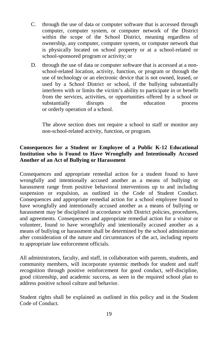- C. through the use of data or computer software that is accessed through computer, computer system, or computer network of the District within the scope of the School District, meaning regardless of ownership, any computer, computer system, or computer network that is physically located on school property or at a school-related or school-sponsored program or activity; or
- D. through the use of data or computer software that is accessed at a nonschool-related location, activity, function, or program or through the use of technology or an electronic device that is not owned, leased, or used by a School District or school, if the bullying substantially interferes with or limits the victim's ability to participate in or benefit from the services, activities, or opportunities offered by a school or substantially disrupts the education process or orderly operation of a school.

The above section does not require a school to staff or monitor any non-school-related activity, function, or program.

### **Consequences for a Student or Employee of a Public K-12 Educational Institution who is Found to Have Wrongfully and Intentionally Accused Another of an Act of Bullying or Harassment**

Consequences and appropriate remedial action for a student found to have wrongfully and intentionally accused another as a means of bullying or harassment range from positive behavioral interventions up to and including suspension or expulsion, as outlined in the Code of Student Conduct. Consequences and appropriate remedial action for a school employee found to have wrongfully and intentionally accused another as a means of bullying or harassment may be disciplined in accordance with District policies, procedures, and agreements. Consequences and appropriate remedial action for a visitor or volunteer, found to have wrongfully and intentionally accused another as a means of bullying or harassment shall be determined by the school administrator after consideration of the nature and circumstances of the act, including reports to appropriate law enforcement officials.

All administrators, faculty, and staff, in collaboration with parents, students, and community members, will incorporate systemic methods for student and staff recognition through positive reinforcement for good conduct, self-discipline, good citizenship, and academic success, as seen in the required school plan to address positive school culture and behavior.

Student rights shall be explained as outlined in this policy and in the Student Code of Conduct.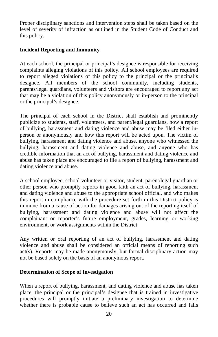Proper disciplinary sanctions and intervention steps shall be taken based on the level of severity of infraction as outlined in the Student Code of Conduct and this policy.

## <span id="page-19-0"></span>**Incident Reporting and Immunity**

At each school, the principal or principal's designee is responsible for receiving complaints alleging violations of this policy. All school employees are required to report alleged violations of this policy to the principal or the principal's designee. All members of the school community, including students, parents/legal guardians, volunteers and visitors are encouraged to report any act that may be a violation of this policy anonymously or in-person to the principal or the principal's designee.

The principal of each school in the District shall establish and prominently publicize to students, staff, volunteers, and parent/legal guardians, how a report of bullying, harassment and dating violence and abuse may be filed either inperson or anonymously and how this report will be acted upon. The victim of bullying, harassment and dating violence and abuse, anyone who witnessed the bullying, harassment and dating violence and abuse, and anyone who has credible information that an act of bullying, harassment and dating violence and abuse has taken place are encouraged to file a report of bullying, harassment and dating violence and abuse.

A school employee, school volunteer or visitor, student, parent/legal guardian or other person who promptly reports in good faith an act of bullying, harassment and dating violence and abuse to the appropriate school official, and who makes this report in compliance with the procedure set forth in this District policy is immune from a cause of action for damages arising out of the reporting itself of bullying, harassment and dating violence and abuse will not affect the complainant or reporter's future employment, grades, learning or working environment, or work assignments within the District.

Any written or oral reporting of an act of bullying, harassment and dating violence and abuse shall be considered an official means of reporting such act(s). Reports may be made anonymously, but formal disciplinary action may not be based solely on the basis of an anonymous report.

## <span id="page-19-1"></span>**Determination of Scope of Investigation**

When a report of bullying, harassment, and dating violence and abuse has taken place, the principal or the principal's designee that is trained in investigative procedures will promptly initiate a preliminary investigation to determine whether there is probable cause to believe such an act has occurred and falls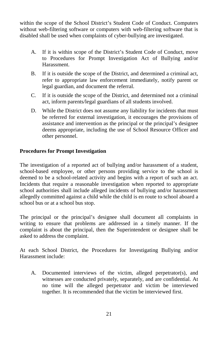within the scope of the School District's Student Code of Conduct. Computers without web-filtering software or computers with web-filtering software that is disabled shall be used when complaints of cyber-bullying are investigated.

- A. If it is within scope of the District's Student Code of Conduct, move to Procedures for Prompt Investigation Act of Bullying and/or Harassment.
- B. If it is outside the scope of the District, and determined a criminal act, refer to appropriate law enforcement immediately, notify parent or legal guardian, and document the referral.
- C. If it is outside the scope of the District, and determined not a criminal act, inform parents/legal guardians of all students involved.
- D. While the District does not assume any liability for incidents that must be referred for external investigation, it encourages the provisions of assistance and intervention as the principal or the principal's designee deems appropriate, including the use of School Resource Officer and other personnel.

## <span id="page-20-0"></span>**Procedures for Prompt Investigation**

The investigation of a reported act of bullying and/or harassment of a student, school-based employee, or other persons providing service to the school is deemed to be a school-related activity and begins with a report of such an act. Incidents that require a reasonable investigation when reported to appropriate school authorities shall include alleged incidents of bullying and/or harassment allegedly committed against a child while the child is en route to school aboard a school bus or at a school bus stop.

The principal or the principal's designee shall document all complaints in writing to ensure that problems are addressed in a timely manner. If the complaint is about the principal, then the Superintendent or designee shall be asked to address the complaint.

At each School District, the Procedures for Investigating Bullying and/or Harassment include:

A. Documented interviews of the victim, alleged perpetrator(s), and witnesses are conducted privately, separately, and are confidential. At no time will the alleged perpetrator and victim be interviewed together. It is recommended that the victim be interviewed first.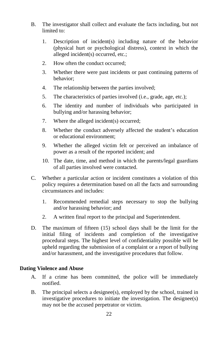- B. The investigator shall collect and evaluate the facts including, but not limited to:
	- 1. Description of incident(s) including nature of the behavior (physical hurt or psychological distress), context in which the alleged incident(s) occurred, etc.;
	- 2. How often the conduct occurred;
	- 3. Whether there were past incidents or past continuing patterns of behavior;
	- 4. The relationship between the parties involved;
	- 5. The characteristics of parties involved (i.e., grade, age, etc.);
	- 6. The identity and number of individuals who participated in bullying and/or harassing behavior;
	- 7. Where the alleged incident(s) occurred;
	- 8. Whether the conduct adversely affected the student's education or educational environment;
	- 9. Whether the alleged victim felt or perceived an imbalance of power as a result of the reported incident; and
	- 10. The date, time, and method in which the parents/legal guardians of all parties involved were contacted.
- C. Whether a particular action or incident constitutes a violation of this policy requires a determination based on all the facts and surrounding circumstances and includes:
	- 1. Recommended remedial steps necessary to stop the bullying and/or harassing behavior; and
	- 2. A written final report to the principal and Superintendent.
- D. The maximum of fifteen (15) school days shall be the limit for the initial filing of incidents and completion of the investigative procedural steps. The highest level of confidentiality possible will be upheld regarding the submission of a complaint or a report of bullying and/or harassment, and the investigative procedures that follow.

#### <span id="page-21-0"></span>**Dating Violence and Abuse**

- A. If a crime has been committed, the police will be immediately notified.
- B. The principal selects a designee(s), employed by the school, trained in investigative procedures to initiate the investigation. The designee(s) may not be the accused perpetrator or victim.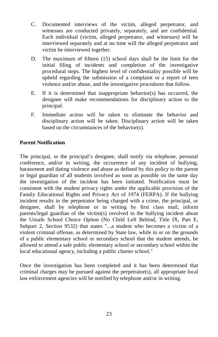- C. Documented interviews of the victim, alleged perpetrator, and witnesses are conducted privately, separately, and are confidential. Each individual (victim, alleged perpetrator, and witnesses) will be interviewed separately and at no time will the alleged perpetrator and victim be interviewed together.
- D. The maximum of fifteen (15) school days shall be the limit for the initial filing of incidents and completion of the investigative procedural steps. The highest level of confidentiality possible will be upheld regarding the submission of a complaint or a report of teen violence and/or abuse, and the investigative procedures that follow.
- E. If it is determined that inappropriate behavior(s) has occurred, the designee will make recommendations for disciplinary action to the principal.
- F. Immediate action will be taken to eliminate the behavior and disciplinary action will be taken. Disciplinary action will be taken based on the circumstances of the behavior(s).

## <span id="page-22-0"></span>**Parent Notification**

The principal, or the principal's designee, shall notify via telephone, personal conference, and/or in writing, the occurrence of any incident of bullying, harassment and dating violence and abuse as defined by this policy to the parent or legal guardian of all students involved as soon as possible on the same day the investigation of the incident has been initiated. Notification must be consistent with the student privacy rights under the applicable provision of the Family Educational Rights and Privacy Act of 1974 (FERPA). If the bullying incident results in the perpetrator being charged with a crime, the principal, or designee, shall by telephone or in writing by first class mail, inform parents/legal guardian of the victim(s) involved in the bullying incident about the Unsafe School Choice Option (No Child Left Behind, Title IX, Part E, Subpart 2, Section 9532) that states "...a student who becomes a victim of a violent criminal offense, as determined by State law, while in or on the grounds of a public elementary school or secondary school that the student attends, be allowed to attend a safe public elementary school or secondary school within the local educational agency, including a public charter school."

Once the investigation has been completed and it has been determined that criminal charges may be pursued against the perpetrator(s), all appropriate local law enforcement agencies will be notified by telephone and/or in writing.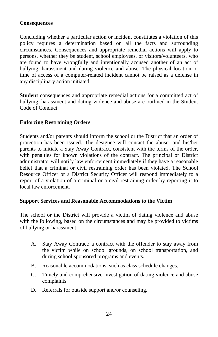### <span id="page-23-0"></span>**Consequences**

Concluding whether a particular action or incident constitutes a violation of this policy requires a determination based on all the facts and surrounding circumstances. Consequences and appropriate remedial actions will apply to persons, whether they be student, school employees, or visitors/volunteers, who are found to have wrongfully and intentionally accused another of an act of bullying, harassment and dating violence and abuse. The physical location or time of access of a computer-related incident cannot be raised as a defense in any disciplinary action initiated.

**Student** consequences and appropriate remedial actions for a committed act of bullying, harassment and dating violence and abuse are outlined in the Student Code of Conduct.

## <span id="page-23-1"></span>**Enforcing Restraining Orders**

Students and/or parents should inform the school or the District that an order of protection has been issued. The designee will contact the abuser and his/her parents to initiate a Stay Away Contract, consistent with the terms of the order, with penalties for known violations of the contract. The principal or District administrator will notify law enforcement immediately if they have a reasonable belief that a criminal or civil restraining order has been violated. The School Resource Officer or a District Security Officer will respond immediately to a report of a violation of a criminal or a civil restraining order by reporting it to local law enforcement.

## <span id="page-23-2"></span>**Support Services and Reasonable Accommodations to the Victim**

The school or the District will provide a victim of dating violence and abuse with the following, based on the circumstances and may be provided to victims of bullying or harassment:

- A. Stay Away Contract: a contract with the offender to stay away from the victim while on school grounds, on school transportation, and during school sponsored programs and events.
- B. Reasonable accommodations, such as class schedule changes.
- C. Timely and comprehensive investigation of dating violence and abuse complaints.
- D. Referrals for outside support and/or counseling.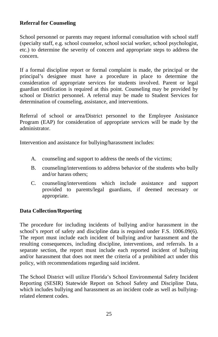## <span id="page-24-0"></span>**Referral for Counseling**

School personnel or parents may request informal consultation with school staff (specialty staff, e.g. school counselor, school social worker, school psychologist, etc.) to determine the severity of concern and appropriate steps to address the concern.

If a formal discipline report or formal complaint is made, the principal or the principal's designee must have a procedure in place to determine the consideration of appropriate services for students involved. Parent or legal guardian notification is required at this point. Counseling may be provided by school or District personnel. A referral may be made to Student Services for determination of counseling, assistance, and interventions.

Referral of school or area/District personnel to the Employee Assistance Program (EAP) for consideration of appropriate services will be made by the administrator.

Intervention and assistance for bullying/harassment includes:

- A. counseling and support to address the needs of the victims;
- B. counseling/interventions to address behavior of the students who bully and/or harass others;
- C. counseling/interventions which include assistance and support provided to parents/legal guardians, if deemed necessary or appropriate.

## <span id="page-24-1"></span>**Data Collection/Reporting**

The procedure for including incidents of bullying and/or harassment in the school's report of safety and discipline data is required under F.S. 1006.09(6). The report must include each incident of bullying and/or harassment and the resulting consequences, including discipline, interventions, and referrals. In a separate section, the report must include each reported incident of bullying and/or harassment that does not meet the criteria of a prohibited act under this policy, with recommendations regarding said incident.

The School District will utilize Florida's School Environmental Safety Incident Reporting (SESIR) Statewide Report on School Safety and Discipline Data, which includes bullying and harassment as an incident code as well as bullyingrelated element codes.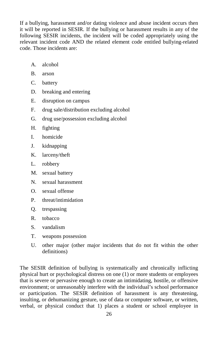If a bullying, harassment and/or dating violence and abuse incident occurs then it will be reported in SESIR. If the bullying or harassment results in any of the following SESIR incidents, the incident will be coded appropriately using the relevant incident code AND the related element code entitled bullying-related code. Those incidents are:

- A. alcohol
- B. arson
- C. battery
- D. breaking and entering
- E. disruption on campus
- F. drug sale/distribution excluding alcohol
- G. drug use/possession excluding alcohol
- H. fighting
- I. homicide
- J. kidnapping
- K. larceny/theft
- L. robbery
- M. sexual battery
- N. sexual harassment
- O. sexual offense
- P. threat/intimidation
- Q. trespassing
- R. tobacco
- S. vandalism
- T. weapons possession
- U. other major (other major incidents that do not fit within the other definitions)

The SESIR definition of bullying is systematically and chronically inflicting physical hurt or psychological distress on one (1) or more students or employees that is severe or pervasive enough to create an intimidating, hostile, or offensive environment; or unreasonably interfere with the individual's school performance or participation. The SESIR definition of harassment is any threatening, insulting, or dehumanizing gesture, use of data or computer software, or written, verbal, or physical conduct that 1) places a student or school employee in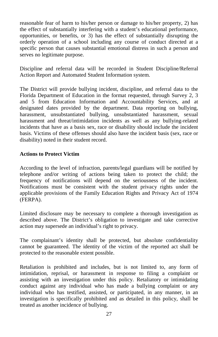reasonable fear of harm to his/her person or damage to his/her property, 2) has the effect of substantially interfering with a student's educational performance, opportunities, or benefits, or 3) has the effect of substantially disrupting the orderly operation of a school including any course of conduct directed at a specific person that causes substantial emotional distress in such a person and serves no legitimate purpose.

Discipline and referral data will be recorded in Student Discipline/Referral Action Report and Automated Student Information system.

The District will provide bullying incident, discipline, and referral data to the Florida Department of Education in the format requested, through Survey 2, 3 and 5 from Education Information and Accountability Services, and at designated dates provided by the department. Data reporting on bullying, harassment, unsubstantiated bullying, unsubstantiated harassment, sexual harassment and threat/intimidation incidents as well as any bullying-related incidents that have as a basis sex, race or disability should include the incident basis. Victims of these offenses should also have the incident basis (sex, race or disability) noted in their student record.

## <span id="page-26-0"></span>**Actions to Protect Victim**

According to the level of infraction, parents/legal guardians will be notified by telephone and/or writing of actions being taken to protect the child; the frequency of notifications will depend on the seriousness of the incident. Notifications must be consistent with the student privacy rights under the applicable provisions of the Family Education Rights and Privacy Act of 1974 (FERPA).

Limited disclosure may be necessary to complete a thorough investigation as described above. The District's obligation to investigate and take corrective action may supersede an individual's right to privacy.

The complainant's identity shall be protected, but absolute confidentiality cannot be guaranteed. The identity of the victim of the reported act shall be protected to the reasonable extent possible.

Retaliation is prohibited and includes, but is not limited to, any form of intimidation, reprisal, or harassment in response to filing a complaint or assisting with an investigation under this policy. Retaliatory or intimidating conduct against any individual who has made a bullying complaint or any individual who has testified, assisted, or participated, in any manner, in an investigation is specifically prohibited and as detailed in this policy, shall be treated as another incidence of bullying.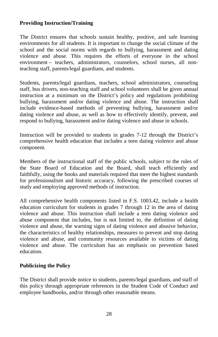### <span id="page-27-0"></span>**Providing Instruction/Training**

The District ensures that schools sustain healthy, positive, and safe learning environments for all students. It is important to change the social climate of the school and the social norms with regards to bullying, harassment and dating violence and abuse. This requires the efforts of everyone in the school environment – teachers, administrators, counselors, school nurses, all nonteaching staff, parents/legal guardians, and students.

Students, parents/legal guardians, teachers, school administrators, counseling staff, bus drivers, non-teaching staff and school volunteers shall be given annual instruction at a minimum on the District's policy and regulations prohibiting bullying, harassment and/or dating violence and abuse. The instruction shall include evidence-based methods of preventing bullying, harassment and/or dating violence and abuse, as well as how to effectively identify, prevent, and respond to bullying, harassment and/or dating violence and abuse in schools.

Instruction will be provided to students in grades 7-12 through the District's comprehensive health education that includes a teen dating violence and abuse component.

Members of the instructional staff of the public schools, subject to the rules of the State Board of Education and the Board, shall teach efficiently and faithfully, using the books and materials required that meet the highest standards for professionalism and historic accuracy, following the prescribed courses of study and employing approved methods of instruction.

All comprehensive health components listed in F.S. 1003.42, include a health education curriculum for students in grades 7 through 12 in the area of dating violence and abuse. This instruction shall include a teen dating violence and abuse component that includes, but is not limited to, the definition of dating violence and abuse, the warning signs of dating violence and abusive behavior, the characteristics of healthy relationships, measures to prevent and stop dating violence and abuse, and community resources available to victims of dating violence and abuse. The curriculum has an emphasis on prevention based education.

## <span id="page-27-1"></span>**Publicizing the Policy**

The District shall provide notice to students, parents/legal guardians, and staff of this policy through appropriate references in the Student Code of Conduct and employee handbooks, and/or through other reasonable means.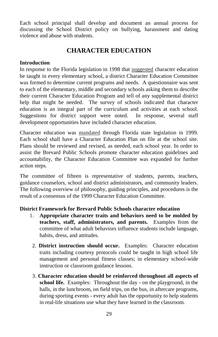Each school principal shall develop and document an annual process for discussing the School District policy on bullying, harassment and dating violence and abuse with students.

## **CHARACTER EDUCATION**

## <span id="page-28-1"></span><span id="page-28-0"></span>**Introduction**

In response to the Florida legislation in 1998 that suggested character education be taught in every elementary school, a district Character Education Committee was formed to determine current programs and needs. A questionnaire was sent to each of the elementary, middle and secondary schools asking them to describe their current Character Education Program and tell of any supplemental district help that might be needed. The survey of schools indicated that character education is an integral part of the curriculum and activities at each school. Suggestions for district support were noted. In response, several staff development opportunities have included character education.

Character education was mandated through Florida state legislation in 1999. Each school shall have a Character Education Plan on file at the school site. Plans should be reviewed and revised, as needed, each school year. In order to assist the Brevard Public Schools promote character education guidelines and accountability, the Character Education Committee was expanded for further action steps.

The committee of fifteen is representative of students, parents, teachers, guidance counselors, school and district administrators, and community leaders. The following overview of philosophy, guiding principles, and procedures is the result of a consensus of the 1999 Character Education Committee.

## <span id="page-28-2"></span>**District Framework for Brevard Public Schools character education**

- 1. **Appropriate character traits and behaviors need to be molded by teachers, staff, administrators, and parents.** Examples from the committee of what adult behaviors influence students include language, habits, dress, and attitudes.
- 2. **District instruction should occur.** Examples: Character education traits including courtesy protocols could be taught in high school life management and personal fitness classes; in elementary school-wide instruction or classroom guidance lessons.
- 3. **Character education should be reinforced throughout all aspects of school life.** Examples: Throughout the day - on the playground, in the halls, in the lunchroom, on field trips, on the bus, in aftercare programs, during sporting events - every adult has the opportunity to help students in real-life situations use what they have learned in the classroom.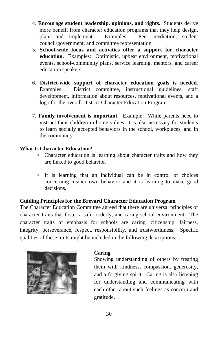- 4. **Encourage student leadership, opinions, and rights.** Students derive more benefit from character education programs that they help design, plan, and implement. Examples: Peer mediation, student council/government, and committee representation.
- 5. **School-wide focus and activities offer a support for character education.** Examples: Optimistic, upbeat environment, motivational events, school-community plans, service learning, mentors, and career education speakers.
- 6. **District-wide support of character education goals is needed**. Examples: District committee, instructional guidelines, staff development, information about resources, motivational events, and a logo for the overall District Character Education Program.
- 7. **Family involvement is important.** Example: While parents need to instruct their children in home values, it is also necessary for students to learn socially accepted behaviors in the school, workplaces, and in the community.

## <span id="page-29-0"></span>**What Is Character Education?**

- Character education is learning about character traits and how they are linked to good behavior.
- It is learning that an individual can be in control of choices concerning his/her own behavior and it is learning to make good decisions.

## <span id="page-29-1"></span>**Guiding Principles for the Brevard Character Education Program**

The Character Education Committee agreed that there are universal principles or character traits that foster a safe, orderly, and caring school environment. The character traits of emphasis for schools are caring, citizenship, fairness, integrity, perseverance, respect, responsibility, and trustworthiness. Specific qualities of these traits might be included in the following descriptions:

<span id="page-29-2"></span>

## **Caring**

Showing understanding of others by treating them with kindness, compassion, generosity, and a forgiving spirit. Caring is also listening for understanding and communicating with each other about such feelings as concern and gratitude.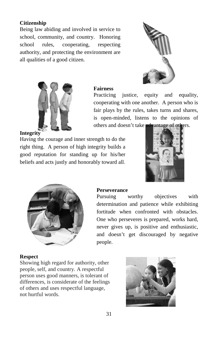## <span id="page-30-0"></span>**Citizenship**

Being law abiding and involved in service to school, community, and country. Honoring school rules, cooperating, respecting authority, and protecting the environment are all qualities of a good citizen.



<span id="page-30-1"></span>

## **Fairness**

Practicing justice, equity and equality, cooperating with one another. A person who is fair plays by the rules, takes turns and shares, is open-minded, listens to the opinions of others and doesn't take advantage of others.

<span id="page-30-2"></span>**Integrity** 

Having the courage and inner strength to do the right thing. A person of high integrity builds a good reputation for standing up for his/her beliefs and acts justly and honorably toward all.



<span id="page-30-3"></span>

#### **Perseverance**

Pursuing worthy objectives with determination and patience while exhibiting fortitude when confronted with obstacles. One who perseveres is prepared, works hard, never gives up, is positive and enthusiastic, and doesn't get discouraged by negative people.

#### <span id="page-30-4"></span>**Respect**

Showing high regard for authority, other people, self, and country. A respectful person uses good manners, is tolerant of differences, is considerate of the feelings of others and uses respectful language, not hurtful words.

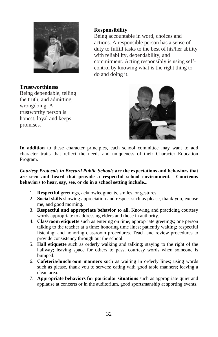<span id="page-31-0"></span>

<span id="page-31-1"></span>**Trustworthiness** 

Being dependable, telling the truth, and admitting wrongdoing. A trustworthy person is honest, loyal and keeps promises.

#### **Responsibility**

Being accountable in word, choices and actions. A responsible person has a sense of duty to fulfill tasks to the best of his/her ability with reliability, dependability, and commitment. Acting responsibly is using selfcontrol by knowing what is the right thing to do and doing it.



**In addition** to these character principles, each school committee may want to add character traits that reflect the needs and uniqueness of their Character Education Program.

*Courtesy Protocols in Brevard Public Schools* **are the expectations and behaviors that are seen and heard that provide a respectful school environment. Courteous behaviors to hear, say, see, or do in a school setting include...**

- 1. **Respectful** greetings, acknowledgments, smiles, or gestures.
- 2. **Social skills** showing appreciation and respect such as please, thank you, excuse me, and good morning.
- 3. **Respectful and appropriate behavior to all.** Knowing and practicing courtesy words appropriate to addressing elders and those in authority.
- 4. **Classroom etiquette** such as entering on time; appropriate greetings; one person talking to the teacher at a time; honoring time lines; patiently waiting; respectful listening; and honoring classroom procedures. Teach and review procedures to provide consistency through out the school.
- 5. **Hall etiquette** such as orderly walking and talking; staying to the right of the hallway; leaving space for others to pass; courtesy words when someone is bumped.
- 6. **Cafeteria/lunchroom manners** such as waiting in orderly lines; using words such as please, thank you to servers; eating with good table manners; leaving a clean area.
- 7. **Appropriate behaviors for particular situations** such as appropriate quiet and applause at concerts or in the auditorium, good sportsmanship at sporting events.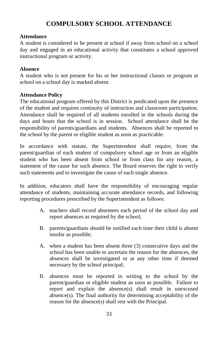## **COMPULSORY SCHOOL ATTENDANCE**

### <span id="page-32-1"></span><span id="page-32-0"></span>**Attendance**

A student is considered to be present at school if away from school on a school day and engaged in an educational activity that constitutes a school approved instructional program or activity.

## <span id="page-32-2"></span>**Absence**

A student who is not present for his or her instructional classes or program at school on a school day is marked absent.

## <span id="page-32-3"></span>**Attendance Policy**

The educational program offered by this District is predicated upon the presence of the student and requires continuity of instruction and classroom participation. Attendance shall be required of all students enrolled in the schools during the days and hours that the school is in session. School attendance shall be the responsibility of parents/guardians and students. Absences shall be reported to the school by the parent or eligible student as soon as practicable.

In accordance with statute, the Superintendent shall require, from the parent/guardian of each student of compulsory school age or from an eligible student who has been absent from school or from class for any reason, a statement of the cause for such absence. The Board reserves the right to verify such statements and to investigate the cause of each single absence.

In addition, educators shall have the responsibility of encouraging regular attendance of students, maintaining accurate attendance records, and following reporting procedures prescribed by the Superintendent as follows:

- A. teachers shall record absentees each period of the school day and report absences as required by the school;
- B. parents/guardians should be notified each time their child is absent insofar as possible;
- A. when a student has been absent three (3) consecutive days and the school has been unable to ascertain the reason for the absences, the absences shall be investigated or at any other time if deemed necessary by the school principal;
- B. absences must be reported in writing to the school by the parent/guardian or eligible student as soon as possible. Failure to report and explain the absence(s) shall result in unexcused absence(s). The final authority for determining acceptability of the reason for the absence(s) shall rest with the Principal.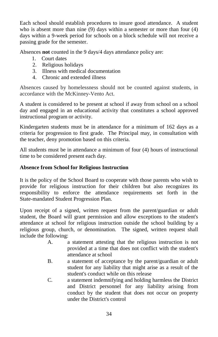Each school should establish procedures to insure good attendance. A student who is absent more than nine (9) days within a semester or more than four (4) days within a 9-week period for schools on a block schedule will not receive a passing grade for the semester.

Absences **not** counted in the 9 days/4 days attendance policy are:

- 1. Court dates
- 2. Religious holidays
- 3. Illness with medical documentation
- 4. Chronic and extended illness

Absences caused by homelessness should not be counted against students, in accordance with the McKinney-Vento Act.

A student is considered to be present at school if away from school on a school day and engaged in an educational activity that constitutes a school approved instructional program or activity.

Kindergarten students must be in attendance for a minimum of 162 days as a criteria for progression to first grade. The Principal may, in consultation with the teacher, deny promotion based on this criteria.

All students must be in attendance a minimum of four (4) hours of instructional time to be considered present each day.

## <span id="page-33-0"></span>**Absence from School for Religious Instruction**

It is the policy of the School Board to cooperate with those parents who wish to provide for religious instruction for their children but also recognizes its responsibility to enforce the attendance requirements set forth in the State-mandated Student Progression Plan.

Upon receipt of a signed, written request from the parent/guardian or adult student, the Board will grant permission and allow exceptions to the student's attendance at school for religious instruction outside the school building by a religious group, church, or denomination. The signed, written request shall include the following:

- A. a statement attesting that the religious instruction is not provided at a time that does not conflict with the student's attendance at school
- B. a statement of acceptance by the parent/guardian or adult student for any liability that might arise as a result of the student's conduct while on this release
- C. a statement indemnifying and holding harmless the District and District personnel for any liability arising from conduct by the student that does not occur on property under the District's control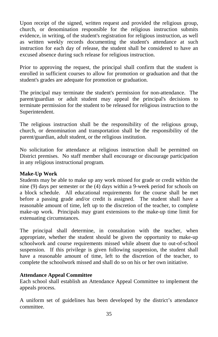Upon receipt of the signed, written request and provided the religious group, church, or denomination responsible for the religious instruction submits evidence, in writing, of the student's registration for religious instruction, as well as written weekly records documenting the student's attendance at such instruction for each day of release, the student shall be considered to have an excused absence during such release for religious instruction.

Prior to approving the request, the principal shall confirm that the student is enrolled in sufficient courses to allow for promotion or graduation and that the student's grades are adequate for promotion or graduation.

The principal may terminate the student's permission for non-attendance. The parent/guardian or adult student may appeal the principal's decisions to terminate permission for the student to be released for religious instruction to the Superintendent.

The religious instruction shall be the responsibility of the religious group, church, or denomination and transportation shall be the responsibility of the parent/guardian, adult student, or the religious institution.

No solicitation for attendance at religious instruction shall be permitted on District premises. No staff member shall encourage or discourage participation in any religious instructional program.

## <span id="page-34-0"></span>**Make-Up Work**

Students may be able to make up any work missed for grade or credit within the nine (9) days per semester or the (4) days within a 9-week period for schools on a block schedule. All educational requirements for the course shall be met before a passing grade and/or credit is assigned. The student shall have a reasonable amount of time, left up to the discretion of the teacher, to complete make-up work. Principals may grant extensions to the make-up time limit for extenuating circumstances.

The principal shall determine, in consultation with the teacher, when appropriate, whether the student should be given the opportunity to make-up schoolwork and course requirements missed while absent due to out-of-school suspension. If this privilege is given following suspension, the student shall have a reasonable amount of time, left to the discretion of the teacher, to complete the schoolwork missed and shall do so on his or her own initiative.

## <span id="page-34-1"></span>**Attendance Appeal Committee**

Each school shall establish an Attendance Appeal Committee to implement the appeals process.

A uniform set of guidelines has been developed by the district's attendance committee.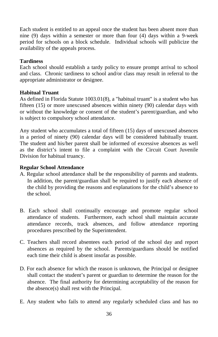Each student is entitled to an appeal once the student has been absent more than nine (9) days within a semester or more than four (4) days within a 9-week period for schools on a block schedule. Individual schools will publicize the availability of the appeals process.

#### <span id="page-35-0"></span>**Tardiness**

Each school should establish a tardy policy to ensure prompt arrival to school and class. Chronic tardiness to school and/or class may result in referral to the appropriate administrator or designee.

## <span id="page-35-1"></span>**Habitual Truant**

As defined in Florida Statute 1003.01(8), a "habitual truant" is a student who has fifteen (15) or more unexcused absences within ninety (90) calendar days with or without the knowledge or consent of the student's parent/guardian, and who is subject to compulsory school attendance.

Any student who accumulates a total of fifteen (15) days of unexcused absences in a period of ninety (90) calendar days will be considered habitually truant. The student and his/her parent shall be informed of excessive absences as well as the district's intent to file a complaint with the Circuit Court Juvenile Division for habitual truancy.

### <span id="page-35-2"></span>**Regular School Attendance**

- A. Regular school attendance shall be the responsibility of parents and students. In addition, the parent/guardian shall be required to justify each absence of the child by providing the reasons and explanations for the child's absence to the school.
- B. Each school shall continually encourage and promote regular school attendance of students. Furthermore, each school shall maintain accurate attendance records, track absences, and follow attendance reporting procedures prescribed by the Superintendent.
- C. Teachers shall record absentees each period of the school day and report absences as required by the school. Parents/guardians should be notified each time their child is absent insofar as possible.
- D. For each absence for which the reason is unknown, the Principal or designee shall contact the student's parent or guardian to determine the reason for the absence. The final authority for determining acceptability of the reason for the absence(s) shall rest with the Principal.
- E. Any student who fails to attend any regularly scheduled class and has no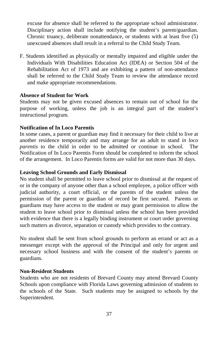excuse for absence shall be referred to the appropriate school administrator. Disciplinary action shall include notifying the student's parent/guardian. Chronic truancy, deliberate nonattendance, or students with at least five (5) unexcused absences shall result in a referral to the Child Study Team.

F. Students identified as physically or mentally impaired and eligible under the Individuals With Disabilities Education Act (IDEA) or Section 504 of the Rehabilitation Act of 1973 and are exhibiting a pattern of non-attendance shall be referred to the Child Study Team to review the attendance record and make appropriate recommendations.

#### **Absence of Student for Work**

Students may not be given excused absences to remain out of school for the purpose of working, unless the job is an integral part of the student's instructional program.

#### **Notification of In Loco Parentis**

In some cases, a parent or guardian may find it necessary for their child to live at another residence temporarily and may arrange for an adult to stand *in loco parentis* to the child in order to be admitted or continue in school. The Notification of In Loco Parentis Form should be completed to inform the school of the arrangement. In Loco Parentis forms are valid for not more than 30 days.

#### **Leaving School Grounds and Early Dismissal**

No student shall be permitted to leave school prior to dismissal at the request of or in the company of anyone other than a school employee, a police officer with judicial authority, a court official, or the parents of the student unless the permission of the parent or guardian of record be first secured. Parents or guardians may have access to the student or may grant permission to allow the student to leave school prior to dismissal unless the school has been provided with evidence that there is a legally binding instrument or court order governing such matters as divorce, separation or custody which provides to the contrary.

No student shall be sent from school grounds to perform an errand or act as a messenger except with the approval of the Principal and only for urgent and necessary school business and with the consent of the student's parents or guardians.

#### **Non-Resident Students**

Students who are not residents of Brevard County may attend Brevard County Schools upon compliance with Florida Laws governing admission of students to the schools of the State. Such students may be assigned to schools by the Superintendent.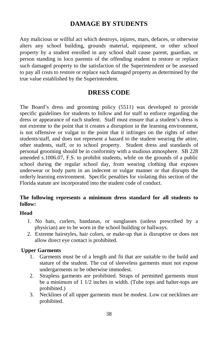# **DAMAGE BY STUDENTS**

Any malicious or willful act which destroys, injures, mars, defaces, or otherwise alters any school building, grounds material, equipment, or other school property by a student enrolled in any school shall cause parent, guardian, or person standing in loco parentis of the offending student to restore or replace such damaged property to the satisfaction of the Superintendent or be assessed to pay all costs to restore or replace such damaged property as determined by the true value established by the Superintendent.

# **DRESS CODE**

The Board's dress and grooming policy (5511) was developed to provide specific guidelines for students to follow and for staff to enforce regarding the dress or appearance of each student. Staff must ensure that a student's dress is not extreme to the point that it creates a disruption in the learning environment, is not offensive or vulgar to the point that it infringes on the rights of other students/staff, and does not represent a hazard to the student wearing the attire, other students, staff, or to school property. Student dress and standards of personal grooming should be in conformity with a studious atmosphere. SB 228 amended s.1006.07, F.S. to prohibit students, while on the grounds of a public school during the regular school day, from wearing clothing that exposes underwear or body parts in an indecent or vulgar manner or that disrupts the orderly learning environment. Specific penalties for violating this section of the Florida statute are incorporated into the student code of conduct.

### **The following represents a minimum dress standard for all students to follow:**

#### **Head**

- 1. No hats, curlers, bandanas, or sunglasses (unless prescribed by a physician) are to be worn in the school building or hallways.
- 2. Extreme hairstyles, hair colors, or make-up that is disruptive or does not allow direct eye contact is prohibited.

#### **Upper Garments**

- 1. Garments must be of a length and fit that are suitable to the build and stature of the student. The cut of sleeveless garments must not expose undergarments or be otherwise immodest.
- 2. Strapless garments are prohibited. Straps of permitted garments must be a minimum of 1 1/2 inches in width. (Tube tops and halter-tops are prohibited.)
- 3. Necklines of all upper garments must be modest. Low cut necklines are prohibited.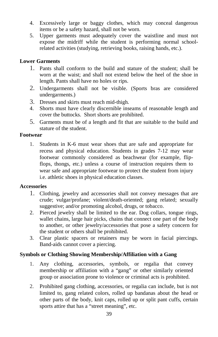- 4. Excessively large or baggy clothes, which may conceal dangerous items or be a safety hazard, shall not be worn.
- 5. Upper garments must adequately cover the waistline and must not expose the midriff while the student is performing normal schoolrelated activities (studying, retrieving books, raising hands, etc.).

# **Lower Garments**

- 1. Pants shall conform to the build and stature of the student; shall be worn at the waist; and shall not extend below the heel of the shoe in length. Pants shall have no holes or rips.
- 2. Undergarments shall not be visible. (Sports bras are considered undergarments.)
- 3. Dresses and skirts must reach mid-thigh.
- 4. Shorts must have clearly discernible inseams of reasonable length and cover the buttocks. Short shorts are prohibited.
- 5. Garments must be of a length and fit that are suitable to the build and stature of the student.

### **Footwear**

1. Students in K-6 must wear shoes that are safe and appropriate for recess and physical education. Students in grades 7-12 may wear footwear commonly considered as beachwear (for example, flipflops, thongs, etc.) unless a course of instruction requires them to wear safe and appropriate footwear to protect the student from injury i.e. athletic shoes in physical education classes.

### **Accessories**

- 1. Clothing, jewelry and accessories shall not convey messages that are crude; vulgar/profane; violent/death-oriented; gang related; sexually suggestive; and/or promoting alcohol, drugs, or tobacco.
- 2. Pierced jewelry shall be limited to the ear. Dog collars, tongue rings, wallet chains, large hair picks, chains that connect one part of the body to another, or other jewelry/accessories that pose a safety concern for the student or others shall be prohibited.
- 3. Clear plastic spacers or retainers may be worn in facial piercings. Band-aids cannot cover a piercing.

# **Symbols or Clothing Showing Membership/Affiliation with a Gang**

- 1. Any clothing, accessories, symbols, or regalia that convey membership or affiliation with a "gang" or other similarly oriented group or association prone to violence or criminal acts is prohibited.
- 2. Prohibited gang clothing, accessories, or regalia can include, but is not limited to, gang related colors, rolled up bandanas about the head or other parts of the body, knit caps, rolled up or split pant cuffs, certain sports attire that has a "street meaning", etc.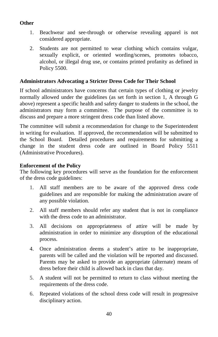# **Other**

- 1. Beachwear and see-through or otherwise revealing apparel is not considered appropriate.
- 2. Students are not permitted to wear clothing which contains vulgar, sexually explicit, or oriented wording/scenes, promotes tobacco, alcohol, or illegal drug use, or contains printed profanity as defined in Policy 5500.

# **Administrators Advocating a Stricter Dress Code for Their School**

If school administrators have concerns that certain types of clothing or jewelry normally allowed under the guidelines (as set forth in section 1, A through G above) represent a specific health and safety danger to students in the school, the administrators may form a committee. The purpose of the committee is to discuss and prepare a more stringent dress code than listed above.

The committee will submit a recommendation for change to the Superintendent in writing for evaluation. If approved, the recommendation will be submitted to the School Board. Detailed procedures and requirements for submitting a change in the student dress code are outlined in Board Policy 5511 (Administrative Procedures).

# **Enforcement of the Policy**

The following key procedures will serve as the foundation for the enforcement of the dress code guidelines:

- 1. All staff members are to be aware of the approved dress code guidelines and are responsible for making the administration aware of any possible violation.
- 2. All staff members should refer any student that is not in compliance with the dress code to an administrator.
- 3. All decisions on appropriateness of attire will be made by administration in order to minimize any disruption of the educational process.
- 4. Once administration deems a student's attire to be inappropriate, parents will be called and the violation will be reported and discussed. Parents may be asked to provide an appropriate (alternate) means of dress before their child is allowed back in class that day.
- 5. A student will not be permitted to return to class without meeting the requirements of the dress code.
- 6. Repeated violations of the school dress code will result in progressive disciplinary action.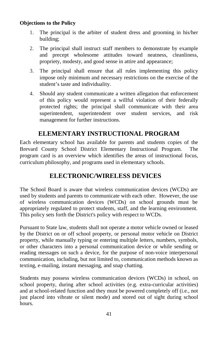## **Objections to the Policy**

- 1. The principal is the arbiter of student dress and grooming in his/her building;
- 2. The principal shall instruct staff members to demonstrate by example and precept wholesome attitudes toward neatness, cleanliness, propriety, modesty, and good sense in attire and appearance;
- 3. The principal shall ensure that all rules implementing this policy impose only minimum and necessary restrictions on the exercise of the student's taste and individuality.
- 4. Should any student communicate a written allegation that enforcement of this policy would represent a willful violation of their federally protected rights; the principal shall communicate with their area superintendent, superintendent over student services, and risk management for further instructions.

# **ELEMENTARY INSTRUCTIONAL PROGRAM**

Each elementary school has available for parents and students copies of the Brevard County School District Elementary Instructional Program. The program card is an overview which identifies the areas of instructional focus, curriculum philosophy, and programs used in elementary schools.

# **ELECTRONIC/WIRELESS DEVICES**

The School Board is aware that wireless communication devices (WCDs) are used by students and parents to communicate with each other. However, the use of wireless communication devices (WCDs) on school grounds must be appropriately regulated to protect students, staff, and the learning environment. This policy sets forth the District's policy with respect to WCDs.

Pursuant to State law, students shall not operate a motor vehicle owned or leased by the District on or off school property, or personal motor vehicle on District property, while manually typing or entering multiple letters, numbers, symbols, or other characters into a personal communication device or while sending or reading messages on such a device, for the purpose of non-voice interpersonal communication, including, but not limited to, communication methods known as texting, e-mailing, instant messaging, and snap chatting.

Students may possess wireless communication devices (WCDs) in school, on school property, during after school activities (e.g. extra-curricular activities) and at school-related function and they must be powered completely off (i.e., not just placed into vibrate or silent mode) and stored out of sight during school hours.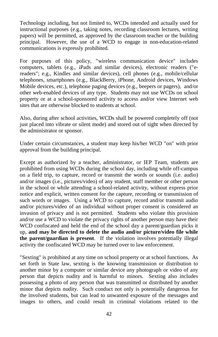Technology including, but not limited to, WCDs intended and actually used for instructional purposes (e.g., taking notes, recording classroom lectures, writing papers) will be permitted, as approved by the classroom teacher or the building principal. However, the use of a WCD to engage in non-education-related communications is expressly prohibited.

For purposes of this policy, "wireless communication device" includes computers, tablets (e.g., iPads and similar devices), electronic readers ("ereaders"; e.g., Kindles and similar devices), cell phones (e.g., mobile/cellular telephones, smartphones (e.g., BlackBerry, iPhone, Android devices, Windows Mobile devices, etc.), telephone paging devices (e.g., beepers or pagers), and/or other web-enabled devices of any type. Students may not use WCDs on school property or at a school-sponsored activity to access and/or view Internet web sites that are otherwise blocked to students at school.

Also, during after school activities, WCDs shall be powered completely off (not just placed into vibrate or silent mode) and stored out of sight when directed by the administrator or sponsor.

Under certain circumstances, a student may keep his/her WCD "on" with prior approval from the building principal.

Except as authorized by a teacher, administrator, or IEP Team, students are prohibited from using WCDs during the school day, including while off-campus on a field trip, to capture, record or transmit the words or sounds (i.e. audio) and/or images (i.e., pictures/video) of any student, staff member or other person in the school or while attending a school-related activity, without express prior notice and explicit, written consent for the capture, recording or transmission of such words or images. Using a WCD to capture, record and/or transmit audio and/or pictures/video of an individual without proper consent is considered an invasion of privacy and is not permitted. Students who violate this provision and/or use a WCD to violate the privacy rights of another person may have their WCD confiscated and held the end of the school day a parent/guardian picks it up, **and may be directed to delete the audio and/or picture/video file while the parent/guardian is present**. If the violation involves potentially illegal activity the confiscated WCD may be turned over to law enforcement.

"Sexting" is prohibited at any time on school property or at school functions. As set forth in State law, sexting is the knowing transmission or distribution to another minor by a computer or similar device any photograph or video of any person that depicts nudity and is harmful to minors. Sexting also includes possessing a photo of any person that was transmitted or distributed by another minor that depicts nudity. Such conduct not only is potentially dangerous for the involved students, but can lead to unwanted exposure of the messages and images to others, and could result in criminal violations related to the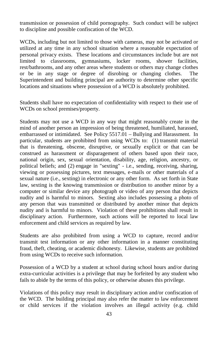transmission or possession of child pornography. Such conduct will be subject to discipline and possible confiscation of the WCD.

WCDs, including but not limited to those with cameras, may not be activated or utilized at any time in any school situation where a reasonable expectation of personal privacy exists. These locations and circumstances include but are not limited to classrooms, gymnasiums, locker rooms, shower facilities, rest/bathrooms, and any other areas where students or others may change clothes or be in any stage or degree of disrobing or changing clothes. The Superintendent and building principal are authority to determine other specific locations and situations where possession of a WCD is absolutely prohibited.

Students shall have no expectation of confidentiality with respect to their use of WCDs on school premises/property.

Students may not use a WCD in any way that might reasonably create in the mind of another person an impression of being threatened, humiliated, harassed, embarrassed or intimidated. See Policy 5517.01 – Bullying and Harassment. In particular, students are prohibited from using WCDs to: (1) transmit material that is threatening, obscene, disruptive, or sexually explicit or that can be construed as harassment or disparagement of others based upon their race, national origin, sex, sexual orientation, disability, age, religion, ancestry, or political beliefs; and (2) engage in "sexting" - i.e., sending, receiving, sharing, viewing or possessing pictures, text messages, e-mails or other materials of a sexual nature (i.e., sexting) in electronic or any other form. As set forth in State law, sexting is the knowing transmission or distribution to another minor by a computer or similar device any photograph or video of any person that depicts nudity and is harmful to minors. Sexting also includes possessing a photo of any person that was transmitted or distributed by another minor that depicts nudity and is harmful to minors. Violation of these prohibitions shall result in disciplinary action. Furthermore, such actions will be reported to local law enforcement and child services as required by law.

Students are also prohibited from using a WCD to capture, record and/or transmit test information or any other information in a manner constituting fraud, theft, cheating, or academic dishonesty. Likewise, students are prohibited from using WCDs to receive such information.

Possession of a WCD by a student at school during school hours and/or during extra-curricular activities is a privilege that may be forfeited by any student who fails to abide by the terms of this policy, or otherwise abuses this privilege.

Violations of this policy may result in disciplinary action and/or confiscation of the WCD. The building principal may also refer the matter to law enforcement or child services if the violation involves an illegal activity (e.g. child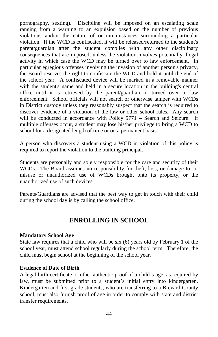pornography, sexting). Discipline will be imposed on an escalating scale ranging from a warning to an expulsion based on the number of previous violations and/or the nature of or circumstances surrounding a particular violation. If the WCD is confiscated, it will be released/returned to the student's parent/guardian after the student complies with any other disciplinary consequences that are imposed, unless the violation involves potentially illegal activity in which case the WCD may be turned over to law enforcement. In particular egregious offenses involving the invasion of another person's privacy, the Board reserves the right to confiscate the WCD and hold it until the end of the school year. A confiscated device will be marked in a removable manner with the student's name and held in a secure location in the building's central office until it is retrieved by the parent/guardian or turned over to law enforcement. School officials will not search or otherwise tamper with WCDs in District custody unless they reasonably suspect that the search is required to discover evidence of a violation of the law or other school rules. Any search will be conducted in accordance with Policy 5771 – Search and Seizure. If multiple offenses occur, a student may lose his/her privilege to bring a WCD to school for a designated length of time or on a permanent basis.

A person who discovers a student using a WCD in violation of this policy is required to report the violation to the building principal.

Students are personally and solely responsible for the care and security of their WCDs. The Board assumes no responsibility for theft, loss, or damage to, or misuse or unauthorized use of WCDs brought onto its property, or the unauthorized use of such devices.

Parents/Guardians are advised that the best way to get in touch with their child during the school day is by calling the school office.

# **ENROLLING IN SCHOOL**

#### **Mandatory School Age**

State law requires that a child who will be six (6) years old by February 1 of the school year, must attend school regularly during the school term. Therefore, the child must begin school at the beginning of the school year.

#### **Evidence of Date of Birth**

A legal birth certificate or other authentic proof of a child's age, as required by law, must be submitted prior to a student's initial entry into kindergarten. Kindergarten and first grade students, who are transferring to a Brevard County school, must also furnish proof of age in order to comply with state and district transfer requirements.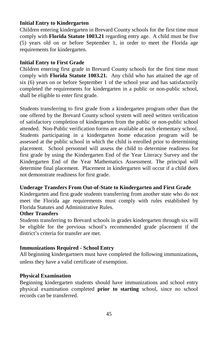## **Initial Entry to Kindergarten**

Children entering kindergarten in Brevard County schools for the first time must comply with **Florida Statute 1003.21** regarding entry age. A child must be five (5) years old on or before September 1, in order to meet the Florida age requirements for kindergarten.

# **Initial Entry to First Grade**

Children entering first grade in Brevard County schools for the first time must comply with **Florida Statute 1003.21.** Any child who has attained the age of six (6) years on or before September 1 of the school year and has satisfactorily completed the requirements for kindergarten in a public or non-public school, shall be eligible to enter first grade.

Students transferring to first grade from a kindergarten program other than the one offered by the Brevard County school system will need written verification of satisfactory completion of kindergarten from the public or non-public school attended. Non-Public verification forms are available at each elementary school. Students participating in a kindergarten home education program will be assessed at the public school in which the child is enrolled prior to determining placement. School personnel will assess the child to determine readiness for first grade by using the Kindergarten End of the Year Literacy Survey and the Kindergarten End of the Year Mathematics Assessment. The principal will determine final placement. Placement in kindergarten will occur if a child does not demonstrate readiness for first grade.

### **Underage Transfers From Out-of-State to Kindergarten and First Grade**

Kindergarten and first grade students transferring from another state who do not meet the Florida age requirements must comply with rules established by Florida Statutes and Administrative Rules.

#### **Other Transfers**

Students transferring to Brevard schools in grades kindergarten through six will be eligible for the previous school's recommended grade placement if the district's criteria for transfer are met.

### **Immunizations Required - School Entry**

All beginning kindergartners must have completed the following immunizations**,** unless they have a valid certificate of exemption.

### **Physical Examination**

Beginning kindergarten students should have immunizations and school entry physical examination completed **prior to starting** school, since no school records can be transferred.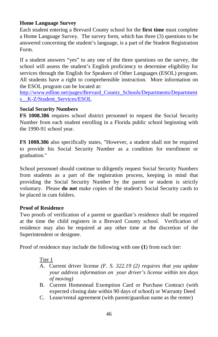# **Home Language Survey**

Each student entering a Brevard County school for the **first time** must complete a Home Language Survey. The survey form, which has three (3) questions to be answered concerning the student's language, is a part of the Student Registration Form.

If a student answers "yes" to any one of the three questions on the survey, the school will assess the student's English proficiency to determine eligibility for services through the English for Speakers of Other Languages (ESOL) program. All students have a right to comprehensible instruction. More information on the ESOL program can be located at:

[http://www.edline.net/pages/Brevard\\_County\\_Schools/Departments/Department](http://www.edline.net/pages/Brevard_County_Schools/Departments/Departments__K-Z/Student_Services/ESOL) s K-Z/Student Services/ESOL

# **Social Security Numbers**

**FS 1008.386** requires school district personnel to request the Social Security Number from each student enrolling in a Florida public school beginning with the 1990-91 school year.

**FS 1008.386** also specifically states, "However, a student shall not be required to provide his Social Security Number as a condition for enrollment or graduation."

School personnel should continue to diligently request Social Security Numbers from students as a part of the registration process, keeping in mind that providing the Social Security Number by the parent or student is strictly voluntary. Please **do not** make copies of the student's Social Security cards to be placed in cum folders.

### **Proof of Residence**

Two proofs of verification of a parent or guardian's residence shall be required at the time the child registers in a Brevard County school. Verification of residence may also be required at any other time at the discretion of the Superintendent or designee.

Proof of residence may include the following with one **(1**) from each tier:

# Tier 1

- A. Current driver license *(F. S. 322.19 (2) requires that you update your address information on your driver's license within ten days of moving)*
- B. Current Homestead Exemption Card or Purchase Contract (with expected closing date within 90 days of school) or Warranty Deed
- C. Lease/rental agreement (with parent/guardian name as the renter)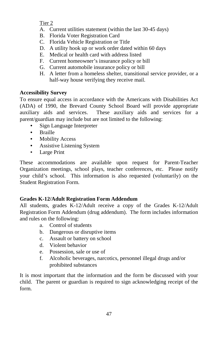Tier 2

- A. Current utilities statement (within the last 30-45 days)
- B. Florida Voter Registration Card
- C. Florida Vehicle Registration or Title
- D. A utility hook up or work order dated within 60 days
- E. Medical or health card with address listed
- F. Current homeowner's insurance policy or bill
- G. Current automobile insurance policy or bill
- H. A letter from a homeless shelter, transitional service provider, or a half-way house verifying they receive mail.

# **Accessibility Survey**

To ensure equal access in accordance with the Americans with Disabilities Act (ADA) of 1990, the Brevard County School Board will provide appropriate auxiliary aids and services. These auxiliary aids and services for a parent/guardian may include but are not limited to the following:

- Sign Language Interpreter
- Braille
- Mobility Access
- Assistive Listening System
- Large Print

These accommodations are available upon request for Parent-Teacher Organization meetings, school plays, teacher conferences, etc. Please notify your child's school. This information is also requested (voluntarily) on the Student Registration Form.

# **Grades K-12/Adult Registration Form Addendum**

All students, grades K-12/Adult receive a copy of the Grades K-12/Adult Registration Form Addendum (drug addendum). The form includes information and rules on the following:

- a. Control of students
- b. Dangerous or disruptive items
- c. Assault or battery on school
- d. Violent behavior
- e. Possession, sale or use of
- f. Alcoholic beverages, narcotics, personnel illegal drugs and/or prohibited substances

It is most important that the information and the form be discussed with your child. The parent or guardian is required to sign acknowledging receipt of the form.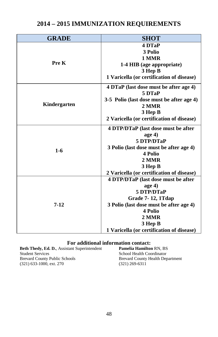# **2014 – 2015 IMMUNIZATION REQUIREMENTS**

| <b>GRADE</b> | <b>SHOT</b>                               |
|--------------|-------------------------------------------|
| Pre K        | 4 DTaP                                    |
|              | 3 Polio                                   |
|              | 1 MMR                                     |
|              | 1-4 HIB (age appropriate)                 |
|              | 3 Hep B                                   |
|              | 1 Varicella (or certification of disease) |
| Kindergarten | 4 DTaP (last dose must be after age 4)    |
|              | 5 DTaP                                    |
|              | 3-5 Polio (last dose must be after age 4) |
|              | 2 MMR                                     |
|              | 3 Hep B                                   |
|              | 2 Varicella (or certification of disease) |
| $1 - 6$      | 4 DTP/DTaP (last dose must be after       |
|              | age $4)$                                  |
|              | 5 DTP/DTaP                                |
|              | 3 Polio (last dose must be after age 4)   |
|              | 4 Polio                                   |
|              | 2 MMR                                     |
|              | 3 Hep B                                   |
|              | 2 Varicella (or certification of disease) |
| $7 - 12$     | 4 DTP/DTaP (last dose must be after       |
|              | age 4)                                    |
|              | 5 DTP/DTaP                                |
|              | <b>Grade 7-12, 1Tdap</b>                  |
|              | 3 Polio (last dose must be after age 4)   |
|              | 4 Polio                                   |
|              | 2 MMR                                     |
|              | 3 Hep B                                   |
|              | 1 Varicella (or certification of disease) |

# **For additional information contact:**<br> **Pamelia Hamilton RN. BS**

**Beth Thedy, Ed. D.**, Assistant Superintendent Student Services Student Services<br>
Brevard County Public Schools<br>
Brevard County Health Department of Brevard County Health Department of Brevard County<br>
Health Department of Brevard County Health Department of Brevard County<br>
Health Depar (321) 633-1000, ext. 270

Brevard County Health Department (321) 269-6311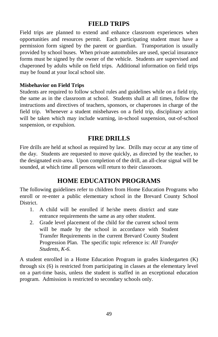# **FIELD TRIPS**

Field trips are planned to extend and enhance classroom experiences when opportunities and resources permit. Each participating student must have a permission form signed by the parent or guardian. Transportation is usually provided by school buses. When private automobiles are used, special insurance forms must be signed by the owner of the vehicle. Students are supervised and chaperoned by adults while on field trips. Additional information on field trips may be found at your local school site.

# **Misbehavior on Field Trips**

Students are required to follow school rules and guidelines while on a field trip, the same as in the classroom at school. Students shall at all times, follow the instructions and directives of teachers, sponsors, or chaperones in charge of the field trip. Whenever a student misbehaves on a field trip, disciplinary action will be taken which may include warning, in-school suspension, out-of-school suspension, or expulsion.

# **FIRE DRILLS**

Fire drills are held at school as required by law. Drills may occur at any time of the day. Students are requested to move quickly, as directed by the teacher, to the designated exit-area. Upon completion of the drill, an all-clear signal will be sounded, at which time all persons will return to their classroom.

# **HOME EDUCATION PROGRAMS**

The following guidelines refer to children from Home Education Programs who enroll or re-enter a public elementary school in the Brevard County School District.

- 1. A child will be enrolled if he/she meets district and state entrance requirements the same as any other student.
- 2. Grade level placement of the child for the current school term will be made by the school in accordance with Student Transfer Requirements in the current Brevard County Student Progression Plan. The specific topic reference is: *All Transfer Students, K-6.*

A student enrolled in a Home Education Program in grades kindergarten (K) through six (6) is restricted from participating in classes at the elementary level on a part-time basis, unless the student is staffed in an exceptional education program. Admission is restricted to secondary schools only.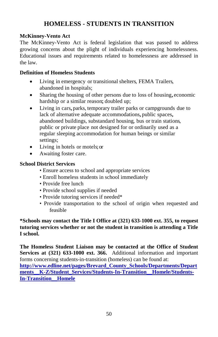# **HOMELESS - STUDENTS IN TRANSITION**

# **McKinney-Vento Act**

The McKinney-Vento Act is federal legislation that was passed to address growing concerns about the plight of individuals experiencing homelessness. Educational issues and requirements related to homelessness are addressed in the law.

### **Definition of Homeless Students**

- Living in emergency or transitional shelters, FEMA Trailers, abandoned in hospitals;
- Sharing the housing of other persons due to loss of housing, economic hardship or <sup>a</sup> similar reason; doubled up;
- Living in cars,parks, temporary trailer parks or campgrounds due to lack of alternative adequate accommodations, public spaces, abandoned buildings, substandard housing, bus or train stations, public or private place not designed for or ordinarily used as a regular sleeping accommodation for human beings or similar settings;
- Living in hotels or motels; or
- Awaiting foster care.

# **School District Services**

- Ensure access to school and appropriate services
- Enroll homeless students in school immediately
- Provide free lunch
- Provide school supplies if needed
- Provide tutoring services if needed\*
- Provide transportation to the school of origin when requested and feasible

**\*Schools may contact the Title I Office at (321) 633-1000 ext. 355, to request tutoring services whether or not the student in transition is attending a Title I school.** 

**The Homeless Student Liaison may be contacted at the Office of Student Services at (321) 633-1000 ext. 366.** Additional information and important forms concerning students-in-transition (homeless) can be found at:

**[http://www.edline.net/pages/Brevard\\_County\\_Schools/Departments/Depart](http://www.edline.net/pages/Brevard_County_Schools/Departments/Departments__K-Z/Student_Services/Students-In-Transition__Homele/Students-In-Transition__Homele)** ments K-Z/Student Services/Students-In-Transition Homele/Students-**[In-Transition\\_\\_Homele](http://www.edline.net/pages/Brevard_County_Schools/Departments/Departments__K-Z/Student_Services/Students-In-Transition__Homele/Students-In-Transition__Homele)**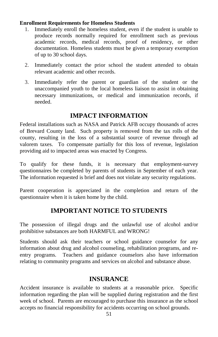### **Enrollment Requirements for Homeless Students**

- 1. Immediately enroll the homeless student, even if the student is unable to produce records normally required for enrollment such as previous academic records, medical records, proof of residency, or other documentation. Homeless students must be given a temporary exemption of up to 30 school days.
- 2. Immediately contact the prior school the student attended to obtain relevant academic and other records.
- 3. Immediately refer the parent or guardian of the student or the unaccompanied youth to the local homeless liaison to assist in obtaining necessary immunizations, or medical and immunization records, if needed.

# **IMPACT INFORMATION**

Federal installations such as NASA and Patrick AFB occupy thousands of acres of Brevard County land. Such property is removed from the tax rolls of the county, resulting in the loss of a substantial source of revenue through ad valorem taxes. To compensate partially for this loss of revenue, legislation providing aid to impacted areas was enacted by Congress.

To qualify for these funds, it is necessary that employment-survey questionnaires be completed by parents of students in September of each year. The information requested is brief and does not violate any security regulations.

Parent cooperation is appreciated in the completion and return of the questionnaire when it is taken home by the child.

# **IMPORTANT NOTICE TO STUDENTS**

The possession of illegal drugs and the unlawful use of alcohol and/or prohibitive substances are both HARMFUL and WRONG!

Students should ask their teachers or school guidance counselor for any information about drug and alcohol counseling, rehabilitation programs, and reentry programs. Teachers and guidance counselors also have information relating to community programs and services on alcohol and substance abuse.

# **INSURANCE**

Accident insurance is available to students at a reasonable price. Specific information regarding the plan will be supplied during registration and the first week of school. Parents are encouraged to purchase this insurance as the school accepts no financial responsibility for accidents occurring on school grounds.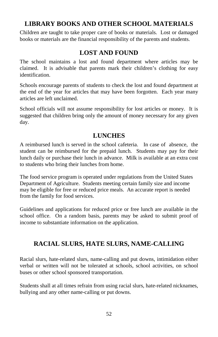# **LIBRARY BOOKS AND OTHER SCHOOL MATERIALS**

Children are taught to take proper care of books or materials. Lost or damaged books or materials are the financial responsibility of the parents and students.

# **LOST AND FOUND**

The school maintains a lost and found department where articles may be claimed. It is advisable that parents mark their children's clothing for easy identification.

Schools encourage parents of students to check the lost and found department at the end of the year for articles that may have been forgotten. Each year many articles are left unclaimed.

School officials will not assume responsibility for lost articles or money. It is suggested that children bring only the amount of money necessary for any given day.

# **LUNCHES**

A reimbursed lunch is served in the school cafeteria. In case of absence, the student can be reimbursed for the prepaid lunch. Students may pay for their lunch daily or purchase their lunch in advance. Milk is available at an extra cost to students who bring their lunches from home.

The food service program is operated under regulations from the United States Department of Agriculture. Students meeting certain family size and income may be eligible for free or reduced price meals. An accurate report is needed from the family for food services.

Guidelines and applications for reduced price or free lunch are available in the school office. On a random basis, parents may be asked to submit proof of income to substantiate information on the application.

# **RACIAL SLURS, HATE SLURS, NAME-CALLING**

Racial slurs, hate-related slurs, name-calling and put downs, intimidation either verbal or written will not be tolerated at schools, school activities, on school buses or other school sponsored transportation.

Students shall at all times refrain from using racial slurs, hate-related nicknames, bullying and any other name-calling or put downs.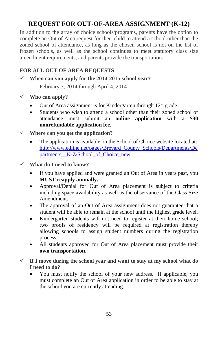# **REQUEST FOR OUT-OF-AREA ASSIGNMENT (K-12)**

In addition to the array of choice schools/programs, parents have the option to complete an Out of Area request for their child to attend a school other than the zoned school of attendance, as long as the chosen school is not on the list of frozen schools, as well as the school continues to meet statutory class size amendment requirements, and parents provide the transportation.

# **FOR ALL OUT OF AREA REQUESTS**

# **When can you apply for the 2014-2015 school year?**

February 3, 2014 through April 4, 2014

- **Who can apply?**
	- Out of Area assignment is for Kindergarten through  $12<sup>th</sup>$  grade.
	- Students who wish to attend a school other than their zoned school of attendance must submit an **online application** with a **\$30 nonrefundable application fee**.

# **Where can you get the application?**

- The application is available on the School of Choice website located at: [http://www.edline.net/pages/Brevard\\_County\\_Schools/Departments/De](http://www.edline.net/pages/Brevard_County_Schools/Departments/Departments__K-Z/School_of_Choice_new) partments K-Z/School of Choice new
- **What do I need to know?**
	- If you have applied and were granted an Out of Area in years past, you **MUST reapply annually.**
	- Approval/Denial for Out of Area placement is subject to criteria including space availability as well as the observance of the Class Size Amendment.
	- The approval of an Out of Area assignment does not guarantee that a student will be able to remain at the school until the highest grade level.
	- Kindergarten students will not need to register at their home school; two proofs of residency will be required at registration thereby allowing schools to assign student numbers during the registration process.
	- All students approved for Out of Area placement must provide their **own transportation.**
- **If I move during the school year and want to stay at my school what do I need to do?**
	- You must notify the school of your new address. If applicable, you must complete an Out of Area application in order to be able to stay at the school you are currently attending.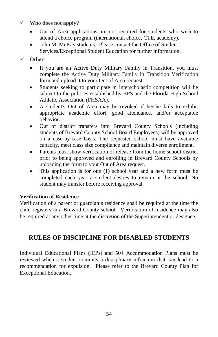# **Who does not apply?**

- Out of Area applications are not required for students who wish to attend a choice program (international, choice, CTE, academy).
- John M. McKay students. Please contact the Office of Student Services/Exceptional Student Education for further information.

# **Other**

- If you are an Active Duty Military Family in Transition, you must complete the [Active Duty Military Family in Transition Verification](http://www.edline.net/files/_wJDEy_/4ddfe5e0098beb9e3745a49013852ec4/2014-2015_Active_Military_Verification_FINAL.pdf) form and upload it to your Out of Area request.
- Students seeking to participate in interscholastic competition will be subject to the policies established by BPS and the Florida High School Athletic Association (FHSAA).
- A student's Out of Area may be revoked if he/she fails to exhibit appropriate academic effort, good attendance, and/or acceptable behavior.
- Out of district transfers into Brevard County Schools (including students of Brevard County School Board Employees) will be approved on a case-by-case basis. The requested school must have available capacity, meet class size compliance and maintain diverse enrollment.
- Parents must show verification of release from the home school district prior to being approved and enrolling in Brevard County Schools by uploading the form to your Out of Area request.
- This application is for one (1) school year and a new form must be completed each year a student desires to remain at the school. No student may transfer before receiving approval.

# **Verification of Residence**

Verification of a parent or guardian's residence shall be required at the time the child registers in a Brevard County school. Verification of residence may also be required at any other time at the discretion of the Superintendent or designee.

# **RULES OF DISCIPLINE FOR DISABLED STUDENTS**

Individual Educational Plans (IEPs) and 504 Accommodation Plans must be reviewed when a student commits a disciplinary infraction that can lead to a recommendation for expulsion. Please refer to the Brevard County Plan for Exceptional Education.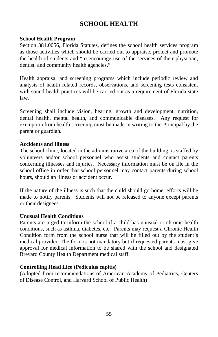# **SCHOOL HEALTH**

#### **School Health Program**

Section 381.0056, Florida Statutes, defines the school health services program as those activities which should be carried out to appraise, protect and promote the health of students and "to encourage use of the services of their physician, dentist, and community health agencies."

Health appraisal and screening programs which include periodic review and analysis of health related records, observations, and screening tests consistent with sound health practices will be carried out as a requirement of Florida state law.

Screening shall include vision, hearing, growth and development, nutrition, dental health, mental health, and communicable diseases. Any request for exemption from health screening must be made in writing to the Principal by the parent or guardian.

#### **Accidents and Illness**

The school clinic, located in the administrative area of the building, is staffed by volunteers and/or school personnel who assist students and contact parents concerning illnesses and injuries. Necessary information must be on file in the school office in order that school personnel may contact parents during school hours, should an illness or accident occur.

If the nature of the illness is such that the child should go home, efforts will be made to notify parents. Students will not be released to anyone except parents or their designees.

#### **Unusual Health Conditions**

Parents are urged to inform the school if a child has unusual or chronic health conditions, such as asthma, diabetes, etc. Parents may request a Chronic Health Condition form from the school nurse that will be filled out by the student's medical provider. The form is not mandatory but if requested parents must give approval for medical information to be shared with the school and designated Brevard County Health Department medical staff.

### **Controlling Head Lice (Pediculus capitis)**

(Adopted from recommendations of American Academy of Pediatrics, Centers of Disease Control, and Harvard School of Public Health)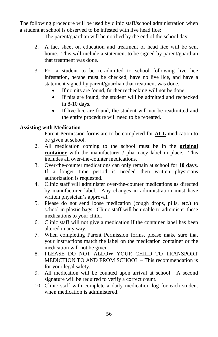The following procedure will be used by clinic staff/school administration when a student at school is observed to be infested with live head lice:

- 1. The parent/guardian will be notified by the end of the school day.
- 2. A fact sheet on education and treatment of head lice will be sent home. This will include a statement to be signed by parent/guardian that treatment was done.
- 3. For a student to be re-admitted to school following live lice infestation, he/she must be checked, have no live lice, and have a statement signed by parent/guardian that treatment was done.
	- If no nits are found, further rechecking will not be done.
	- If nits are found, the student will be admitted and rechecked in 8-10 days.
	- If live lice are found, the student will not be readmitted and the entire procedure will need to be repeated.

### **Assisting with Medication**

- 1. Parent Permission forms are to be completed for **ALL** medication to be given at school.
- 2. All medication coming to the school must be in the **original container** with the manufacturer / pharmacy label in place. This includes all over-the-counter medications.
- 3. Over-the-counter medications can only remain at school for **10 days**. If a longer time period is needed then written physicians authorization is requested.
- 4. Clinic staff will administer over-the-counter medications as directed by manufacturer label. Any changes in administration must have written physician's approval.
- 5. Please do not send loose medication (cough drops, pills, etc.) to school in plastic bags. Clinic staff will be unable to administer these medications to your child.
- 6. Clinic staff will not give a medication if the container label has been altered in any way.
- 7. When completing Parent Permission forms, please make sure that your instructions match the label on the medication container or the medication will not be given.
- 8. PLEASE DO NOT ALLOW YOUR CHILD TO TRANSPORT MEDICTION TO AND FROM SCHOOL – This recommendation is for your legal safety.
- 9. All medication will be counted upon arrival at school. A second signature will be required to verify a correct count.
- 10. Clinic staff with complete a daily medication log for each student when medication is administered.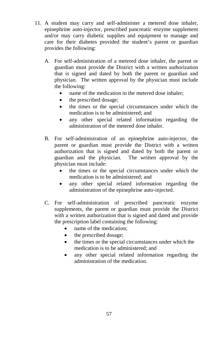- 11. A student may carry and self-administer a metered dose inhaler, epinephrine auto-injector, prescribed pancreatic enzyme supplement and/or may carry diabetic supplies and equipment to manage and care for their diabetes provided the student's parent or guardian provides the following:
	- A. For self-administration of a metered dose inhaler, the parent or guardian must provide the District with a written authorization that is signed and dated by both the parent or guardian and physician. The written approval by the physician must include the following:
		- name of the medication in the metered dose inhaler;
		- the prescribed dosage;
		- the times or the special circumstances under which the medication is to be administered; and
		- any other special related information regarding the administration of the metered dose inhaler.
	- B. For self-administration of an epinephrine auto-injector, the parent or guardian must provide the District with a written authorization that is signed and dated by both the parent or guardian and the physician. The written approval by the physician must include:
		- the times or the special circumstances under which the medication is to be administered; and
		- any other special related information regarding the administration of the epinephrine auto-injected.
	- C. For self-administration of prescribed pancreatic enzyme supplements, the parent or guardian must provide the District with a written authorization that is signed and dated and provide the prescription label containing the following:
		- name of the medication;
		- the prescribed dosage;
		- the times or the special circumstances under which the medication is to be administered; and
		- any other special related information regarding the administration of the medication.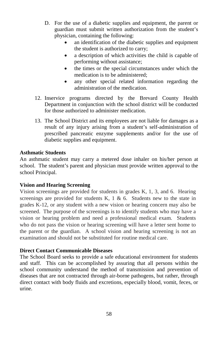- D. For the use of a diabetic supplies and equipment, the parent or guardian must submit written authorization from the student's physician, containing the following:
	- an identification of the diabetic supplies and equipment the student is authorized to carry;
	- a description of which activities the child is capable of performing without assistance;
	- the times or the special circumstances under which the medication is to be administered;
	- any other special related information regarding the administration of the medication.
- 12. Inservice programs directed by the Brevard County Health Department in conjunction with the school district will be conducted for those authorized to administer medication.
- 13. The School District and its employees are not liable for damages as a result of any injury arising from a student's self-administration of prescribed pancreatic enzyme supplements and/or for the use of diabetic supplies and equipment.

### **Asthmatic Students**

An asthmatic student may carry a metered dose inhaler on his/her person at school. The student's parent and physician must provide written approval to the school Principal.

# **Vision and Hearing Screening**

Vision screenings are provided for students in grades K, 1, 3, and 6. Hearing screenings are provided for students K,  $1 \& 6$ . Students new to the state in grades K-12, or any student with a new vision or hearing concern may also be screened. The purpose of the screenings is to identify students who may have a vision or hearing problem and need a professional medical exam. Students who do not pass the vision or hearing screening will have a letter sent home to the parent or the guardian. A school vision and hearing screening is not an examination and should not be substituted for routine medical care.

### **Direct Contact Communicable Diseases**

The School Board seeks to provide a safe educational environment for students and staff. This can be accomplished by assuring that all persons within the school community understand the method of transmission and prevention of diseases that are not contracted through air-borne pathogens, but rather, through direct contact with body fluids and excretions, especially blood, vomit, feces, or urine.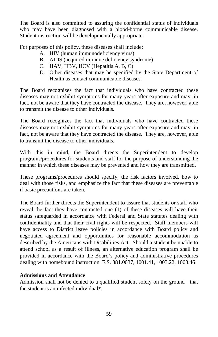The Board is also committed to assuring the confidential status of individuals who may have been diagnosed with a blood-borne communicable disease. Student instruction will be developmentally appropriate.

For purposes of this policy, these diseases shall include:

- A. HIV (human immunodeficiency virus)
- B. AIDS (acquired immune deficiency syndrome)
- C. HAV, HBV, HCV (Hepatitis A, B, C)
- D. Other diseases that may be specified by the State Department of Health as contact communicable diseases.

The Board recognizes the fact that individuals who have contracted these diseases may not exhibit symptoms for many years after exposure and may, in fact, not be aware that they have contracted the disease. They are, however, able to transmit the disease to other individuals.

The Board recognizes the fact that individuals who have contracted these diseases may not exhibit symptoms for many years after exposure and may, in fact, not be aware that they have contracted the disease. They are, however, able to transmit the disease to other individuals.

With this in mind, the Board directs the Superintendent to develop programs/procedures for students and staff for the purpose of understanding the manner in which these diseases may be prevented and how they are transmitted.

These programs/procedures should specify, the risk factors involved, how to deal with those risks, and emphasize the fact that these diseases are preventable if basic precautions are taken.

The Board further directs the Superintendent to assure that students or staff who reveal the fact they have contracted one (1) of these diseases will have their status safeguarded in accordance with Federal and State statutes dealing with confidentiality and that their civil rights will be respected. Staff members will have access to District leave policies in accordance with Board policy and negotiated agreement and opportunities for reasonable accommodation as described by the Americans with Disabilities Act. Should a student be unable to attend school as a result of illness, an alternative education program shall be provided in accordance with the Board's policy and administrative procedures dealing with homebound instruction. F.S. 381.0037, 1001.41, 1003.22, 1003.46

### **Admissions and Attendance**

Admission shall not be denied to a qualified student solely on the ground that the student is an infected individual\*.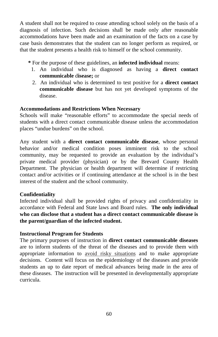A student shall not be required to cease attending school solely on the basis of a diagnosis of infection. Such decisions shall be made only after reasonable accommodations have been made and an examination of the facts on a case by case basis demonstrates that the student can no longer perform as required, or that the student presents a health risk to himself or the school community.

- **\*** For the purpose of these guidelines, an **infected individual** means:
	- 1. An individual who is diagnosed as having a **direct contact communicable** d**isease;** or
	- 2. An individual who is determined to test positive for a **direct contact communicable disease** but has not yet developed symptoms of the disease.

### **Accommodations and Restrictions When Necessary**

Schools will make "reasonable efforts" to accommodate the special needs of students with a direct contact communicable disease unless the accommodation places "undue burdens" on the school.

Any student with a **direct contact communicable disease**, whose personal behavior and/or medical condition poses imminent risk to the school community, may be requested to provide an evaluation by the individual's private medical provider (physician) or by the Brevard County Health Department. The physician or health department will determine if restricting contact and/or activities or if continuing attendance at the school is in the best interest of the student and the school community.

### **Confidentiality**

Infected individual shall be provided rights of privacy and confidentiality in accordance with Federal and State laws and Board rules. **The only individual who can disclose that a student has a direct contact communicable disease is the parent/guardian of the infected student.**

#### **Instructional Program for Students**

The primary purposes of instruction in **direct contact communicable diseases**  are to inform students of the threat of the diseases and to provide them with appropriate information to avoid risky situations and to make appropriate decisions. Content will focus on the epidemiology of the diseases and provide students an up to date report of medical advances being made in the area of these diseases. The instruction will be presented in developmentally appropriate curricula.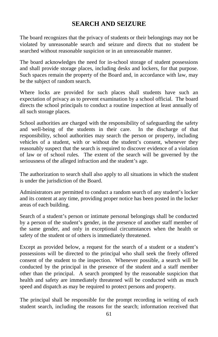# **SEARCH AND SEIZURE**

The board recognizes that the privacy of students or their belongings may not be violated by unreasonable search and seizure and directs that no student be searched without reasonable suspicion or in an unreasonable manner.

The board acknowledges the need for in-school storage of student possessions and shall provide storage places, including desks and lockers, for that purpose. Such spaces remain the property of the Board and, in accordance with law, may be the subject of random search.

Where locks are provided for such places shall students have such an expectation of privacy as to prevent examination by a school official. The board directs the school principals to conduct a routine inspection at least annually of all such storage places.

School authorities are charged with the responsibility of safeguarding the safety and well-being of the students in their care. In the discharge of that responsibility, school authorities may search the person or property, including vehicles of a student, with or without the student's consent, whenever they reasonably suspect that the search is required to discover evidence of a violation of law or of school rules. The extent of the search will be governed by the seriousness of the alleged infraction and the student's age.

The authorization to search shall also apply to all situations in which the student is under the jurisdiction of the Board.

Administrators are permitted to conduct a random search of any student's locker and its content at any time, providing proper notice has been posted in the locker areas of each building.

Search of a student's person or intimate personal belongings shall be conducted by a person of the student's gender, in the presence of another staff member of the same gender, and only in exceptional circumstances when the health or safety of the student or of others is immediately threatened.

Except as provided below, a request for the search of a student or a student's possessions will be directed to the principal who shall seek the freely offered consent of the student to the inspection. Whenever possible, a search will be conducted by the principal in the presence of the student and a staff member other than the principal. A search prompted by the reasonable suspicion that health and safety are immediately threatened will be conducted with as much speed and dispatch as may be required to protect persons and property.

The principal shall be responsible for the prompt recording in writing of each student search, including the reasons for the search; information received that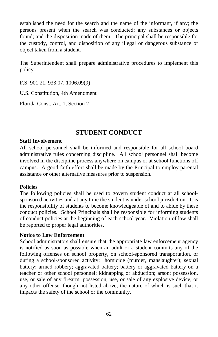established the need for the search and the name of the informant, if any; the persons present when the search was conducted; any substances or objects found; and the disposition made of them. The principal shall be responsible for the custody, control, and disposition of any illegal or dangerous substance or object taken from a student.

The Superintendent shall prepare administrative procedures to implement this policy.

F.S. 901.21, 933.07, 1006.09(9)

U.S. Constitution, 4th Amendment

Florida Const. Art. 1, Section 2

# **STUDENT CONDUCT**

### **Staff Involvement**

All school personnel shall be informed and responsible for all school board administrative rules concerning discipline. All school personnel shall become involved in the discipline process anywhere on campus or at school functions off campus. A good faith effort shall be made by the Principal to employ parental assistance or other alternative measures prior to suspension.

#### **Policies**

The following policies shall be used to govern student conduct at all schoolsponsored activities and at any time the student is under school jurisdiction. It is the responsibility of students to become knowledgeable of and to abide by these conduct policies. School Principals shall be responsible for informing students of conduct policies at the beginning of each school year. Violation of law shall be reported to proper legal authorities.

#### **Notice to Law Enforcement**

School administrators shall ensure that the appropriate law enforcement agency is notified as soon as possible when an adult or a student commits any of the following offenses on school property, on school-sponsored transportation, or during a school-sponsored activity: homicide (murder, manslaughter); sexual battery; armed robbery; aggravated battery; battery or aggravated battery on a teacher or other school personnel; kidnapping or abduction; arson; possession, use, or sale of any firearm; possession, use, or sale of any explosive device, or any other offense, though not listed above, the nature of which is such that it impacts the safety of the school or the community.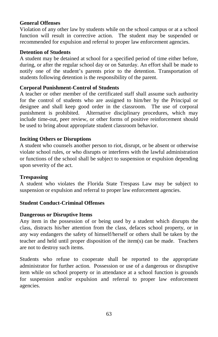#### **General Offenses**

Violation of any other law by students while on the school campus or at a school function will result in corrective action. The student may be suspended or recommended for expulsion and referral to proper law enforcement agencies.

#### **Detention of Students**

A student may be detained at school for a specified period of time either before, during, or after the regular school day or on Saturday. An effort shall be made to notify one of the student's parents prior to the detention. Transportation of students following detention is the responsibility of the parent.

### **Corporal Punishment-Control of Students**

A teacher or other member of the certificated staff shall assume such authority for the control of students who are assigned to him/her by the Principal or designee and shall keep good order in the classroom. The use of corporal punishment is prohibited. Alternative disciplinary procedures, which may include time-out, peer review, or other forms of positive reinforcement should be used to bring about appropriate student classroom behavior.

#### **Inciting Others or Disruptions**

A student who counsels another person to riot, disrupt, or be absent or otherwise violate school rules, or who disrupts or interferes with the lawful administration or functions of the school shall be subject to suspension or expulsion depending upon severity of the act.

#### **Trespassing**

A student who violates the Florida State Trespass Law may be subject to suspension or expulsion and referral to proper law enforcement agencies.

### **Student Conduct-Criminal Offenses**

#### **Dangerous or Disruptive Items**

Any item in the possession of or being used by a student which disrupts the class, distracts his/her attention from the class, defaces school property, or in any way endangers the safety of himself/herself or others shall be taken by the teacher and held until proper disposition of the item(s) can be made. Teachers are not to destroy such items.

Students who refuse to cooperate shall be reported to the appropriate administrator for further action. Possession or use of a dangerous or disruptive item while on school property or in attendance at a school function is grounds for suspension and/or expulsion and referral to proper law enforcement agencies.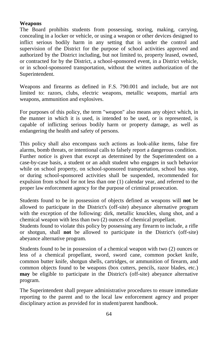### **Weapons**

The Board prohibits students from possessing, storing, making, carrying, concealing in a locker or vehicle, or using a weapon or other devices designed to inflict serious bodily harm in any setting that is under the control and supervision of the District for the purpose of school activities approved and authorized by the District including, but not limited to, property leased, owned, or contracted for by the District, a school-sponsored event, in a District vehicle, or in school-sponsored transportation, without the written authorization of the Superintendent.

Weapons and firearms as defined in F.S. 790.001 and include, but are not limited to: razors, clubs, electric weapons, metallic weapons, martial arts weapons, ammunition and explosives.

For purposes of this policy, the term "weapon" also means any object which, in the manner in which it is used, is intended to be used, or is represented, is capable of inflicting serious bodily harm or property damage, as well as endangering the health and safety of persons.

This policy shall also encompass such actions as look-alike items, false fire alarms, bomb threats, or intentional calls to falsely report a dangerous condition. Further notice is given that except as determined by the Superintendent on a case-by-case basis, a student or an adult student who engages in such behavior while on school property, on school-sponsored transportation, school bus stop, or during school-sponsored activities shall be suspended, recommended for expulsion from school for not less than one (1) calendar year, and referred to the proper law enforcement agency for the purpose of criminal prosecution.

Students found to be in possession of objects defined as weapons will **not** be allowed to participate in the District's (off-site) abeyance alternative program with the exception of the following: dirk, metallic knuckles, slung shot, and a chemical weapon with less than two (2) ounces of chemical propellant.

Students found to violate this policy by possessing any firearm to include, a rifle or shotgun, shall **not** be allowed to participate in the District's (off-site) abeyance alternative program.

Students found to be in possession of a chemical weapon with two (2) ounces or less of a chemical propellant, sword, sword cane, common pocket knife, common butter knife, shotgun shells, cartridges, or ammunition of firearm, and common objects found to be weapons (box cutters, pencils, razor blades, etc.) **may** be eligible to participate in the District's (off-site) abeyance alternative program.

The Superintendent shall prepare administrative procedures to ensure immediate reporting to the parent and to the local law enforcement agency and proper disciplinary action as provided for in student/parent handbook.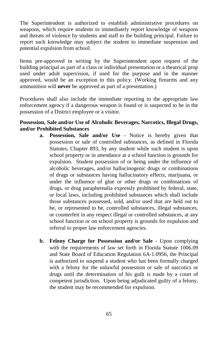The Superintendent is authorized to establish administrative procedures on weapons, which require students to immediately report knowledge of weapons and threats of violence by students and staff to the building principal. Failure to report such knowledge may subject the student to immediate suspension and potential expulsion from school.

Items pre-approved in writing by the Superintendent upon request of the building principal as part of a class or individual presentation or a theatrical prop used under adult supervision, if used for the purpose and in the manner approved, would be an exception to this policy. (Working firearms and any ammunition will **never** be approved as part of a presentation.)

Procedures shall also include the immediate reporting to the appropriate law enforcement agency if a dangerous weapon is found or is suspected to be in the possession of a District employee or a visitor.

# **Possession, Sale and/or Use of Alcoholic Beverages, Narcotics, Illegal Drugs, and/or Prohibited Substances**

- **a. Possession, Sale and/or Use** Notice is hereby given that possession or sale of controlled substances, as defined in Florida Statutes, Chapter 893, by any student while such student is upon school property or in attendance at a school function is grounds for expulsion. Student possession of or being under the influence of alcoholic beverages, and/or hallucinogenic drugs or combinations of drugs or substances having hallucinatory effects, marijuana, or under the influence of glue or other drugs or combinations of drugs, or drug paraphernalia expressly prohibited by federal, state, or local laws, including prohibited substances which shall include those substances possessed, sold, and/or used that are held out to be, or represented to be, controlled substances, illegal substances, or counterfeit in any respect illegal or controlled substances, at any school function or on school property is grounds for expulsion and referral to proper law enforcement agencies.
- **b. Felony Charge for Possession and/or Sale**  Upon complying with the requirements of law set forth in Florida Statute 1006.09 and State Board of Education Regulation 6A-1.0956, the Principal is authorized to suspend a student who has been formally charged with a felony for the unlawful possession or sale of narcotics or drugs until the determination of his guilt is made by a court of competent jurisdiction. Upon being adjudicated guilty of a felony, the student may be recommended for expulsion.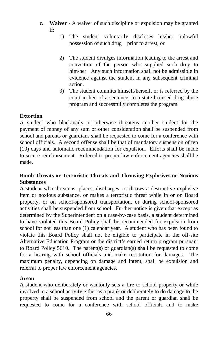- **c. Waiver**  A waiver of such discipline or expulsion may be granted if:
	- 1) The student voluntarily discloses his/her unlawful possession of such drug prior to arrest, or
	- 2) The student divulges information leading to the arrest and conviction of the person who supplied such drug to him/her. Any such information shall not be admissible in evidence against the student in any subsequent criminal action.
	- 3) The student commits himself/herself, or is referred by the court in lieu of a sentence, to a state-licensed drug abuse program and successfully completes the program.

### **Extortion**

A student who blackmails or otherwise threatens another student for the payment of money of any sum or other consideration shall be suspended from school and parents or guardians shall be requested to come for a conference with school officials. A second offense shall be that of mandatory suspension of ten (10) days and automatic recommendation for expulsion. Efforts shall be made to secure reimbursement. Referral to proper law enforcement agencies shall be made.

### **Bomb Threats or Terroristic Threats and Throwing Explosives or Noxious Substances**

A student who threatens, places, discharges, or throws a destructive explosive item or noxious substance, or makes a terroristic threat while in or on Board property, or on school-sponsored transportation, or during school-sponsored activities shall be suspended from school. Further notice is given that except as determined by the Superintendent on a case-by-case basis, a student determined to have violated this Board Policy shall be recommended for expulsion from school for not less than one (1) calendar year. A student who has been found to violate this Board Policy shall not be eligible to participate in the off-site Alternative Education Program or the district's earned return program pursuant to Board Policy 5610. The parent(s) or guardian(s) shall be requested to come for a hearing with school officials and make restitution for damages. The maximum penalty, depending on damage and intent, shall be expulsion and referral to proper law enforcement agencies.

#### **Arson**

A student who deliberately or wantonly sets a fire to school property or while involved in a school activity either as a prank or deliberately to do damage to the property shall be suspended from school and the parent or guardian shall be requested to come for a conference with school officials and to make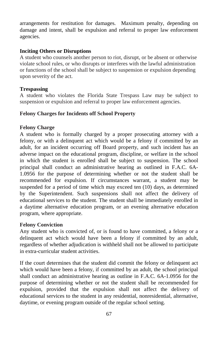arrangements for restitution for damages. Maximum penalty, depending on damage and intent, shall be expulsion and referral to proper law enforcement agencies.

### **Inciting Others or Disruptions**

A student who counsels another person to riot, disrupt, or be absent or otherwise violate school rules, or who disrupts or interferes with the lawful administration or functions of the school shall be subject to suspension or expulsion depending upon severity of the act.

# **Trespassing**

A student who violates the Florida State Trespass Law may be subject to suspension or expulsion and referral to proper law enforcement agencies.

# **Felony Charges for Incidents off School Property**

# **Felony Charge**

A student who is formally charged by a proper prosecuting attorney with a felony, or with a delinquent act which would be a felony if committed by an adult, for an incident occurring off Board property, and such incident has an adverse impact on the educational program, discipline, or welfare in the school in which the student is enrolled shall be subject to suspension. The school principal shall conduct an administrative hearing as outlined in F.A.C. 6A-1.0956 for the purpose of determining whether or not the student shall be recommended for expulsion. If circumstances warrant, a student may be suspended for a period of time which may exceed ten (10) days, as determined by the Superintendent. Such suspensions shall not affect the delivery of educational services to the student. The student shall be immediately enrolled in a daytime alternative education program, or an evening alternative education program, where appropriate.

# **Felony Conviction**

Any student who is convicted of, or is found to have committed, a felony or a delinquent act which would have been a felony if committed by an adult, regardless of whether adjudication is withheld shall not be allowed to participate in extra-curricular student activities.

If the court determines that the student did commit the felony or delinquent act which would have been a felony, if committed by an adult, the school principal shall conduct an administrative hearing as outline in F.A.C. 6A-1.0956 for the purpose of determining whether or not the student shall be recommended for expulsion, provided that the expulsion shall not affect the delivery of educational services to the student in any residential, nonresidential, alternative, daytime, or evening program outside of the regular school setting.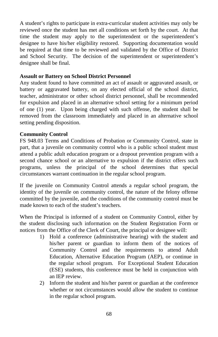A student's rights to participate in extra-curricular student activities may only be reviewed once the student has met all conditions set forth by the court. At that time the student may apply to the superintendent or the superintendent's designee to have his/her eligibility restored. Supporting documentation would be required at that time to be reviewed and validated by the Office of District and School Security. The decision of the superintendent or superintendent's designee shall be final.

#### **Assault or Battery on School District Personnel**

Any student found to have committed an act of assault or aggravated assault, or battery or aggravated battery, on any elected official of the school district, teacher, administrator or other school district personnel, shall be recommended for expulsion and placed in an alternative school setting for a minimum period of one (1) year. Upon being charged with such offense, the student shall be removed from the classroom immediately and placed in an alternative school setting pending disposition.

#### **Community Control**

FS 948.03 Terms and Conditions of Probation or Community Control, state in part, that a juvenile on community control who is a public school student must attend a public adult education program or a dropout prevention program with a second chance school or an alternative to expulsion if the district offers such programs, unless the principal of the school determines that special circumstances warrant continuation in the regular school program.

If the juvenile on Community Control attends a regular school program, the identity of the juvenile on community control, the nature of the felony offense committed by the juvenile, and the conditions of the community control must be made known to each of the student's teachers.

When the Principal is informed of a student on Community Control, either by the student disclosing such information on the Student Registration Form or notices from the Office of the Clerk of Court, the principal or designee will:

- 1) Hold a conference (administrative hearing) with the student and his/her parent or guardian to inform them of the notices of Community Control and the requirements to attend Adult Education, Alternative Education Program (AEP), or continue in the regular school program. For Exceptional Student Education (ESE) students, this conference must be held in conjunction with an IEP review.
- 2) Inform the student and his/her parent or guardian at the conference whether or not circumstances would allow the student to continue in the regular school program.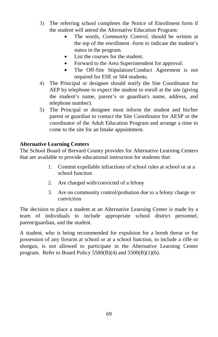- 3) The referring school completes the Notice of Enrollment form if the student will attend the Alternative Education Program:
	- The words, *Community Control*, should be written at the top of the enrollment -form to indicate the student's status in the program.
	- List the courses for the student.
	- Forward to the Area Superintendent for approval.
	- The Off-Site Stipulation/Conduct Agreement is not required for ESE or 504 students.
- 4) The Principal or designee should notify the Site Coordinator for AEP by telephone to expect the student to enroll at the site (giving the student's name, parent's or guardian's name, address, and telephone number).
- 5) The Principal or designee must inform the student and his/her parent or guardian to contact the Site Coordinator for AESP or the coordinator of the Adult Education Program and arrange a time to come to the site for an Intake appointment.

### **Alternative Learning Centers**

The School Board of Brevard County provides for Alternative Learning Centers that are available to provide educational instruction for students that:

- 1. Commit expellable infractions of school rules at school or at a school function
- 2. Are charged with/convicted of a felony
- 3. Are on community control/probation due to a felony charge or conviction

The decision to place a student at an Alternative Learning Center is made by a team of individuals to include appropriate school district personnel, parent/guardian, and the student.

A student, who is being recommended for expulsion for a bomb threat or for possession of any firearm at school or at a school function, to include a rifle or shotgun, is not allowed to participate in the Alternative Learning Center program. Refer to Board Policy  $5500(B)(4)$  and  $5500(B)(1)(b)$ .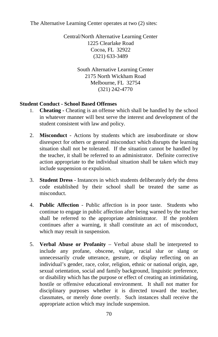The Alternative Learning Center operates at two (2) sites:

Central/North Alternative Learning Center 1225 Clearlake Road Cocoa, FL 32922 (321) 633-3489

> South Alternative Learning Center 2175 North Wickham Road Melbourne, FL 32754 (321) 242-4770

# **Student Conduct - School Based Offenses**

- 1. **Cheating -** Cheating is an offense which shall be handled by the school in whatever manner will best serve the interest and development of the student consistent with law and policy.
- 2. **Misconduct** Actions by students which are insubordinate or show disrespect for others or general misconduct which disrupts the learning situation shall not be tolerated. If the situation cannot be handled by the teacher, it shall be referred to an administrator. Definite corrective action appropriate to the individual situation shall be taken which may include suspension or expulsion.
- 3. **Student Dress** Instances in which students deliberately defy the dress code established by their school shall be treated the same as misconduct.
- 4. **Public Affection** Public affection is in poor taste. Students who continue to engage in public affection after being warned by the teacher shall be referred to the appropriate administrator. If the problem continues after a warning, it shall constitute an act of misconduct, which may result in suspension.
- 5. **Verbal Abuse or Profanity** Verbal abuse shall be interpreted to include any profane, obscene, vulgar, racial slur or slang or unnecessarily crude utterance, gesture, or display reflecting on an individual's gender, race, color, religion, ethnic or national origin, age, sexual orientation, social and family background, linguistic preference, or disability which has the purpose or effect of creating an intimidating, hostile or offensive educational environment. It shall not matter for disciplinary purposes whether it is directed toward the teacher, classmates, or merely done overtly. Such instances shall receive the appropriate action which may include suspension.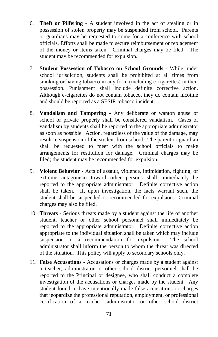- 6. **Theft or Pilfering** A student involved in the act of stealing or in possession of stolen property may be suspended from school. Parents or guardians may be requested to come for a conference with school officials. Efforts shall be made to secure reimbursement or replacement of the money or items taken. Criminal charges may be filed. The student may be recommended for expulsion.
- 7. **Student Possession of Tobacco on School Grounds** While under school jurisdiction, students shall be prohibited at all times from smoking or having tobacco in any form (including e-cigarettes) in their possession. Punishment shall include definite corrective action. Although e-cigarettes do not contain tobacco, they do contain nicotine and should be reported as a SESIR tobacco incident.
- 8. **Vandalism and Tampering** Any deliberate or wanton abuse of school or private property shall be considered vandalism. Cases of vandalism by students shall be reported to the appropriate administrator as soon as possible. Action, regardless of the value of the damage, may result in suspension of the student from school. The parent or guardian shall be requested to meet with the school officials to make arrangements for restitution for damage. Criminal charges may be filed; the student may be recommended for expulsion.
- 9. **Violent Behavior** Acts of assault, violence, intimidation, fighting, or extreme antagonism toward other persons shall immediately be reported to the appropriate administrator. Definite corrective action shall be taken. If, upon investigation, the facts warrant such, the student shall be suspended or recommended for expulsion. Criminal charges may also be filed.
- 10. **Threats** Serious threats made by a student against the life of another student, teacher or other school personnel shall immediately be reported to the appropriate administrator. Definite corrective action appropriate to the individual situation shall be taken which may include suspension or a recommendation for expulsion. The school administrator shall inform the person to whom the threat was directed of the situation. This policy will apply to secondary schools only.
- 11. **False Accusations** Accusations or charges made by a student against a teacher, administrator or other school district personnel shall be reported to the Principal or designee, who shall conduct a complete investigation of the accusations or charges made by the student. Any student found to have intentionally made false accusations or charges that jeopardize the professional reputation, employment, or professional certification of a teacher, administrator or other school district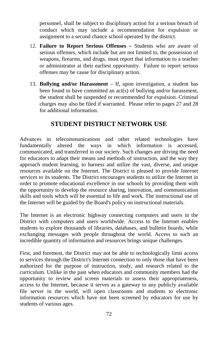personnel, shall be subject to disciplinary action for a serious breach of conduct which may include a recommendation for expulsion or assignment to a second chance school operated by the district.

- 12. **Failure to Report Serious Offenses –** Students who are aware of serious offenses, which include but are not limited to, the possession of weapons, firearms, and drugs, must report that information to a teacher or administrator at their earliest opportunity. Failure to report serious offenses may be cause for disciplinary action.
- 13. **Bullying and/or Harassment** If, upon investigation, a student has been found to have committed an act(s) of bullying and/or harassment, the student shall be suspended or recommended for expulsion. Criminal charges may also be filed if warranted. Please refer to pages 27 and 28 for additional information.

# **STUDENT DISTRICT NETWORK USE**

Advances in telecommunications and other related technologies have fundamentally altered the ways in which information is accessed, communicated, and transferred in our society. Such changes are driving the need for educators to adapt their means and methods of instruction, and the way they approach student learning, to harness and utilize the vast, diverse, and unique resources available on the Internet. The District is pleased to provide Internet services to its students. The District encourages students to utilize the Internet in order to promote educational excellence in our schools by providing them with the opportunity to develop the resource sharing, innovation, and communication skills and tools which will be essential to life and work. The instructional use of the Internet will be guided by the Board's policy on instructional materials.

The Internet is an electronic highway connecting computers and users in the District with computers and users worldwide. Access to the Internet enables students to explore thousands of libraries, databases, and bulletin boards, while exchanging messages with people throughout the world. Access to such an incredible quantity of information and resources brings unique challenges.

First, and foremost, the District may not be able to technologically limit access to services through the District's Internet connection to only those that have been authorized for the purpose of instruction, study, and research related to the curriculum. Unlike in the past when educators and community members had the opportunity to review and screen materials to assess their appropriateness, access to the Internet, because it serves as a gateway to any publicly available file server in the world, will open classrooms and students to electronic information resources which have not been screened by educators for use by students of various ages.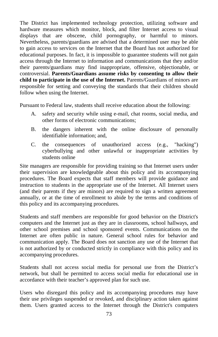The District has implemented technology protection, utilizing software and hardware measures which monitor, block, and filter Internet access to visual displays that are obscene, child pornography, or harmful to minors. Nevertheless, parents/guardians are advised that a determined user may be able to gain access to services on the Internet that the Board has not authorized for educational purposes. In fact, it is impossible to guarantee students will not gain access through the Internet to information and communications that they and/or their parents/guardians may find inappropriate, offensive, objectionable, or controversial. **Parents/Guardians assume risks by consenting to allow their child to participate in the use of the Internet.** Parents/Guardians of minors are responsible for setting and conveying the standards that their children should follow when using the Internet.

Pursuant to Federal law, students shall receive education about the following:

- A. safety and security while using e-mail, chat rooms, social media, and other forms of electronic communications;
- B. the dangers inherent with the online disclosure of personally identifiable information; and,
- C. the consequences of unauthorized access (e.g., "hacking") cyberbullying and other unlawful or inappropriate activities by students online

Site managers are responsible for providing training so that Internet users under their supervision are knowledgeable about this policy and its accompanying procedures. The Board expects that staff members will provide guidance and instruction to students in the appropriate use of the Internet. All Internet users (and their parents if they are minors) are required to sign a written agreement annually, or at the time of enrollment to abide by the terms and conditions of this policy and its accompanying procedures.

Students and staff members are responsible for good behavior on the District's computers and the Internet just as they are in classrooms, school hallways, and other school premises and school sponsored events. Communications on the Internet are often public in nature. General school rules for behavior and communication apply. The Board does not sanction any use of the Internet that is not authorized by or conducted strictly in compliance with this policy and its accompanying procedures.

Students shall not access social media for personal use from the District's network, but shall be permitted to access social media for educational use in accordance with their teacher's approved plan for such use.

Users who disregard this policy and its accompanying procedures may have their use privileges suspended or revoked, and disciplinary action taken against them. Users granted access to the Internet through the District's computers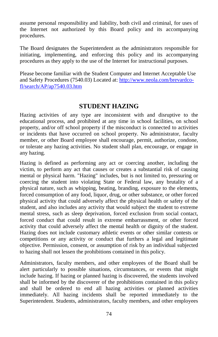assume personal responsibility and liability, both civil and criminal, for uses of the Internet not authorized by this Board policy and its accompanying procedures.

The Board designates the Superintendent as the administrators responsible for initiating, implementing, and enforcing this policy and its accompanying procedures as they apply to the use of the Internet for instructional purposes.

Please become familiar with the Student Computer and Internet Acceptable Use and Safety Procedures (7540.03) Located at: [http://www.neola.com/brevardco](http://www.neola.com/brevardco-fl/search/AP/ap7540.03.htm)[fl/search/AP/ap7540.03.htm](http://www.neola.com/brevardco-fl/search/AP/ap7540.03.htm)

## **STUDENT HAZING**

Hazing activities of any type are inconsistent with and disruptive to the educational process, and prohibited at any time in school facilities, on school property, and/or off school property if the misconduct is connected to activities or incidents that have occurred on school property. No administrator, faculty member, or other Board employee shall encourage, permit, authorize, condone, or tolerate any hazing activities. No student shall plan, encourage, or engage in any hazing.

Hazing is defined as performing any act or coercing another, including the victim, to perform any act that causes or creates a substantial risk of causing mental or physical harm. "Hazing" includes, but is not limited to, pressuring or coercing the student into violating State or Federal law, any brutality of a physical nature, such as whipping, beating, branding, exposure to the elements, forced consumption of any food, liquor, drug, or other substance, or other forced physical activity that could adversely affect the physical health or safety of the student, and also includes any activity that would subject the student to extreme mental stress, such as sleep deprivation, forced exclusion from social contact, forced conduct that could result in extreme embarrassment, or other forced activity that could adversely affect the mental health or dignity of the student. Hazing does not include customary athletic events or other similar contests or competitions or any activity or conduct that furthers a legal and legitimate objective. Permission, consent, or assumption of risk by an individual subjected to hazing shall not lessen the prohibitions contained in this policy.

Administrators, faculty members, and other employees of the Board shall be alert particularly to possible situations, circumstances, or events that might include hazing. If hazing or planned hazing is discovered, the students involved shall be informed by the discoverer of the prohibitions contained in this policy and shall be ordered to end all hazing activities or planned activities immediately. All hazing incidents shall be reported immediately to the Superintendent. Students, administrators, faculty members, and other employees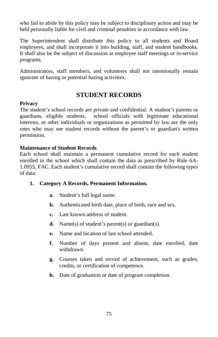who fail to abide by this policy may be subject to disciplinary action and may be held personally liable for civil and criminal penalties in accordance with law.

The Superintendent shall distribute this policy to all students and Board employees, and shall incorporate it into building, staff, and student handbooks. It shall also be the subject of discussion at employee staff meetings or in-service programs.

Administrators, staff members, and volunteers shall not intentionally remain ignorant of hazing or potential hazing activities.

## **STUDENT RECORDS**

## **Privacy**

The student's school records are private and confidential. A student's parents or guardians, eligible students, school officials with legitimate educational interests, or other individuals or organizations as permitted by law are the only ones who may see student records without the parent's or guardian's written permission.

## **Maintenance of Student Records**

Each school shall maintain a permanent cumulative record for each student enrolled in the school which shall contain the data as prescribed by Rule 6A-1.0955, FAC. Each student's cumulative record shall contain the following types of data:

## **1. Category A Records, Permanent Information.**

- **a.** Student's full legal name.
- **b.** Authenticated birth date, place of birth, race and sex.
- **c.** Last known address of student.
- **d.** Name(s) of student's parent(s) or guardian(s).
- **e.** Name and location of last school attended.
- **f.** Number of days present and absent, date enrolled, date withdrawn.
- **g.** Courses taken and record of achievement, such as grades, credits, or certification of competence.
- **h.** Date of graduation or date of program completion.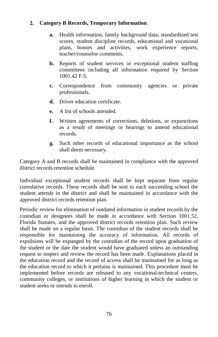## **2. Category B Records, Temporary Information**.

- **a.** Health information, family background data, standardized test scores, student discipline records, educational and vocational plans, honors and activities, work experience reports, teacher/counselor comments.
- **b.** Reports of student services or exceptional student staffing committees including all information required by Section 1001.42 F.S.
- **c.** Correspondence from community agencies or private professionals.
- **d.** Driver education certificate.
- **e.** A list of schools attended.
- **f.** Written agreements of corrections, deletions, or expunctions as a result of meetings or hearings to amend educational records.
- **g.** Such other records of educational importance as the school shall deem necessary.

Category A and B records shall be maintained in compliance with the approved district records retention schedule.

Individual exceptional student records shall be kept separate from regular cumulative records. These records shall be sent to each succeeding school the student attends in the district and shall be maintained in accordance with the approved district records retention plan.

Periodic review for elimination of outdated information in student records by the custodian or designees shall be made in accordance with Section 1001.52, Florida Statutes, and the approved district records retention plan. Such review shall be made on a regular basis. The custodian of the student records shall be responsible for maintaining the accuracy of information. All records of expulsions will be expunged by the custodian of the record upon graduation of the student or the date the student would have graduated unless an outstanding request to inspect and review the record has been made. Explanations placed in the education record and the record of access shall be maintained for as long as the education record to which it pertains is maintained. This procedure must be implemented before records are released to any vocational-technical centers, community colleges, or institutions of higher learning in which the student or student seeks or intends to enroll.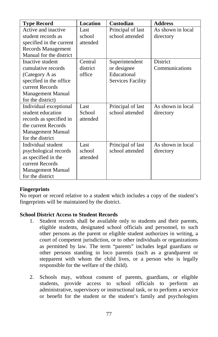| <b>Type Record</b>        | <b>Location</b> | Custodian                | <b>Address</b>    |
|---------------------------|-----------------|--------------------------|-------------------|
| Active and inactive       | Last            | Principal of last        | As shown in local |
| student records as        | school          | school attended          | directory         |
| specified in the current  | attended        |                          |                   |
| <b>Records Management</b> |                 |                          |                   |
| Manual for the district   |                 |                          |                   |
| Inactive student          | Central         | Superintendent           | District          |
| cumulative records        | district        | or designee              | Communications    |
| (Category A as            | office          | Educational              |                   |
| specified in the office   |                 | <b>Services Facility</b> |                   |
| current Records           |                 |                          |                   |
| <b>Management Manual</b>  |                 |                          |                   |
| for the district)         |                 |                          |                   |
| Individual exceptional    | Last            | Principal of last        | As shown in local |
| student education         | School          | school attended          | directory         |
| records as specified in   | attended        |                          |                   |
| the current Records       |                 |                          |                   |
| <b>Management Manual</b>  |                 |                          |                   |
| for the district          |                 |                          |                   |
| Individual student        | Last            | Principal of last        | As shown in local |
| psychological records     | school          | school attended          | directory         |
| as specified in the       | attended        |                          |                   |
| current Records           |                 |                          |                   |
| Management Manual         |                 |                          |                   |
| for the district          |                 |                          |                   |

## **Fingerprints**

No report or record relative to a student which includes a copy of the student's fingerprints will be maintained by the district.

#### **School District Access to Student Records**

- 1. Student records shall be available only to students and their parents, eligible students, designated school officials and personnel, to such other persons as the parent or eligible student authorizes in writing, a court of competent jurisdiction, or to other individuals or organizations as permitted by law. The term "parents" includes legal guardians or other persons standing in loco parentis (such as a grandparent or stepparent with whom the child lives, or a person who is legally responsible for the welfare of the child).
- 2. Schools may, without consent of parents, guardians, or eligible students, provide access to school officials to perform an administrative, supervisory or instructional task, or to perform a service or benefit for the student or the student's family and psychologists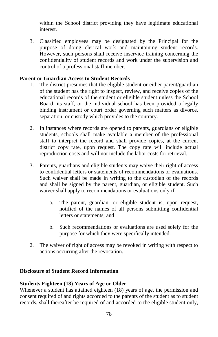within the School district providing they have legitimate educational interest.

3. Classified employees may be designated by the Principal for the purpose of doing clerical work and maintaining student records. However, such persons shall receive inservice training concerning the confidentiality of student records and work under the supervision and control of a professional staff member.

### **Parent or Guardian Access to Student Records**

- 1. The district presumes that the eligible student or either parent/guardian of the student has the right to inspect, review, and receive copies of the educational records of the student or eligible student unless the School Board, its staff, or the individual school has been provided a legally binding instrument or court order governing such matters as divorce, separation, or custody which provides to the contrary.
- 2. In instances where records are opened to parents, guardians or eligible students, schools shall make available a member of the professional staff to interpret the record and shall provide copies, at the current district copy rate, upon request. The copy rate will include actual reproduction costs and will not include the labor costs for retrieval.
- 3. Parents, guardians and eligible students may waive their right of access to confidential letters or statements of recommendations or evaluations. Such waiver shall be made in writing to the custodian of the records and shall be signed by the parent, guardian, or eligible student. Such waiver shall apply to recommendations or evaluations only if:
	- a. The parent, guardian, or eligible student is, upon request, notified of the names of all persons submitting confidential letters or statements; and
	- b. Such recommendations or evaluations are used solely for the purpose for which they were specifically intended.
- 2. The waiver of right of access may be revoked in writing with respect to actions occurring after the revocation.

#### **Disclosure of Student Record Information**

#### **Students Eighteen (18) Years of Age or Older**

Whenever a student has attained eighteen (18) years of age, the permission and consent required of and rights accorded to the parents of the student as to student records, shall thereafter be required of and accorded to the eligible student only,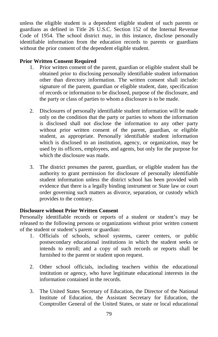unless the eligible student is a dependent eligible student of such parents or guardians as defined in Title 26 U.S.C. Section 152 of the Internal Revenue Code of 1954. The school district may, in this instance, disclose personally identifiable information from the education records to parents or guardians without the prior consent of the dependent eligible student.

## **Prior Written Consent Required**

- 1. Prior written consent of the parent, guardian or eligible student shall be obtained prior to disclosing personally identifiable student information other than directory information. The written consent shall include: signature of the parent, guardian or eligible student, date, specification of records or information to be disclosed, purpose of the disclosure, and the party or class of parties to whom a disclosure is to be made.
- 2. Disclosures of personally identifiable student information will be made only on the condition that the party or parties to whom the information is disclosed shall not disclose the information to any other party without prior written consent of the parent, guardian, or eligible student, as appropriate. Personally identifiable student information which is disclosed to an institution, agency, or organization, may be used by its officers, employees, and agents, but only for the purpose for which the disclosure was made.
- 3. The district presumes the parent, guardian, or eligible student has the authority to grant permission for disclosure of personally identifiable student information unless the district school has been provided with evidence that there is a legally binding instrument or State law or court order governing such matters as divorce, separation, or custody which provides to the contrary.

## **Disclosure without Prior Written Consent**

Personally identifiable records or reports of a student or student's may be released to the following persons or organizations without prior written consent of the student or student's parent or guardian:

- 1. Officials of schools, school systems, career centers, or public postsecondary educational institutions in which the student seeks or intends to enroll; and a copy of such records or reports shall be furnished to the parent or student upon request.
- 2. Other school officials, including teachers within the educational institution or agency, who have legitimate educational interests in the information contained in the records.
- 3. The United States Secretary of Education, the Director of the National Institute of Education, the Assistant Secretary for Education, the Comptroller General of the United States, or state or local educational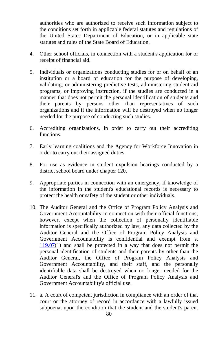authorities who are authorized to receive such information subject to the conditions set forth in applicable federal statutes and regulations of the United States Department of Education, or in applicable state statutes and rules of the State Board of Education.

- 4. Other school officials, in connection with a student's application for or receipt of financial aid.
- 5. Individuals or organizations conducting studies for or on behalf of an institution or a board of education for the purpose of developing, validating, or administering predictive tests, administering student aid programs, or improving instruction, if the studies are conducted in a manner that does not permit the personal identification of students and their parents by persons other than representatives of such organizations and if the information will be destroyed when no longer needed for the purpose of conducting such studies.
- 6. Accrediting organizations, in order to carry out their accrediting functions.
- 7. Early learning coalitions and the Agency for Workforce Innovation in order to carry out their assigned duties.
- 8. For use as evidence in student expulsion hearings conducted by a district school board under chapter 120.
- 9. Appropriate parties in connection with an emergency, if knowledge of the information in the student's educational records is necessary to protect the health or safety of the student or other individuals.
- 10. The Auditor General and the Office of Program Policy Analysis and Government Accountability in connection with their official functions; however, except when the collection of personally identifiable information is specifically authorized by law, any data collected by the Auditor General and the Office of Program Policy Analysis and Government Accountability is confidential and exempt from s. [119.07\(](http://www.myfloridahouse.gov/filestores/web/statutes/fs07/CH0119/Section_0119.07.HTM)1) and shall be protected in a way that does not permit the personal identification of students and their parents by other than the Auditor General, the Office of Program Policy Analysis and Government Accountability, and their staff, and the personally identifiable data shall be destroyed when no longer needed for the Auditor General's and the Office of Program Policy Analysis and Government Accountability's official use.
- 11. a. A court of competent jurisdiction in compliance with an order of that court or the attorney of record in accordance with a lawfully issued subpoena, upon the condition that the student and the student's parent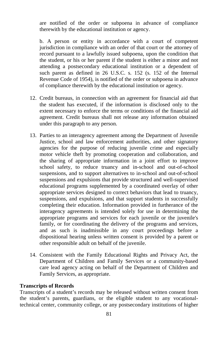are notified of the order or subpoena in advance of compliance therewith by the educational institution or agency.

b. A person or entity in accordance with a court of competent jurisdiction in compliance with an order of that court or the attorney of record pursuant to a lawfully issued subpoena, upon the condition that the student, or his or her parent if the student is either a minor and not attending a postsecondary educational institution or a dependent of such parent as defined in 26 U.S.C. s. 152 (s. 152 of the Internal Revenue Code of 1954), is notified of the order or subpoena in advance of compliance therewith by the educational institution or agency.

- 12. Credit bureaus, in connection with an agreement for financial aid that the student has executed, if the information is disclosed only to the extent necessary to enforce the terms or conditions of the financial aid agreement. Credit bureaus shall not release any information obtained under this paragraph to any person.
- 13. Parties to an interagency agreement among the Department of Juvenile Justice, school and law enforcement authorities, and other signatory agencies for the purpose of reducing juvenile crime and especially motor vehicle theft by promoting cooperation and collaboration, and the sharing of appropriate information in a joint effort to improve school safety, to reduce truancy and in-school and out-of-school suspensions, and to support alternatives to in-school and out-of-school suspensions and expulsions that provide structured and well-supervised educational programs supplemented by a coordinated overlay of other appropriate services designed to correct behaviors that lead to truancy, suspensions, and expulsions, and that support students in successfully completing their education. Information provided in furtherance of the interagency agreements is intended solely for use in determining the appropriate programs and services for each juvenile or the juvenile's family, or for coordinating the delivery of the programs and services, and as such is inadmissible in any court proceedings before a dispositional hearing unless written consent is provided by a parent or other responsible adult on behalf of the juvenile.
- 14. Consistent with the Family Educational Rights and Privacy Act, the Department of Children and Family Services or a community-based care lead agency acting on behalf of the Department of Children and Family Services, as appropriate.

#### **Transcripts of Records**

Transcripts of a student's records may be released without written consent from the student's parents, guardians, or the eligible student to any vocationaltechnical center, community college, or any postsecondary institutions of higher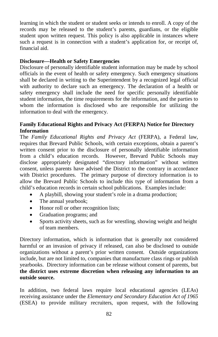learning in which the student or student seeks or intends to enroll. A copy of the records may be released to the student's parents, guardians, or the eligible student upon written request. This policy is also applicable in instances where such a request is in connection with a student's application for, or receipt of, financial aid.

### **Disclosure—Health or Safety Emergencies**

Disclosure of personally identifiable student information may be made by school officials in the event of health or safety emergency. Such emergency situations shall be declared in writing to the Superintendent by a recognized legal official with authority to declare such an emergency. The declaration of a health or safety emergency shall include the need for specific personally identifiable student information, the time requirements for the information, and the parties to whom the information is disclosed who are responsible for utilizing the information to deal with the emergency.

### **Family Educational Rights and Privacy Act (FERPA) Notice for Directory Information**

The *Family Educational Rights and Privacy Act* (FERPA), a Federal law, requires that Brevard Public Schools, with certain exceptions, obtain a parent's written consent prior to the disclosure of personally identifiable information from a child's education records. However, Brevard Public Schools may disclose appropriately designated "directory information" without written consent, unless parents have advised the District to the contrary in accordance with District procedures. The primary purpose of directory information is to allow the Brevard Public Schools to include this type of information from a child's education records in certain school publications. Examples include:

- A playbill, showing your student's role in a drama production;
- The annual yearbook;
- Honor roll or other recognition lists;
- Graduation programs; and
- Sports activity sheets, such as for wrestling, showing weight and height of team members.

Directory information, which is information that is generally not considered harmful or an invasion of privacy if released, can also be disclosed to outside organizations without a parent's prior written consent. Outside organizations include, but are not limited to, companies that manufacture class rings or publish yearbooks. Directory information can be release without consent of parents, but **the district uses extreme discretion when releasing any information to an outside source.**

In addition, two federal laws require local educational agencies (LEAs) receiving assistance under the *Elementary and Secondary Education Act of 1965* (ESEA) to provide military recruiters, upon request, with the following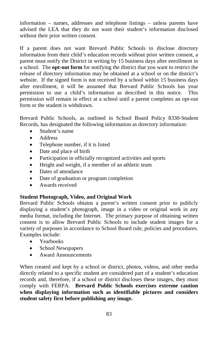information – names, addresses and telephone listings – unless parents have advised the LEA that they do not want their student's information disclosed without their prior written consent.

If a parent does not want Brevard Public Schools to disclose directory information from their child's education records without prior written consent, a parent must notify the District in writing by 15 business days after enrollment in a school. The **opt-out form** for notifying the district that you want to restrict the release of directory information may be obtained at a school or on the district's website. If the signed form is not received by a school within 15 business days after enrollment, it will be assumed that Brevard Public Schools has your permission to use a child's information as described in this notice. This permission will remain in effect at a school until a parent completes an opt-out form or the student is withdrawn.

Brevard Public Schools, as outlined in School Board Policy 8330-Student Records, has designated the following information as directory information:

- Student's name
- Address
- Telephone number, if it is listed
- Date and place of birth
- Participation in officially recognized activities and sports
- Height and weight, if a member of an athletic team
- Dates of attendance
- Date of graduation or program completion
- Awards received

## **Student Photograph, Video, and Original Work**

Brevard Public Schools obtains a parent's written consent prior to publicly displaying a student's photograph, image in a video or original work in any media format, including the Internet. The primary purpose of obtaining written consent is to allow Brevard Public Schools to include student images for a variety of purposes in accordance to School Board rule, policies and procedures. Examples include:

- Yearbooks
- School Newspapers
- Award Announcements

When created and kept by a school or district, photos, videos, and other media directly related to a specific student are considered part of a student's education records and, therefore, if a school or district discloses these images, they must comply with FERPA. **Brevard Public Schools exercises extreme caution when displaying information such as identifiable pictures and considers student safety first before publishing any image.**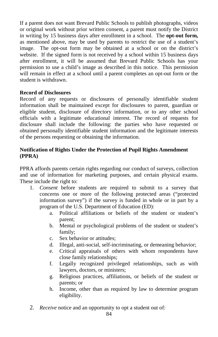If a parent does not want Brevard Public Schools to publish photographs, videos or original work without prior written consent, a parent must notify the District in writing by 15 business days after enrollment in a school. The **opt-out form,** as mentioned above, may be used by parents to restrict the use of a student's image. The opt-out form may be obtained at a school or on the district's website. If the signed form is not received by a school within 15 business days after enrollment, it will be assumed that Brevard Public Schools has your permission to use a child's image as described in this notice. This permission will remain in effect at a school until a parent completes an opt-out form or the student is withdrawn.

### **Record of Disclosures**

Record of any requests or disclosures of personally identifiable student information shall be maintained except for disclosures to parent, guardian or eligible student, disclosure of directory information, or to any other school officials with a legitimate educational interest. The record of requests for disclosure shall include the following: the parties who have requested or obtained personally identifiable student information and the legitimate interests of the persons requesting or obtaining the information.

### **Notification of Rights Under the Protection of Pupil Rights Amendment (PPRA)**

PPRA affords parents certain rights regarding our conduct of surveys, collection and use of information for marketing purposes, and certain physical exams. These include the right to:

- 1. *Consent* before students are required to submit to a survey that concerns one or more of the following protected areas ("protected information survey") if the survey is funded in whole or in part by a program of the U.S. Department of Education (ED):
	- a. Political affiliations or beliefs of the student or student's parent;
	- b. Mental or psychological problems of the student or student's family;
	- c. Sex behavior or attitudes;
	- d. Illegal, anti-social, self-incriminating, or demeaning behavior;
	- e. Critical appraisals of others with whom respondents have close family relationships;
	- f. Legally recognized privileged relationships, such as with lawyers, doctors, or ministers;
	- g. Religious practices, affiliations, or beliefs of the student or parents; or
	- h. Income, other than as required by law to determine program eligibility.
- 2. *Receive* notice and an opportunity to opt a student out of: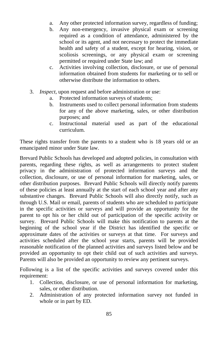- a. Any other protected information survey, regardless of funding;
- b. Any non-emergency, invasive physical exam or screening required as a condition of attendance, administered by the school or its agent, and not necessary to protect the immediate health and safety of a student, except for hearing, vision, or scoliosis screenings, or any physical exam or screening permitted or required under State law; and
- c. Activities involving collection, disclosure, or use of personal information obtained from students for marketing or to sell or otherwise distribute the information to others.
- 3. *Inspect*, upon request and before administration or use:
	- a. Protected information surveys of students;
	- b. Instruments used to collect personal information from students for any of the above marketing, sales, or other distribution purposes; and
	- c. Instructional material used as part of the educational curriculum.

These rights transfer from the parents to a student who is 18 years old or an emancipated minor under State law.

Brevard Public Schools has developed and adopted policies, in consultation with parents, regarding these rights, as well as arrangements to protect student privacy in the administration of protected information surveys and the collection, disclosure, or use of personal information for marketing, sales, or other distribution purposes. Brevard Public Schools will directly notify parents of these policies at least annually at the start of each school year and after any substantive changes. Brevard Public Schools will also directly notify, such as through U.S. Mail or email, parents of students who are scheduled to participate in the specific activities or surveys and will provide an opportunity for the parent to opt his or her child out of participation of the specific activity or survey. Brevard Public Schools will make this notification to parents at the beginning of the school year if the District has identified the specific or approximate dates of the activities or surveys at that time. For surveys and activities scheduled after the school year starts, parents will be provided reasonable notification of the planned activities and surveys listed below and be provided an opportunity to opt their child out of such activities and surveys. Parents will also be provided an opportunity to review any pertinent surveys.

Following is a list of the specific activities and surveys covered under this requirement:

- 1. Collection, disclosure, or use of personal information for marketing, sales, or other distribution.
- 2. Administration of any protected information survey not funded in whole or in part by ED.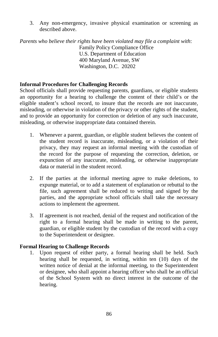3. Any non-emergency, invasive physical examination or screening as described above.

*Parents who believe their rights have been violated may file a complaint with*: Family Policy Compliance Office U.S. Department of Education 400 Maryland Avenue, SW Washington, D.C. 20202

## **Informal Procedures for Challenging Records**

School officials shall provide requesting parents, guardians, or eligible students an opportunity for a hearing to challenge the content of their child's or the eligible student's school record, to insure that the records are not inaccurate, misleading, or otherwise in violation of the privacy or other rights of the student, and to provide an opportunity for correction or deletion of any such inaccurate, misleading, or otherwise inappropriate data contained therein.

- 1. Whenever a parent, guardian, or eligible student believes the content of the student record is inaccurate, misleading, or a violation of their privacy, they may request an informal meeting with the custodian of the record for the purpose of requesting the correction, deletion, or expunction of any inaccurate, misleading, or otherwise inappropriate data or material in the student record.
- 2. If the parties at the informal meeting agree to make deletions, to expunge material, or to add a statement of explanation or rebuttal to the file, such agreement shall be reduced to writing and signed by the parties, and the appropriate school officials shall take the necessary actions to implement the agreement.
- 3. If agreement is not reached, denial of the request and notification of the right to a formal hearing shall be made in writing to the parent, guardian, or eligible student by the custodian of the record with a copy to the Superintendent or designee.

## **Formal Hearing to Challenge Records**

1. Upon request of either party, a formal hearing shall be held. Such hearing shall be requested, in writing, within ten (10) days of the written notice of denial at the informal meeting, to the Superintendent or designee, who shall appoint a hearing officer who shall be an official of the School System with no direct interest in the outcome of the hearing.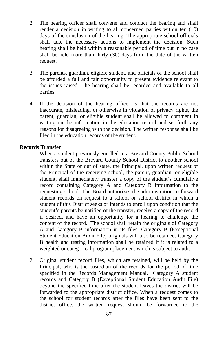- 2. The hearing officer shall convene and conduct the hearing and shall render a decision in writing to all concerned parties within ten (10) days of the conclusion of the hearing. The appropriate school officials shall take the necessary actions to implement the decision. Such hearing shall be held within a reasonable period of time but in no case shall be held more than thirty (30) days from the date of the written request.
- 3. The parents, guardian, eligible student, and officials of the school shall be afforded a full and fair opportunity to present evidence relevant to the issues raised. The hearing shall be recorded and available to all parties.
- 4. If the decision of the hearing officer is that the records are not inaccurate, misleading, or otherwise in violation of privacy rights, the parent, guardian, or eligible student shall be allowed to comment in writing on the information in the education record and set forth any reasons for disagreeing with the decision. The written response shall be filed in the education records of the student.

### **Records Transfer**

- 1. When a student previously enrolled in a Brevard County Public School transfers out of the Brevard County School District to another school within the State or out of state, the Principal, upon written request of the Principal of the receiving school, the parent, guardian, or eligible student, shall immediately transfer a copy of the student's cumulative record containing Category A and Category B information to the requesting school. The Board authorizes the administration to forward student records on request to a school or school district in which a student of this District seeks or intends to enroll upon condition that the student's parents be notified of the transfer, receive a copy of the record if desired, and have an opportunity for a hearing to challenge the content of the record. The school shall retain the originals of Category A and Category B information in its files. Category B (Exceptional Student Education Audit File) originals will also be retained. Category B health and testing information shall be retained if it is related to a weighted or categorical program placement which is subject to audit.
- 2. Original student record files, which are retained, will be held by the Principal, who is the custodian of the records for the period of time specified in the Records Management Manual. Category A student records and Category B (Exceptional Student Education Audit File) beyond the specified time after the student leaves the district will be forwarded to the appropriate district office. When a request comes to the school for student records after the files have been sent to the district office, the written request should be forwarded to the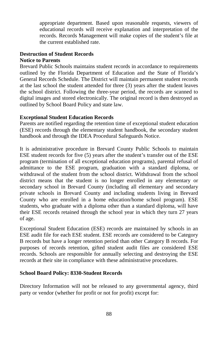appropriate department. Based upon reasonable requests, viewers of educational records will receive explanation and interpretation of the records. Records Management will make copies of the student's file at the current established rate.

### **Destruction of Student Records Notice to Parents**

Brevard Public Schools maintains student records in accordance to requirements outlined by the Florida Department of Education and the State of Florida's General Records Schedule. The District will maintain permanent student records at the last school the student attended for three (3) years after the student leaves the school district. Following the three-year period, the records are scanned to digital images and stored electronically. The original record is then destroyed as outlined by School Board Policy and state law.

## **Exceptional Student Education Records**

Parents are notified regarding the retention time of exceptional student education (ESE) records through the elementary student handbook, the secondary student handbook and through the IDEA Procedural Safeguards Notice.

It is administrative procedure in Brevard County Public Schools to maintain ESE student records for five (5) years after the student's transfer out of the ESE program (termination of all exceptional education programs), parental refusal of admittance to the ESE program, graduation with a standard diploma, or withdrawal of the student from the school district. Withdrawal from the school district means that the student is no longer enrolled in any elementary or secondary school in Brevard County (including all elementary and secondary private schools in Brevard County and including students living in Brevard County who are enrolled in a home education/home school program). ESE students, who graduate with a diploma other than a standard diploma, will have their ESE records retained through the school year in which they turn 27 years of age.

Exceptional Student Education (ESE) records are maintained by schools in an ESE audit file for each ESE student. ESE records are considered to be Category B records but have a longer retention period than other Category B records. For purposes of records retention, gifted student audit files are considered ESE records. Schools are responsible for annually selecting and destroying the ESE records at their site in compliance with these administrative procedures.

## **School Board Policy: 8330-Student Records**

Directory Information will not be released to any governmental agency, third party or vendor (whether for profit or not for profit) except for: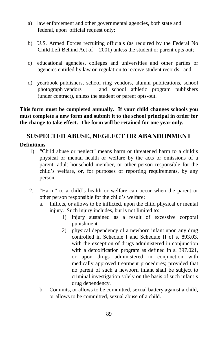- a) law enforcement and other governmental agencies, both state and federal, upon official request only;
- b) U.S. Armed Forces recruiting officials (as required by the Federal No Child Left Behind Act of 2001) unless the student or parent opts out;
- c) educational agencies, colleges and universities and other parties or agencies entitled by law or regulation to receive student records; and
- d) yearbook publishers, school ring vendors, alumni publications, school photograph vendors and school athletic program publishers (under contract), unless the student or parent opts-out.

**This form must be completed annually. If your child changes schools you must complete a new form and submit it to the school principal in order for the change to take effect. The form will be retained for one year only.** 

## **SUSPECTED ABUSE, NEGLECT OR ABANDONMENT**

## **Definitions**

- 1) "Child abuse or neglect" means harm or threatened harm to a child's physical or mental health or welfare by the acts or omissions of a parent, adult household member, or other person responsible for the child's welfare, or, for purposes of reporting requirements, by any person.
- 2. "Harm" to a child's health or welfare can occur when the parent or other person responsible for the child's welfare:
	- a. Inflicts, or allows to be inflicted, upon the child physical or mental injury. Such injury includes, but is not limited to:
		- 1) injury sustained as a result of excessive corporal punishment.
		- 2) physical dependency of a newborn infant upon any drug controlled in Schedule I and Schedule II of s. 893.03, with the exception of drugs administered in conjunction with a detoxification program as defined in s. 397.021, or upon drugs administered in conjunction with medically approved treatment procedures; provided that no parent of such a newborn infant shall be subject to criminal investigation solely on the basis of such infant's drug dependency.
	- b. Commits, or allows to be committed, sexual battery against a child, or allows to be committed, sexual abuse of a child.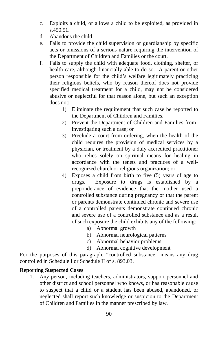- c. Exploits a child, or allows a child to be exploited, as provided in s.450.51.
- d. Abandons the child.
- e. Fails to provide the child supervision or guardianship by specific acts or omissions of a serious nature requiring the intervention of the Department of Children and Families or the court.
- f. Fails to supply the child with adequate food, clothing, shelter, or health care, although financially able to do so. A parent or other person responsible for the child's welfare legitimately practicing their religious beliefs, who by reason thereof does not provide specified medical treatment for a child, may not be considered abusive or neglectful for that reason alone, but such an exception does not:
	- 1) Eliminate the requirement that such case be reported to the Department of Children and Families.
	- 2) Prevent the Department of Children and Families from investigating such a case; or
	- 3) Preclude a court from ordering, when the health of the child requires the provision of medical services by a physician, or treatment by a duly accredited practitioner who relies solely on spiritual means for healing in accordance with the tenets and practices of a wellrecognized church or religious organization; or
	- 4) Exposes a child from birth to five (5) years of age to drugs. Exposure to drugs is established by a preponderance of evidence that the mother used a controlled substance during pregnancy or that the parent or parents demonstrate continued chronic and severe use of a controlled parents demonstrate continued chronic and severe use of a controlled substance and as a result of such exposure the child exhibits any of the following:
		- a) Abnormal growth
		- b) Abnormal neurological patterns
		- c) Abnormal behavior problems
		- d) Abnormal cognitive development

For the purposes of this paragraph, "controlled substance" means any drug controlled in Schedule I or Schedule II of s. 893.03.

## **Reporting Suspected Cases**

1. Any person, including teachers, administrators, support personnel and other district and school personnel who knows, or has reasonable cause to suspect that a child or a student has been abused, abandoned, or neglected shall report such knowledge or suspicion to the Department of Children and Families in the manner prescribed by law.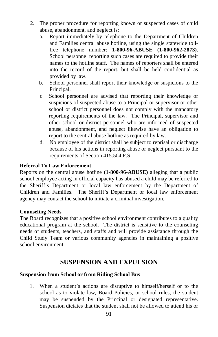- 2. The proper procedure for reporting known or suspected cases of child abuse, abandonment, and neglect is:
	- a. Report immediately by telephone to the Department of Children and Families central abuse hotline, using the single statewide tollfree telephone number: **1-800-96-ABUSE (1-800-962-2873)**. School personnel reporting such cases are required to provide their names to the hotline staff. The names of reporters shall be entered into the record of the report, but shall be held confidential as provided by law.
	- b. School personnel shall report their knowledge or suspicions to the Principal.
	- c. School personnel are advised that reporting their knowledge or suspicions of suspected abuse to a Principal or supervisor or other school or district personnel does not comply with the mandatory reporting requirements of the law. The Principal, supervisor and other school or district personnel who are informed of suspected abuse, abandonment, and neglect likewise have an obligation to report to the central abuse hotline as required by law.
	- d. No employee of the district shall be subject to reprisal or discharge because of his actions in reporting abuse or neglect pursuant to the requirements of Section 415.504,F.S.

## **Referral To Law Enforcement**

Reports on the central abuse hotline **(1-800-96-ABUSE)** alleging that a public school employee acting in official capacity has abused a child may be referred to the Sheriff's Department or local law enforcement by the Department of Children and Families. The Sheriff's Department or local law enforcement agency may contact the school to initiate a criminal investigation.

## **Counseling Needs**

The Board recognizes that a positive school environment contributes to a quality educational program at the school. The district is sensitive to the counseling needs of students, teachers, and staffs and will provide assistance through the Child Study Team or various community agencies in maintaining a positive school environment.

## **SUSPENSION AND EXPULSION**

## **Suspension from School or from Riding School Bus**

1. When a student's actions are disruptive to himself/herself or to the school as to violate law, Board Policies, or school rules, the student may be suspended by the Principal or designated representative. Suspension dictates that the student shall not be allowed to attend his or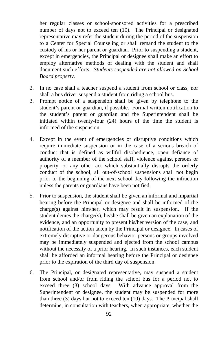her regular classes or school-sponsored activities for a prescribed number of days not to exceed ten (10). The Principal or designated representative may refer the student during the period of the suspension to a Center for Special Counseling or shall remand the student to the custody of his or her parent or guardian. Prior to suspending a student, except in emergencies, the Principal or designee shall make an effort to employ alternative methods of dealing with the student and shall document such efforts. *Students suspended are not allowed on School Board property.*

- 2. In no case shall a teacher suspend a student from school or class, nor shall a bus driver suspend a student from riding a school bus.
- 3. Prompt notice of a suspension shall be given by telephone to the student's parent or guardian, if possible. Formal written notification to the student's parent or guardian and the Superintendent shall be initiated within twenty-four (24) hours of the time the student is informed of the suspension.
- 4. Except in the event of emergencies or disruptive conditions which require immediate suspension or in the case of a serious breach of conduct that is defined as willful disobedience, open defiance of authority of a member of the school staff, violence against persons or property, or any other act which substantially disrupts the orderly conduct of the school, all out-of-school suspensions shall not begin prior to the beginning of the next school day following the infraction unless the parents or guardians have been notified.
- 5. Prior to suspension, the student shall be given an informal and impartial hearing before the Principal or designee and shall be informed of the charge(s) against him/her, which may result in suspension. If the student denies the charge(s), he/she shall be given an explanation of the evidence, and an opportunity to present his/her version of the case, and notification of the action taken by the Principal or designee. In cases of extremely disruptive or dangerous behavior persons or groups involved may be immediately suspended and ejected from the school campus without the necessity of a prior hearing. In such instances, each student shall be afforded an informal hearing before the Principal or designee prior to the expiration of the third day of suspension.
- 6. The Principal, or designated representative, may suspend a student from school and/or from riding the school bus for a period not to exceed three (3) school days. With advance approval from the Superintendent or designee, the student may be suspended for more than three (3) days but not to exceed ten (10) days. The Principal shall determine, in consultation with teachers, when appropriate, whether the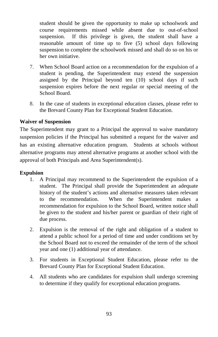student should be given the opportunity to make up schoolwork and course requirements missed while absent due to out-of-school suspension. If this privilege is given, the student shall have a reasonable amount of time up to five (5) school days following suspension to complete the schoolwork missed and shall do so on his or her own initiative.

- 7. When School Board action on a recommendation for the expulsion of a student is pending, the Superintendent may extend the suspension assigned by the Principal beyond ten (10) school days if such suspension expires before the next regular or special meeting of the School Board.
- 8. In the case of students in exceptional education classes, please refer to the Brevard County Plan for Exceptional Student Education.

## **Waiver of Suspension**

The Superintendent may grant to a Principal the approval to waive mandatory suspension policies if the Principal has submitted a request for the waiver and has an existing alternative education program. Students at schools without alternative programs may attend alternative programs at another school with the approval of both Principals and Area Superintendent(s).

## **Expulsion**

- 1. A Principal may recommend to the Superintendent the expulsion of a student. The Principal shall provide the Superintendent an adequate history of the student's actions and alternative measures taken relevant to the recommendation. When the Superintendent makes a recommendation for expulsion to the School Board, written notice shall be given to the student and his/her parent or guardian of their right of due process.
- 2. Expulsion is the removal of the right and obligation of a student to attend a public school for a period of time and under conditions set by the School Board not to exceed the remainder of the term of the school year and one (1) additional year of attendance.
- 3. For students in Exceptional Student Education, please refer to the Brevard County Plan for Exceptional Student Education.
- 4. All students who are candidates for expulsion shall undergo screening to determine if they qualify for exceptional education programs.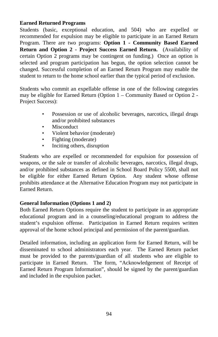## **Earned Returned Programs**

Students (basic, exceptional education, and 504) who are expelled or recommended for expulsion may be eligible to participate in an Earned Return Program. There are two programs: **Option 1 - Community Based Earned Return and Option 2 - Project Success Earned Return.** (Availability of certain Option 2 programs may be contingent on funding.) Once an option is selected and program participation has begun, the option selection cannot be changed. Successful completion of an Earned Return Program may enable the student to return to the home school earlier than the typical period of exclusion.

Students who commit an expellable offense in one of the following categories may be eligible for Earned Return (Option 1 – Community Based or Option 2 - Project Success):

- Possession or use of alcoholic beverages, narcotics, illegal drugs and/or prohibited substances
- Misconduct
- Violent behavior (moderate)
- Fighting (moderate)
- Inciting others, disruption

Students who are expelled or recommended for expulsion for possession of weapons, or the sale or transfer of alcoholic beverages, narcotics, illegal drugs, and/or prohibited substances as defined in School Board Policy 5500, shall not be eligible for either Earned Return Option. Any student whose offense prohibits attendance at the Alternative Education Program may not participate in Earned Return.

## **General Information (Options 1 and 2)**

Both Earned Return Options require the student to participate in an appropriate educational program and in a counseling/educational program to address the student's expulsion offense. Participation in Earned Return requires written approval of the home school principal and permission of the parent/guardian.

Detailed information, including an application form for Earned Return, will be disseminated to school administrators each year. The Earned Return packet must be provided to the parents/guardian of all students who are eligible to participate in Earned Return. The form, "Acknowledgement of Receipt of Earned Return Program Information", should be signed by the parent/guardian and included in the expulsion packet.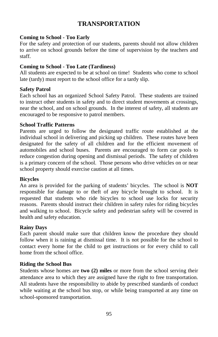## **TRANSPORTATION**

### **Coming to School - Too Early**

For the safety and protection of our students, parents should not allow children to arrive on school grounds before the time of supervision by the teachers and staff.

## **Coming to School - Too Late (Tardiness)**

All students are expected to be at school on time! Students who come to school late (tardy) must report to the school office for a tardy slip.

## **Safety Patrol**

Each school has an organized School Safety Patrol. These students are trained to instruct other students in safety and to direct student movements at crossings, near the school, and on school grounds. In the interest of safety, all students are encouraged to be responsive to patrol members.

### **School Traffic Patterns**

 Parents are urged to follow the designated traffic route established at the individual school in delivering and picking up children. These routes have been designated for the safety of all children and for the efficient movement of automobiles and school buses. Parents are encouraged to form car pools to reduce congestion during opening and dismissal periods. The safety of children is a primary concern of the school. Those persons who drive vehicles on or near school property should exercise caution at all times.

## **Bicycles**

An area is provided for the parking of students' bicycles. The school is **NOT** responsible for damage to or theft of any bicycle brought to school. It is requested that students who ride bicycles to school use locks for security reasons. Parents should instruct their children in safety rules for riding bicycles and walking to school. Bicycle safety and pedestrian safety will be covered in health and safety education.

#### **Rainy Days**

Each parent should make sure that children know the procedure they should follow when it is raining at dismissal time. It is not possible for the school to contact every home for the child to get instructions or for every child to call home from the school office.

#### **Riding the School Bus**

Students whose homes are **two (2) miles** or more from the school serving their attendance area to which they are assigned have the right to free transportation. All students have the responsibility to abide by prescribed standards of conduct while waiting at the school bus stop, or while being transported at any time on school-sponsored transportation.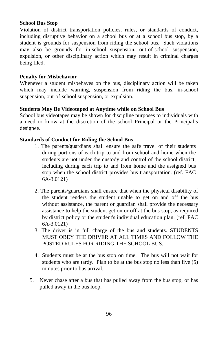## **School Bus Stop**

Violation of district transportation policies, rules, or standards of conduct, including disruptive behavior on a school bus or at a school bus stop, by a student is grounds for suspension from riding the school bus. Such violations may also be grounds for in-school suspension, out-of-school suspension, expulsion, or other disciplinary action which may result in criminal charges being filed.

### **Penalty for Misbehavior**

Whenever a student misbehaves on the bus, disciplinary action will be taken which may include warning, suspension from riding the bus, in-school suspension, out-of-school suspension, or expulsion.

### **Students May Be Videotaped at Anytime while on School Bus**

School bus videotapes may be shown for discipline purposes to individuals with a need to know at the discretion of the school Principal or the Principal's designee.

#### **Standards of Conduct for Riding the School Bus**

- 1. The parents/guardians shall ensure the safe travel of their students during portions of each trip to and from school and home when the students are not under the custody and control of the school district, including during each trip to and from home and the assigned bus stop when the school district provides bus transportation. (ref. FAC 6A-3.0121)
- 2. The parents/guardians shall ensure that when the physical disability of the student renders the student unable to get on and off the bus without assistance, the parent or guardian shall provide the necessary assistance to help the student get on or off at the bus stop, as required by district policy or the student's individual education plan. (ref. FAC 6A-3.0121)
- 3. The driver is in full charge of the bus and students. STUDENTS MUST OBEY THE DRIVER AT ALL TIMES AND FOLLOW THE POSTED RULES FOR RIDING THE SCHOOL BUS.
- 4. Students must be at the bus stop on time. The bus will not wait for students who are tardy. Plan to be at the bus stop no less than five (5) minutes prior to bus arrival.
- 5. Never chase after a bus that has pulled away from the bus stop, or has pulled away in the bus loop.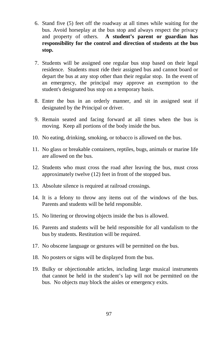- 6. Stand five (5) feet off the roadway at all times while waiting for the bus. Avoid horseplay at the bus stop and always respect the privacy and property of others. **A student's parent or guardian has responsibility for the control and direction of students at the bus stop.**
- 7. Students will be assigned one regular bus stop based on their legal residence. Students must ride their assigned bus and cannot board or depart the bus at any stop other than their regular stop. In the event of an emergency, the principal may approve an exemption to the student's designated bus stop on a temporary basis.
- 8. Enter the bus in an orderly manner, and sit in assigned seat if designated by the Principal or driver.
- 9. Remain seated and facing forward at all times when the bus is moving. Keep all portions of the body inside the bus.
- 10. No eating, drinking, smoking, or tobacco is allowed on the bus.
- 11. No glass or breakable containers, reptiles, bugs, animals or marine life are allowed on the bus.
- 12. Students who must cross the road after leaving the bus, must cross approximately twelve (12) feet in front of the stopped bus.
- 13. Absolute silence is required at railroad crossings.
- 14. It is a felony to throw any items out of the windows of the bus. Parents and students will be held responsible.
- 15. No littering or throwing objects inside the bus is allowed.
- 16. Parents and students will be held responsible for all vandalism to the bus by students. Restitution will be required.
- 17. No obscene language or gestures will be permitted on the bus.
- 18. No posters or signs will be displayed from the bus.
- 19. Bulky or objectionable articles, including large musical instruments that cannot be held in the student's lap will not be permitted on the bus. No objects may block the aisles or emergency exits.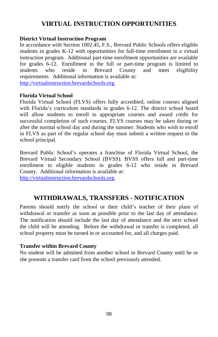## **VIRTUAL INSTRUCTION OPPORTUNITIES**

### **District Virtual Instruction Program**

In accordance with Section 1002.45, F.S., Brevard Public Schools offers eligible students in grades K-12 with opportunities for full-time enrollment in a virtual instruction program. Additional part-time enrollment opportunities are available for grades 6-12. Enrollment in the full or part-time program is limited to students who reside in Brevard County and meet eligibility requirements. Additional information is available at: [http://virtualinstruction.brevardschools.org.](http://virtualinstruction.brevardschools.org/)

#### **Florida Virtual School**

Florida Virtual School (FLVS) offers fully accredited, online courses aligned with Florida's curriculum standards in grades 6-12. The district school board will allow students to enroll in appropriate courses and award credit for successful completion of such courses. FLVS courses may be taken during or after the normal school day and during the summer. Students who wish to enroll in FLVS as part of the regular school day must submit a written request to the school principal.

Brevard Public School's operates a franchise of Florida Virtual School, the Brevard Virtual Secondary School (BVSS). BVSS offers full and part-time enrollment to eligible students in grades 6-12 who reside in Brevard County. Additional information is available at: [http://virtualinstruction.brevardschools.org.](http://virtualinstruction.brevardschools.org/)

## **WITHDRAWALS, TRANSFERS - NOTIFICATION**

Parents should notify the school or their child's teacher of their plans of withdrawal or transfer as soon as possible prior to the last day of attendance. The notification should include the last day of attendance and the next school the child will be attending. Before the withdrawal or transfer is completed, all school property must be turned in or accounted for, and all charges paid.

#### **Transfer within Brevard County**

No student will be admitted from another school in Brevard County until he or she presents a transfer card from the school previously attended.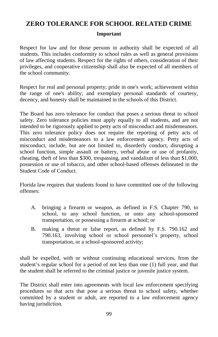## **ZERO TOLERANCE FOR SCHOOL RELATED CRIME**

#### **Important**

Respect for law and for those persons in authority shall be expected of all students. This includes conformity to school rules as well as general provisions of law affecting students. Respect for the rights of others, consideration of their privileges, and cooperative citizenship shall also be expected of all members of the school community.

Respect for real and personal property; pride in one's work; achievement within the range of one's ability; and exemplary personal standards of courtesy, decency, and honesty shall be maintained in the schools of this District.

The Board has zero tolerance for conduct that poses a serious threat to school safety. Zero tolerance policies must apply equally to all students, and are not intended to be rigorously applied to petty acts of misconduct and misdemeanors. This zero tolerance policy does not require the reporting of petty acts of misconduct and misdemeanors to a law enforcement agency. Petty acts of misconduct, include, but are not limited to, disorderly conduct, disrupting a school function, simple assault or battery, verbal abuse or use of profanity, cheating, theft of less than \$300, trespassing, and vandalism of less than \$1,000, possession or use of tobacco, and other school-based offenses delineated in the Student Code of Conduct.

Florida law requires that students found to have committed one of the following offenses:

- A. bringing a firearm or weapon, as defined in F.S. Chapter 790, to school, to any school function, or onto any school-sponsored transportation, or possessing a firearm at school; or
- B. making a threat or false report, as defined by F.S. 790.162 and 790.163, involving school or school personnel's property, school transportation, or a school-sponsored activity;

shall be expelled, with or without continuing educational services, from the student's regular school for a period of not less than one (1) full year, and that the student shall be referred to the criminal justice or juvenile justice system.

The District shall enter into agreements with local law enforcement specifying procedures so that acts that pose a serious threat to school safety, whether committed by a student or adult, are reported to a law enforcement agency having jurisdiction.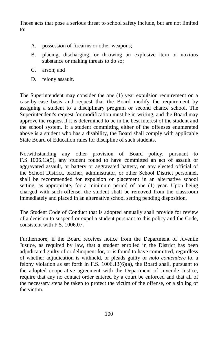Those acts that pose a serious threat to school safety include, but are not limited to:

- A. possession of firearms or other weapons;
- B. placing, discharging, or throwing an explosive item or noxious substance or making threats to do so;
- C. arson; and
- D. felony assault.

The Superintendent may consider the one (1) year expulsion requirement on a case-by-case basis and request that the Board modify the requirement by assigning a student to a disciplinary program or second chance school. The Superintendent's request for modification must be in writing, and the Board may approve the request if it is determined to be in the best interest of the student and the school system. If a student committing either of the offenses enumerated above is a student who has a disability, the Board shall comply with applicable State Board of Education rules for discipline of such students.

Notwithstanding any other provision of Board policy, pursuant to F.S. 1006.13(5), any student found to have committed an act of assault or aggravated assault, or battery or aggravated battery, on any elected official of the School District, teacher, administrator, or other School District personnel, shall be recommended for expulsion or placement in an alternative school setting, as appropriate, for a minimum period of one (1) year. Upon being charged with such offense, the student shall be removed from the classroom immediately and placed in an alternative school setting pending disposition.

The Student Code of Conduct that is adopted annually shall provide for review of a decision to suspend or expel a student pursuant to this policy and the Code, consistent with F.S. 1006.07.

Furthermore, if the Board receives notice from the Department of Juvenile Justice, as required by law, that a student enrolled in the District has been adjudicated guilty of or delinquent for, or is found to have committed, regardless of whether adjudication is withheld, or pleads guilty or *nolo contendere* to, a felony violation as set forth in F.S.  $1006.13(6)(a)$ , the Board shall, pursuant to the adopted cooperative agreement with the Department of Juvenile Justice, require that any no contact order entered by a court be enforced and that all of the necessary steps be taken to protect the victim of the offense, or a sibling of the victim.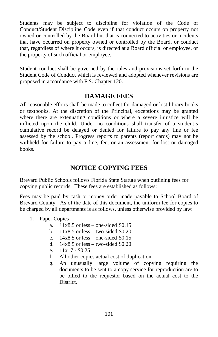Students may be subject to discipline for violation of the Code of Conduct/Student Discipline Code even if that conduct occurs on property not owned or controlled by the Board but that is connected to activities or incidents that have occurred on property owned or controlled by the Board, or conduct that, regardless of where it occurs, is directed at a Board official or employee, or the property of such official or employee.

Student conduct shall be governed by the rules and provisions set forth in the Student Code of Conduct which is reviewed and adopted whenever revisions are proposed in accordance with F.S. Chapter 120.

## **DAMAGE FEES**

All reasonable efforts shall be made to collect for damaged or lost library books or textbooks. At the discretion of the Principal, exceptions may be granted where there are extenuating conditions or where a severe injustice will be inflicted upon the child. Under no conditions shall transfer of a student's cumulative record be delayed or denied for failure to pay any fine or fee assessed by the school. Progress reports to parents (report cards) may not be withheld for failure to pay a fine, fee, or an assessment for lost or damaged books.

## **NOTICE COPYING FEES**

Brevard Public Schools follows Florida State Statute when outlining fees for copying public records. These fees are established as follows:

Fees may be paid by cash or money order made payable to School Board of Brevard County. As of the date of this document, the uniform fee for copies to be charged by all departments is as follows, unless otherwise provided by law:

- 1. Paper Copies
	- a.  $11x8.5$  or less one-sided \$0.15
	- b.  $11x8.5$  or less two-sided \$0.20
	- c.  $14x8.5$  or less one-sided \$0.15
	- d.  $14x8.5$  or less two-sided \$0.20
	- e.  $11x17 $0.25$
	- f. All other copies actual cost of duplication
	- g. An unusually large volume of copying requiring the documents to be sent to a copy service for reproduction are to be billed to the requestor based on the actual cost to the **District**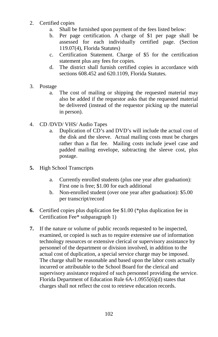- 2. Certified copies
	- a. Shall be furnished upon payment of the fees listed below:
	- b. Per page certification. A charge of \$1 per page shall be assessed for each individually certified page. (Section 119.07(4), Florida Statutes)
	- c. Certification Statement. Charge of \$5 for the certification statement plus any fees for copies.
	- d. The district shall furnish certified copies in accordance with sections 608.452 and 620.1109, Florida Statutes.
- 3. Postage
	- a. The cost of mailing or shipping the requested material may also be added if the requestor asks that the requested material be delivered (instead of the requestor picking up the material in person).
- 4. CD /DVD/ VHS/ Audio Tapes
	- a. Duplication of CD's and DVD's will include the actual cost of the disk and the sleeve. Actual mailing costs must be charges rather than a flat fee. Mailing costs include jewel case and padded mailing envelope, subtracting the sleeve cost, plus postage.
- **5.** High School Transcripts
	- a. Currently enrolled students (plus one year after graduation): First one is free; \$1.00 for each additional
	- b. Non-enrolled student (over one year after graduation): \$5.00 per transcript/record
- **6.** Certified copies plus duplication fee \$1.00 (\*plus duplication fee in Certification Fee\* subparagraph 1)
- **7.** If the nature or volume of public records requested to be inspected, examined, or copied is such as to require extensive use of information technology resources or extensive clerical or supervisory assistance by personnel of the department or division involved, in addition to the actual cost of duplication, a special service charge may be imposed. The charge shall be reasonable and based upon the labor costs actually incurred or attributable to the School Board for the clerical and supervisory assistance required of such personnel providing the service. Florida Department of Education Rule 6A-1.0955(6)(d) states that charges shall not reflect the cost to retrieve education records.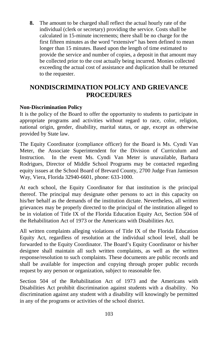**8.** The amount to be charged shall reflect the actual hourly rate of the individual (clerk or secretary) providing the service. Costs shall be calculated in 15-minute increments; there shall be no charge for the first fifteen minutes as the word "extensive" has been defined to mean longer than 15 minutes. Based upon the length of time estimated to provide the service and number of copies, a deposit in that amount may be collected prior to the cost actually being incurred. Monies collected exceeding the actual cost of assistance and duplication shall be returned to the requester.

## **NONDISCRIMINATION POLICY AND GRIEVANCE PROCEDURES**

### **Non-Discrimination Policy**

It is the policy of the Board to offer the opportunity to students to participate in appropriate programs and activities without regard to race, color, religion, national origin, gender, disability, marital status, or age, except as otherwise provided by State law.

The Equity Coordinator (compliance officer) for the Board is Ms. Cyndi Van Meter, the Associate Superintendent for the Division of Curriculum and Instruction. In the event Ms. Cyndi Van Meter is unavailable, Barbara Rodrigues, Director of Middle School Programs may be contacted regarding equity issues at the School Board of Brevard County, 2700 Judge Fran Jamieson Way, Viera, Florida 32940-6601, phone: 633-1000.

At each school, the Equity Coordinator for that institution is the principal thereof. The principal may designate other persons to act in this capacity on his/her behalf as the demands of the institution dictate. Nevertheless, all written grievances may be properly directed to the principal of the institution alleged to be in violation of Title IX of the Florida Education Equity Act, Section 504 of the Rehabilitation Act of 1973 or the Americans with Disabilities Act.

All written complaints alleging violations of Title IX of the Florida Education Equity Act, regardless of resolution at the individual school level, shall be forwarded to the Equity Coordinator. The Board's Equity Coordinator or his/her designee shall maintain all such written complaints, as well as the written response/resolution to such complaints. These documents are public records and shall be available for inspection and copying through proper public records request by any person or organization, subject to reasonable fee.

Section 504 of the Rehabilitation Act of 1973 and the Americans with Disabilities Act prohibit discrimination against students with a disability. No discrimination against any student with a disability will knowingly be permitted in any of the programs or activities of the school district.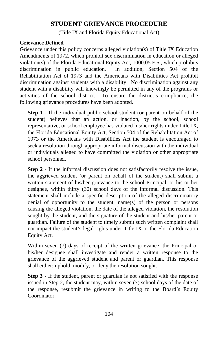## **STUDENT GRIEVANCE PROCEDURE**

(Title IX and Florida Equity Educational Act)

## **Grievance Defined**

Grievance under this policy concerns alleged violation(s) of Title IX Education Amendments of 1972, which prohibit sex discrimination in education or alleged violation(s) of the Florida Educational Equity Act, 1000.05 F.S., which prohibits discrimination in public education. In addition, Section 504 of the Rehabilitation Act of 1973 and the Americans with Disabilities Act prohibit discrimination against students with a disability. No discrimination against any student with a disability will knowingly be permitted in any of the programs or activities of the school district. To ensure the district's compliance, the following grievance procedures have been adopted.

**Step 1** - If the individual public school student (or parent on behalf of the student) believes that an action, or inaction, by the school, school representative, or school employee has violated his/her rights under Title IX, the Florida Educational Equity Act, Section 504 of the Rehabilitation Act of 1973 or the Americans with Disabilities Act the student is encouraged to seek a resolution through appropriate informal discussion with the individual or individuals alleged to have committed the violation or other appropriate school personnel.

**Step 2** - If the informal discussion does not satisfactorily resolve the issue, the aggrieved student (or parent on behalf of the student) shall submit a written statement of his/her grievance to the school Principal, or his or her designee, within thirty (30) school days of the informal discussion. This statement shall include a specific description of the alleged discriminatory denial of opportunity to the student, name(s) of the person or persons causing the alleged violation, the date of the alleged violation, the resolution sought by the student, and the signature of the student and his/her parent or guardian. Failure of the student to timely submit such written complaint shall not impact the student's legal rights under Title IX or the Florida Education Equity Act.

Within seven (7) days of receipt of the written grievance, the Principal or his/her designee shall investigate and render a written response to the grievance of the aggrieved student and parent or guardian. This response shall either: uphold, modify, or deny the resolution sought.

**Step 3** - If the student, parent or guardian is not satisfied with the response issued in Step 2, the student may, within seven (7) school days of the date of the response, resubmit the grievance in writing to the Board's Equity Coordinator.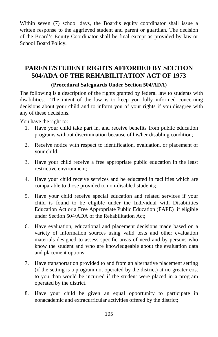Within seven (7) school days, the Board's equity coordinator shall issue a written response to the aggrieved student and parent or guardian. The decision of the Board's Equity Coordinator shall be final except as provided by law or School Board Policy.

# **PARENT/STUDENT RIGHTS AFFORDED BY SECTION 504/ADA OF THE REHABILITATION ACT OF 1973 (Procedural Safeguards Under Section 504/ADA)**

The following is a description of the rights granted by federal law to students with disabilities. The intent of the law is to keep you fully informed concerning decisions about your child and to inform you of your rights if you disagree with any of these decisions.

You have the right to:

- 1. Have your child take part in, and receive benefits from public education programs without discrimination because of his/her disabling condition;
- 2. Receive notice with respect to identification, evaluation, or placement of your child;
- 3. Have your child receive a free appropriate public education in the least restrictive environment;
- 4. Have your child receive services and be educated in facilities which are comparable to those provided to non-disabled students;
- 5. Have your child receive special education and related services if your child is found to be eligible under the Individual with Disabilities Education Act or a Free Appropriate Public Education (FAPE) if eligible under Section 504/ADA of the Rehabilitation Act;
- 6. Have evaluation, educational and placement decisions made based on a variety of information sources using valid tests and other evaluation materials designed to assess specific areas of need and by persons who know the student and who are knowledgeable about the evaluation data and placement options;
- 7. Have transportation provided to and from an alternative placement setting (if the setting is a program not operated by the district) at no greater cost to you than would be incurred if the student were placed in a program operated by the district.
- 8. Have your child be given an equal opportunity to participate in nonacademic and extracurricular activities offered by the district;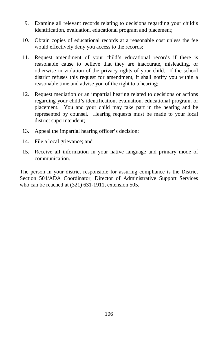- 9. Examine all relevant records relating to decisions regarding your child's identification, evaluation, educational program and placement;
- 10. Obtain copies of educational records at a reasonable cost unless the fee would effectively deny you access to the records;
- 11. Request amendment of your child's educational records if there is reasonable cause to believe that they are inaccurate, misleading, or otherwise in violation of the privacy rights of your child. If the school district refuses this request for amendment, it shall notify you within a reasonable time and advise you of the right to a hearing;
- 12. Request mediation or an impartial hearing related to decisions or actions regarding your child's identification, evaluation, educational program, or placement. You and your child may take part in the hearing and be represented by counsel. Hearing requests must be made to your local district superintendent;
- 13. Appeal the impartial hearing officer's decision;
- 14. File a local grievance; and
- 15. Receive all information in your native language and primary mode of communication.

The person in your district responsible for assuring compliance is the District Section 504/ADA Coordinator, Director of Administrative Support Services who can be reached at (321) 631-1911, extension 505.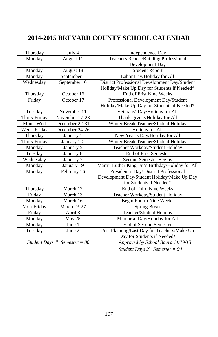# **2014-2015 BREVARD COUNTY SCHOOL CALENDAR**

| Thursday                            | July 4             | Independence Day                                   |  |
|-------------------------------------|--------------------|----------------------------------------------------|--|
| Monday                              | August 11          | Teachers Report/Building Professional              |  |
|                                     |                    | Development Day                                    |  |
| Monday                              | August 18          | <b>Student Report</b>                              |  |
| Monday                              | September 1        | Labor Day/Holiday for All                          |  |
| Wednesday                           | September 10       | District Professional Development Day/Student      |  |
|                                     |                    | Holiday/Make Up Day for Students if Needed*        |  |
| Thursday                            | October 16         | <b>End of Frist Nine Weeks</b>                     |  |
| Friday                              | October 17         | Professional Development Day/Student               |  |
|                                     |                    | Holiday/Make Up Day for Students if Needed*        |  |
| Tuesday                             | November 11        | Veterans' Day/Holiday for All                      |  |
| Thurs-Friday                        | November 27-28     | Thanksgiving/Holiday for All                       |  |
| Mon - Wed                           | December 22-31     | Winter Break Teacher/Student Holiday               |  |
| Wed - Friday                        | December 24-26     | Holiday for All                                    |  |
| Thursday                            | January 1          | New Year's Day/Holiday for All                     |  |
| Thurs-Friday                        | January 1-2        | Winter Break Teacher/Student Holiday               |  |
| Monday                              | January 5          | Teacher Workday/Student Holiday                    |  |
| Tuesday                             | January 6          | <b>End of First Semester</b>                       |  |
| Wednesday                           | January 7          | Second Semester Begins                             |  |
| Monday                              | January 19         | Martin Luther King, Jr.'s Birthday/Holiday for All |  |
| Monday                              | February 16        | President's Day/ District Professional             |  |
|                                     |                    | Development Day/Student Holiday/Make Up Day        |  |
|                                     |                    | for Students if Needed*                            |  |
| Thursday                            | March 12           | End of Third Nine Weeks                            |  |
| Friday                              | March 13           | Teacher Workday/Student Holiday                    |  |
| Monday                              | March 16           | Begin Fourth Nine Weeks                            |  |
| Mon-Friday                          | <b>March 23-27</b> | <b>Spring Break</b>                                |  |
| Friday                              | April 3            | Teacher/Student Holiday                            |  |
| Monday                              | May 25             | Memorial Day/Holiday for All                       |  |
| Monday                              | June 1             | End of Second Semester                             |  |
| Tuesday                             | June 2             | Post Planning/Last Day for Teachers/Make Up        |  |
|                                     |                    | Day for Students if Needed*                        |  |
| Student Days $I^{st}$ Semester = 86 |                    | Approved by School Board 11/19/13                  |  |

*Student Days 2nd Semester = 94*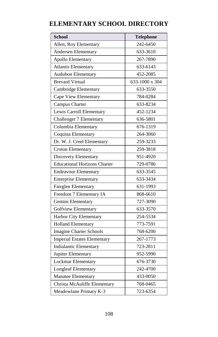| <b>School</b>                       | <b>Telephone</b> |
|-------------------------------------|------------------|
| Allen, Roy Elementary               | 242-6450         |
| Andersen Elementary                 | 633-3610         |
| Apollo Elementary                   | 267-7890         |
| <b>Atlantis Elementary</b>          | 633-6143         |
| Audubon Elementary                  | 452-2085         |
| <b>Brevard Virtual</b>              | 633-1000 x 304   |
| Cambridge Elementary                | 633-3550         |
| Cape View Elementary                | 784-0284         |
| Campus Charter                      | 633-8234         |
| Lewis Carroll Elementary            | 452-1234         |
| Challenger 7 Elementary             | 636-5801         |
| Columbia Elementary                 | 676-1319         |
| Coquina Elementary                  | 264-3060         |
| Dr. W. J. Creel Elementary          | 259-3233         |
| Croton Elementary                   | 259-3818         |
| Discovery Elementary                | 951-4920         |
| <b>Educational Horizons Charter</b> | 729-0786         |
| <b>Endeavour Elementary</b>         | 633-3545         |
| <b>Enterprise Elementary</b>        | 633-3434         |
| Fairglen Elementary                 | 631-1993         |
| Freedom 7 Elementary IA             | 868-6610         |
| Gemini Elementary                   | 727-3090         |
| Golfview Elementary                 | 633-3570         |
| Harbor City Elementary              | 254-5534         |
| <b>Holland Elementary</b>           | 773-7591         |
| <b>Imagine Charter Schools</b>      | 768-6200         |
| <b>Imperial Estates Elementary</b>  | 267-1773         |
| Indialantic Elementary              | 723-2811         |
| Jupiter Elementary                  | 952-5990         |
| Lockmar Elementary                  | 676-3730         |
| Longleaf Elementary                 | 242-4700         |
| Manatee Elementary                  | 433-0050         |
| Christa McAuliffe Elementary        | 768-0465         |
| Meadowlane Primary K-3              | 723-6354         |

# **ELEMENTARY SCHOOL DIRECTORY**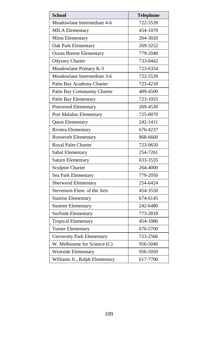| <b>School</b>                     | Telephone |
|-----------------------------------|-----------|
| Meadowlane Intermediate 4-6       | 722-5539  |
| <b>MILA Elementary</b>            | 454-1070  |
| Mims Elementary                   | 264-3020  |
| Oak Park Elementary               | 269-3252  |
| Ocean Breeze Elementary           | 779-2040  |
| <b>Odyssey Charter</b>            | 733-0442  |
| Meadowlane Primary K-3            | 723-6354  |
| Meadowlane Intermediate 3-6       | 722-5539  |
| Palm Bay Academy Charter          | 723-4218  |
| Palm Bay Community Charter        | 409-4500  |
| Palm Bay Elementary               | 723-1055  |
| Pinewood Elementary               | 269-4530  |
| Port Malabar Elementary           | 725-0070  |
| <b>Quest Elementary</b>           | 242-1411  |
| Riviera Elementary                | 676-4237  |
| Roosevelt Elementary              | 868-6660  |
| Royal Palm Charter                | 723-0650  |
| Sabal Elementary                  | 254-7261  |
| Saturn Elementary                 | 633-3535  |
| <b>Sculptor Charter</b>           | 264-4000  |
| Sea Park Elementary               | 779-2050  |
| Sherwood Elementary               | 254-6424  |
| Stevenson Elem. of the Arts       | 454-3550  |
| Sunrise Elementary                | 674-6145  |
| Suntree Elementary                | 242-6480  |
| Surfside Elementary               | 773-2818  |
| <b>Tropical Elementary</b>        | 454-1080  |
| <b>Turner Elementary</b>          | 676-5700  |
| <b>University Park Elementary</b> | 723-2566  |
| W. Melbourne for Science (C)      | 956-5040  |
| <b>Westside Elementary</b>        | 956-5050  |
| Williams Jr., Ralph Elementary    | 617-7700  |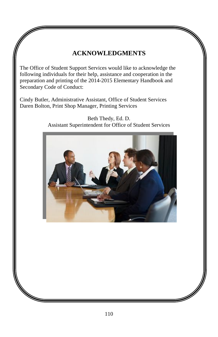## **ACKNOWLEDGMENTS**

The Office of Student Support Services would like to acknowledge the following individuals for their help, assistance and cooperation in the preparation and printing of the 2014-2015 Elementary Handbook and Secondary Code of Conduct:

Cindy Butler, Administrative Assistant, Office of Student Services Daren Bolton, Print Shop Manager, Printing Services

Beth Thedy, Ed. D. Assistant Superintendent for Office of Student Services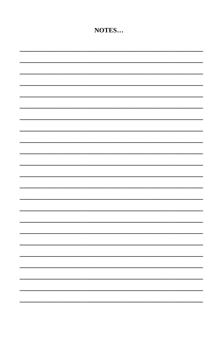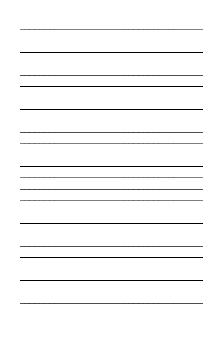